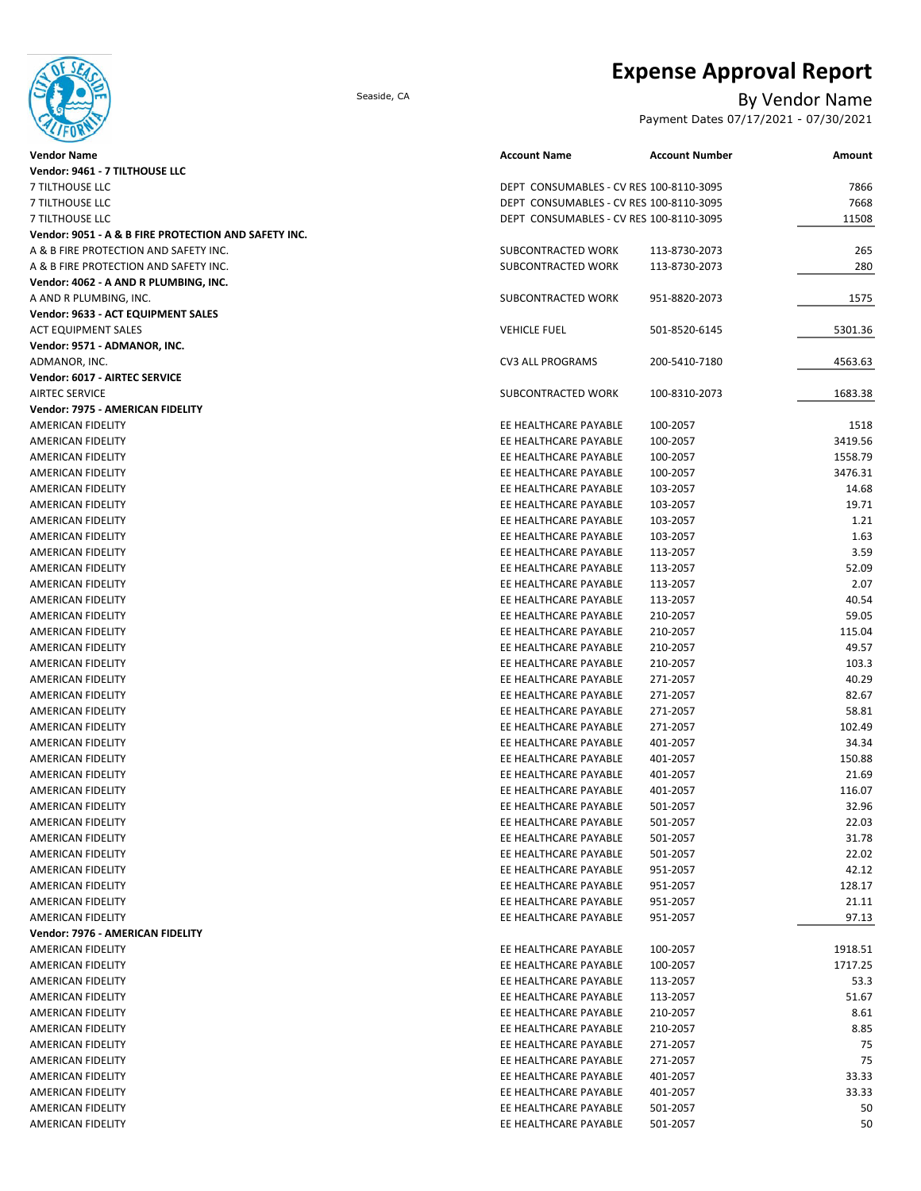

# **Expense Approval Report**

## Seaside, CA By Vendor Name

Payment Dates 07/17/2021 - 07/30/2021

| <b>Vendor Name</b>                                   | <b>Account Name</b>                            | <b>Account Number</b> | Amount  |
|------------------------------------------------------|------------------------------------------------|-----------------------|---------|
| Vendor: 9461 - 7 TILTHOUSE LLC                       |                                                |                       |         |
| 7 TILTHOUSE LLC                                      | DEPT CONSUMABLES - CV RES 100-8110-3095        |                       | 7866    |
| 7 TILTHOUSE LLC                                      | DEPT CONSUMABLES - CV RES 100-8110-3095        |                       | 7668    |
| 7 TILTHOUSE LLC                                      | DEPT CONSUMABLES - CV RES 100-8110-3095        |                       | 11508   |
| Vendor: 9051 - A & B FIRE PROTECTION AND SAFETY INC. |                                                |                       |         |
| A & B FIRE PROTECTION AND SAFETY INC.                | SUBCONTRACTED WORK                             | 113-8730-2073         | 265     |
| A & B FIRE PROTECTION AND SAFETY INC.                | SUBCONTRACTED WORK                             | 113-8730-2073         | 280     |
| Vendor: 4062 - A AND R PLUMBING, INC.                |                                                |                       |         |
| A AND R PLUMBING, INC.                               | SUBCONTRACTED WORK                             | 951-8820-2073         | 1575    |
| Vendor: 9633 - ACT EQUIPMENT SALES                   |                                                |                       |         |
| <b>ACT EQUIPMENT SALES</b>                           | <b>VEHICLE FUEL</b>                            | 501-8520-6145         | 5301.36 |
| Vendor: 9571 - ADMANOR, INC.                         |                                                |                       |         |
| ADMANOR, INC.                                        | <b>CV3 ALL PROGRAMS</b>                        | 200-5410-7180         | 4563.63 |
| Vendor: 6017 - AIRTEC SERVICE                        |                                                |                       |         |
| <b>AIRTEC SERVICE</b>                                | SUBCONTRACTED WORK                             | 100-8310-2073         | 1683.38 |
| Vendor: 7975 - AMERICAN FIDELITY                     |                                                |                       |         |
| AMERICAN FIDELITY                                    | EE HEALTHCARE PAYABLE                          | 100-2057              | 1518    |
| AMERICAN FIDELITY                                    | EE HEALTHCARE PAYABLE                          | 100-2057              | 3419.56 |
| AMERICAN FIDELITY                                    | EE HEALTHCARE PAYABLE                          | 100-2057              | 1558.79 |
| AMERICAN FIDELITY                                    | EE HEALTHCARE PAYABLE                          | 100-2057              | 3476.31 |
| AMERICAN FIDELITY                                    | EE HEALTHCARE PAYABLE                          | 103-2057              | 14.68   |
| AMERICAN FIDELITY                                    | EE HEALTHCARE PAYABLE                          | 103-2057              | 19.71   |
| AMERICAN FIDELITY                                    | EE HEALTHCARE PAYABLE                          | 103-2057              | 1.21    |
| AMERICAN FIDELITY                                    | EE HEALTHCARE PAYABLE                          | 103-2057              | 1.63    |
| AMERICAN FIDELITY                                    | EE HEALTHCARE PAYABLE                          | 113-2057              | 3.59    |
| AMERICAN FIDELITY                                    | EE HEALTHCARE PAYABLE                          | 113-2057              | 52.09   |
| AMERICAN FIDELITY                                    | EE HEALTHCARE PAYABLE                          | 113-2057              | 2.07    |
| AMERICAN FIDELITY                                    | EE HEALTHCARE PAYABLE                          | 113-2057              | 40.54   |
| AMERICAN FIDELITY                                    | EE HEALTHCARE PAYABLE                          | 210-2057              | 59.05   |
| AMERICAN FIDELITY                                    | EE HEALTHCARE PAYABLE                          | 210-2057              | 115.04  |
| AMERICAN FIDELITY                                    | EE HEALTHCARE PAYABLE                          | 210-2057              | 49.57   |
| AMERICAN FIDELITY                                    | EE HEALTHCARE PAYABLE                          | 210-2057              | 103.3   |
| AMERICAN FIDELITY                                    | EE HEALTHCARE PAYABLE                          |                       | 40.29   |
| AMERICAN FIDELITY                                    | EE HEALTHCARE PAYABLE                          | 271-2057<br>271-2057  | 82.67   |
|                                                      |                                                |                       | 58.81   |
| AMERICAN FIDELITY<br>AMERICAN FIDELITY               | EE HEALTHCARE PAYABLE<br>EE HEALTHCARE PAYABLE | 271-2057              | 102.49  |
| AMERICAN FIDELITY                                    | EE HEALTHCARE PAYABLE                          | 271-2057<br>401-2057  | 34.34   |
| AMERICAN FIDELITY                                    | EE HEALTHCARE PAYABLE                          | 401-2057              | 150.88  |
|                                                      | EE HEALTHCARE PAYABLE                          |                       | 21.69   |
| AMERICAN FIDELITY<br>AMERICAN FIDELITY               | EE HEALTHCARE PAYABLE                          | 401-2057              | 116.07  |
|                                                      | EE HEALTHCARE PAYABLE                          | 401-2057<br>501-2057  | 32.96   |
| AMERICAN FIDELITY                                    |                                                |                       |         |
| AMERICAN FIDELITY                                    | EE HEALTHCARE PAYABLE                          | 501-2057              | 22.03   |
| AMERICAN FIDELITY                                    | EE HEALTHCARE PAYABLE                          | 501-2057              | 31.78   |
| AMERICAN FIDELITY                                    | EE HEALTHCARE PAYABLE                          | 501-2057              | 22.02   |
| AMERICAN FIDELITY                                    | EE HEALTHCARE PAYABLE                          | 951-2057              | 42.12   |
| AMERICAN FIDELITY                                    | EE HEALTHCARE PAYABLE                          | 951-2057              | 128.17  |
| AMERICAN FIDELITY                                    | EE HEALTHCARE PAYABLE                          | 951-2057              | 21.11   |
| AMERICAN FIDELITY                                    | EE HEALTHCARE PAYABLE                          | 951-2057              | 97.13   |
| Vendor: 7976 - AMERICAN FIDELITY                     |                                                |                       |         |
| AMERICAN FIDELITY                                    | EE HEALTHCARE PAYABLE                          | 100-2057              | 1918.51 |
| AMERICAN FIDELITY                                    | EE HEALTHCARE PAYABLE                          | 100-2057              | 1717.25 |
| AMERICAN FIDELITY                                    | EE HEALTHCARE PAYABLE                          | 113-2057              | 53.3    |
| AMERICAN FIDELITY                                    | EE HEALTHCARE PAYABLE                          | 113-2057              | 51.67   |
| AMERICAN FIDELITY                                    | EE HEALTHCARE PAYABLE                          | 210-2057              | 8.61    |
| AMERICAN FIDELITY                                    | EE HEALTHCARE PAYABLE                          | 210-2057              | 8.85    |
| AMERICAN FIDELITY                                    | EE HEALTHCARE PAYABLE                          | 271-2057              | 75      |
| AMERICAN FIDELITY                                    | EE HEALTHCARE PAYABLE                          | 271-2057              | 75      |
| AMERICAN FIDELITY                                    | EE HEALTHCARE PAYABLE                          | 401-2057              | 33.33   |
| AMERICAN FIDELITY                                    | EE HEALTHCARE PAYABLE                          | 401-2057              | 33.33   |
| AMERICAN FIDELITY                                    | EE HEALTHCARE PAYABLE                          | 501-2057              | 50      |
| AMERICAN FIDELITY                                    | EE HEALTHCARE PAYABLE                          | 501-2057              | 50      |
|                                                      |                                                |                       |         |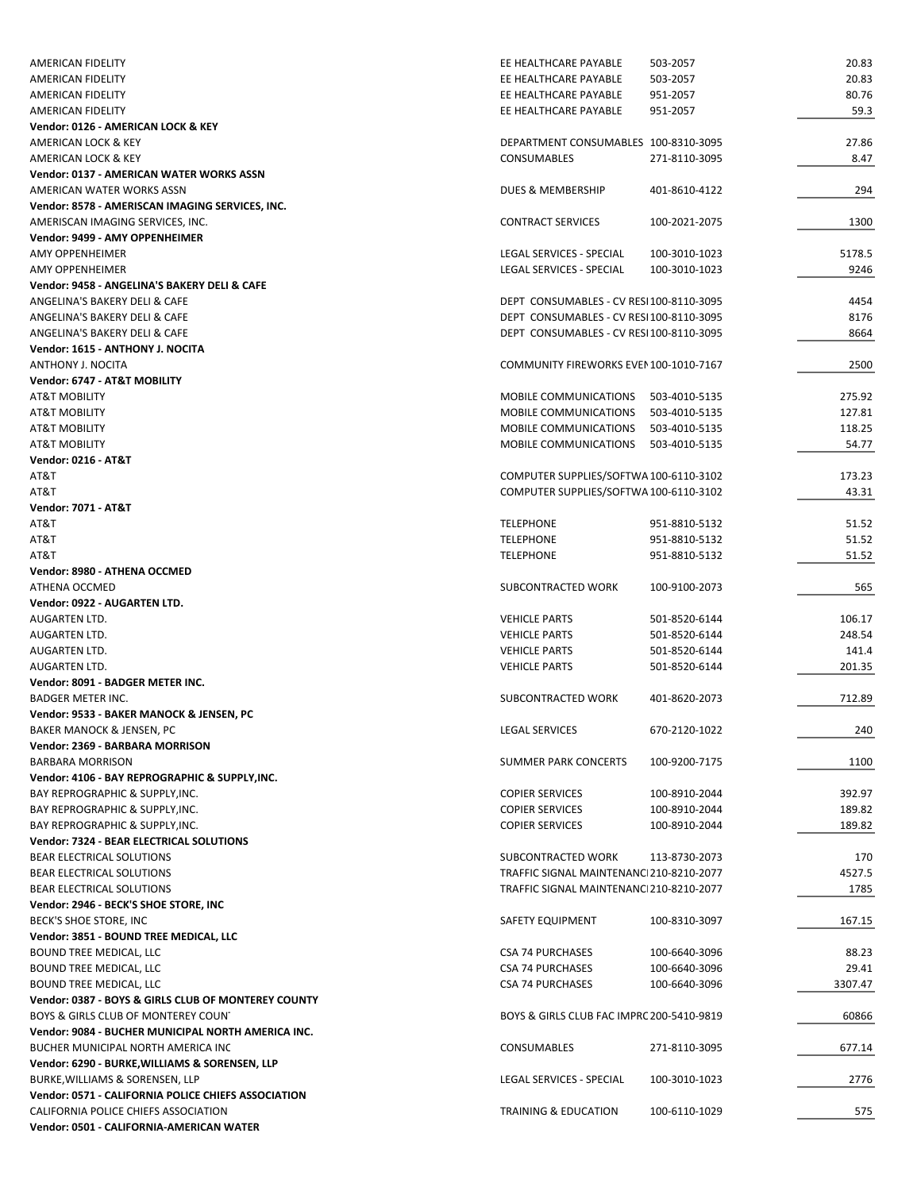| AMERICAN FIDELITY                                                                      | EE HEALTHCARE PAYABLE                              | 503-2057                       | 20.83            |
|----------------------------------------------------------------------------------------|----------------------------------------------------|--------------------------------|------------------|
| AMERICAN FIDELITY                                                                      | EE HEALTHCARE PAYABLE                              | 503-2057                       | 20.83            |
| AMERICAN FIDELITY                                                                      | EE HEALTHCARE PAYABLE                              | 951-2057                       | 80.76            |
| AMERICAN FIDELITY                                                                      | EE HEALTHCARE PAYABLE                              | 951-2057                       | 59.3             |
| Vendor: 0126 - AMERICAN LOCK & KEY                                                     |                                                    |                                |                  |
| AMERICAN LOCK & KEY                                                                    | DEPARTMENT CONSUMABLES 100-8310-3095               |                                | 27.86            |
| AMERICAN LOCK & KEY                                                                    | <b>CONSUMABLES</b>                                 | 271-8110-3095                  | 8.47             |
| Vendor: 0137 - AMERICAN WATER WORKS ASSN                                               |                                                    |                                |                  |
| AMERICAN WATER WORKS ASSN                                                              | DUES & MEMBERSHIP                                  | 401-8610-4122                  | 294              |
| Vendor: 8578 - AMERISCAN IMAGING SERVICES, INC.                                        |                                                    |                                |                  |
| AMERISCAN IMAGING SERVICES, INC.                                                       | <b>CONTRACT SERVICES</b>                           | 100-2021-2075                  | 1300             |
| Vendor: 9499 - AMY OPPENHEIMER                                                         |                                                    |                                |                  |
| AMY OPPENHEIMER                                                                        | LEGAL SERVICES - SPECIAL                           | 100-3010-1023                  | 5178.5           |
| AMY OPPENHEIMER                                                                        | LEGAL SERVICES - SPECIAL                           | 100-3010-1023                  | 9246             |
| Vendor: 9458 - ANGELINA'S BAKERY DELI & CAFE                                           |                                                    |                                |                  |
| ANGELINA'S BAKERY DELI & CAFE                                                          | DEPT CONSUMABLES - CV RESI 100-8110-3095           |                                | 4454             |
| ANGELINA'S BAKERY DELI & CAFE                                                          | DEPT CONSUMABLES - CV RESI100-8110-3095            |                                | 8176             |
| ANGELINA'S BAKERY DELI & CAFE                                                          | DEPT CONSUMABLES - CV RESI100-8110-3095            |                                | 8664             |
| Vendor: 1615 - ANTHONY J. NOCITA                                                       | COMMUNITY FIREWORKS EVEN 100-1010-7167             |                                |                  |
| ANTHONY J. NOCITA                                                                      |                                                    |                                | 2500             |
| Vendor: 6747 - AT&T MOBILITY<br><b>AT&amp;T MOBILITY</b>                               | MOBILE COMMUNICATIONS 503-4010-5135                |                                | 275.92           |
| <b>AT&amp;T MOBILITY</b>                                                               | MOBILE COMMUNICATIONS 503-4010-5135                |                                | 127.81           |
| <b>AT&amp;T MOBILITY</b>                                                               | MOBILE COMMUNICATIONS                              | 503-4010-5135                  | 118.25           |
| <b>AT&amp;T MOBILITY</b>                                                               | MOBILE COMMUNICATIONS                              | 503-4010-5135                  | 54.77            |
| <b>Vendor: 0216 - AT&amp;T</b>                                                         |                                                    |                                |                  |
| AT&T                                                                                   | COMPUTER SUPPLIES/SOFTWA 100-6110-3102             |                                | 173.23           |
| AT&T                                                                                   | COMPUTER SUPPLIES/SOFTWA 100-6110-3102             |                                | 43.31            |
| <b>Vendor: 7071 - AT&amp;T</b>                                                         |                                                    |                                |                  |
| AT&T                                                                                   | <b>TELEPHONE</b>                                   | 951-8810-5132                  | 51.52            |
| AT&T                                                                                   | <b>TELEPHONE</b>                                   | 951-8810-5132                  | 51.52            |
| AT&T                                                                                   | <b>TELEPHONE</b>                                   | 951-8810-5132                  | 51.52            |
| Vendor: 8980 - ATHENA OCCMED                                                           |                                                    |                                |                  |
| ATHENA OCCMED                                                                          | SUBCONTRACTED WORK                                 | 100-9100-2073                  | 565              |
| Vendor: 0922 - AUGARTEN LTD.                                                           |                                                    |                                |                  |
| AUGARTEN LTD.                                                                          | <b>VEHICLE PARTS</b>                               | 501-8520-6144                  | 106.17           |
| AUGARTEN LTD.                                                                          | <b>VEHICLE PARTS</b>                               | 501-8520-6144                  | 248.54           |
| AUGARTEN LTD.                                                                          | <b>VEHICLE PARTS</b>                               | 501-8520-6144                  | 141.4            |
| AUGARTEN LTD.                                                                          | <b>VEHICLE PARTS</b>                               | 501-8520-6144                  | 201.35           |
| Vendor: 8091 - BADGER METER INC.                                                       |                                                    |                                |                  |
| <b>BADGER METER INC.</b>                                                               | SUBCONTRACTED WORK                                 | 401-8620-2073                  | 712.89           |
| Vendor: 9533 - BAKER MANOCK & JENSEN, PC                                               |                                                    |                                |                  |
| BAKER MANOCK & JENSEN, PC                                                              | <b>LEGAL SERVICES</b>                              | 670-2120-1022                  | 240              |
| Vendor: 2369 - BARBARA MORRISON                                                        |                                                    |                                |                  |
| <b>BARBARA MORRISON</b>                                                                | <b>SUMMER PARK CONCERTS</b>                        | 100-9200-7175                  | 1100             |
| Vendor: 4106 - BAY REPROGRAPHIC & SUPPLY, INC.                                         |                                                    |                                |                  |
| BAY REPROGRAPHIC & SUPPLY, INC.                                                        | <b>COPIER SERVICES</b>                             | 100-8910-2044                  | 392.97           |
| BAY REPROGRAPHIC & SUPPLY, INC.                                                        | <b>COPIER SERVICES</b>                             | 100-8910-2044                  | 189.82           |
| BAY REPROGRAPHIC & SUPPLY, INC.                                                        | <b>COPIER SERVICES</b>                             | 100-8910-2044                  | 189.82           |
| Vendor: 7324 - BEAR ELECTRICAL SOLUTIONS                                               |                                                    |                                |                  |
| BEAR ELECTRICAL SOLUTIONS                                                              | SUBCONTRACTED WORK                                 | 113-8730-2073                  | 170              |
| BEAR ELECTRICAL SOLUTIONS                                                              | TRAFFIC SIGNAL MAINTENANC1210-8210-2077            |                                | 4527.5           |
| BEAR ELECTRICAL SOLUTIONS                                                              | TRAFFIC SIGNAL MAINTENANC1210-8210-2077            |                                | 1785             |
| Vendor: 2946 - BECK'S SHOE STORE, INC                                                  |                                                    |                                |                  |
| BECK'S SHOE STORE, INC                                                                 | SAFETY EQUIPMENT                                   | 100-8310-3097                  | 167.15           |
| Vendor: 3851 - BOUND TREE MEDICAL, LLC<br>BOUND TREE MEDICAL, LLC                      | <b>CSA 74 PURCHASES</b>                            | 100-6640-3096                  | 88.23            |
|                                                                                        |                                                    |                                |                  |
| <b>BOUND TREE MEDICAL, LLC</b><br><b>BOUND TREE MEDICAL, LLC</b>                       | <b>CSA 74 PURCHASES</b><br><b>CSA 74 PURCHASES</b> | 100-6640-3096<br>100-6640-3096 | 29.41<br>3307.47 |
| Vendor: 0387 - BOYS & GIRLS CLUB OF MONTEREY COUNTY                                    |                                                    |                                |                  |
| BOYS & GIRLS CLUB OF MONTEREY COUN'                                                    | BOYS & GIRLS CLUB FAC IMPRC 200-5410-9819          |                                | 60866            |
| Vendor: 9084 - BUCHER MUNICIPAL NORTH AMERICA INC.                                     |                                                    |                                |                  |
| BUCHER MUNICIPAL NORTH AMERICA INC                                                     |                                                    |                                |                  |
|                                                                                        |                                                    |                                |                  |
|                                                                                        | CONSUMABLES                                        | 271-8110-3095                  | 677.14           |
| Vendor: 6290 - BURKE, WILLIAMS & SORENSEN, LLP                                         |                                                    |                                |                  |
| BURKE, WILLIAMS & SORENSEN, LLP<br>Vendor: 0571 - CALIFORNIA POLICE CHIEFS ASSOCIATION | LEGAL SERVICES - SPECIAL                           | 100-3010-1023                  | 2776             |
| CALIFORNIA POLICE CHIEFS ASSOCIATION                                                   | TRAINING & EDUCATION                               | 100-6110-1029                  | 575              |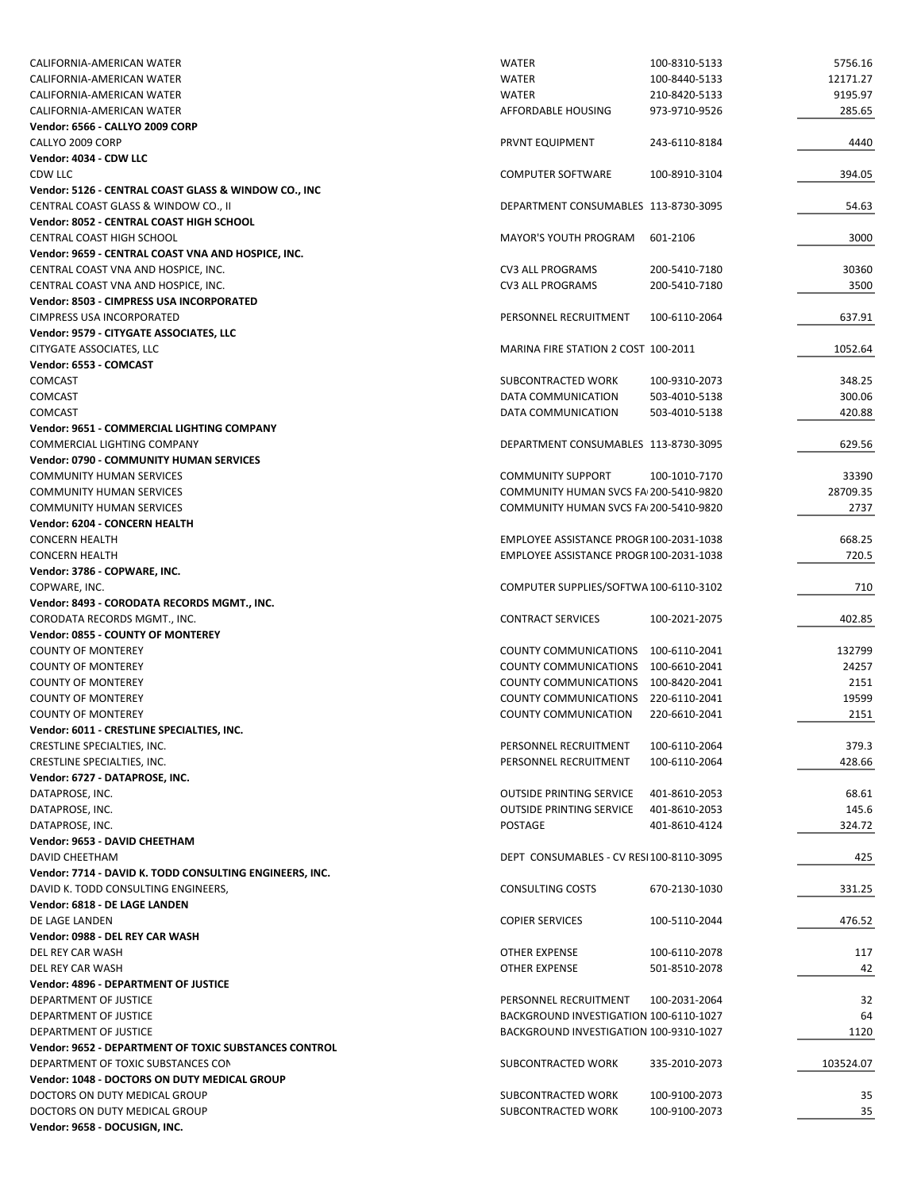| CALIFORNIA-AMERICAN WATER                               | <b>WATER</b>                            | 100-8310-5133 | 5756.16   |
|---------------------------------------------------------|-----------------------------------------|---------------|-----------|
| CALIFORNIA-AMERICAN WATER                               | <b>WATER</b>                            | 100-8440-5133 | 12171.27  |
| CALIFORNIA-AMERICAN WATER                               | <b>WATER</b>                            | 210-8420-5133 | 9195.97   |
| CALIFORNIA-AMERICAN WATER                               | AFFORDABLE HOUSING                      | 973-9710-9526 | 285.65    |
| Vendor: 6566 - CALLYO 2009 CORP                         |                                         |               |           |
| CALLYO 2009 CORP                                        | <b>PRVNT EQUIPMENT</b>                  | 243-6110-8184 | 4440      |
| Vendor: 4034 - CDW LLC                                  |                                         |               |           |
| CDW LLC                                                 | <b>COMPUTER SOFTWARE</b>                | 100-8910-3104 | 394.05    |
| Vendor: 5126 - CENTRAL COAST GLASS & WINDOW CO., INC    |                                         |               |           |
| CENTRAL COAST GLASS & WINDOW CO., II                    | DEPARTMENT CONSUMABLES 113-8730-3095    |               | 54.63     |
| Vendor: 8052 - CENTRAL COAST HIGH SCHOOL                |                                         |               |           |
| <b>CENTRAL COAST HIGH SCHOOL</b>                        | <b>MAYOR'S YOUTH PROGRAM</b>            | 601-2106      | 3000      |
| Vendor: 9659 - CENTRAL COAST VNA AND HOSPICE, INC.      |                                         |               |           |
| CENTRAL COAST VNA AND HOSPICE, INC.                     | <b>CV3 ALL PROGRAMS</b>                 | 200-5410-7180 | 30360     |
| CENTRAL COAST VNA AND HOSPICE, INC.                     | <b>CV3 ALL PROGRAMS</b>                 | 200-5410-7180 | 3500      |
| Vendor: 8503 - CIMPRESS USA INCORPORATED                |                                         |               |           |
| <b>CIMPRESS USA INCORPORATED</b>                        | PERSONNEL RECRUITMENT                   | 100-6110-2064 | 637.91    |
| Vendor: 9579 - CITYGATE ASSOCIATES, LLC                 |                                         |               |           |
| CITYGATE ASSOCIATES, LLC                                | MARINA FIRE STATION 2 COST 100-2011     |               | 1052.64   |
| Vendor: 6553 - COMCAST                                  |                                         |               |           |
| <b>COMCAST</b>                                          | SUBCONTRACTED WORK                      | 100-9310-2073 | 348.25    |
| COMCAST                                                 | DATA COMMUNICATION                      | 503-4010-5138 | 300.06    |
| <b>COMCAST</b>                                          | DATA COMMUNICATION                      | 503-4010-5138 | 420.88    |
| Vendor: 9651 - COMMERCIAL LIGHTING COMPANY              |                                         |               |           |
| COMMERCIAL LIGHTING COMPANY                             | DEPARTMENT CONSUMABLES 113-8730-3095    |               | 629.56    |
| <b>Vendor: 0790 - COMMUNITY HUMAN SERVICES</b>          |                                         |               |           |
| <b>COMMUNITY HUMAN SERVICES</b>                         | <b>COMMUNITY SUPPORT</b>                | 100-1010-7170 | 33390     |
| <b>COMMUNITY HUMAN SERVICES</b>                         | COMMUNITY HUMAN SVCS FA 200-5410-9820   |               | 28709.35  |
| <b>COMMUNITY HUMAN SERVICES</b>                         | COMMUNITY HUMAN SVCS FA 200-5410-9820   |               | 2737      |
| Vendor: 6204 - CONCERN HEALTH                           |                                         |               |           |
| <b>CONCERN HEALTH</b>                                   | EMPLOYEE ASSISTANCE PROGR100-2031-1038  |               | 668.25    |
| <b>CONCERN HEALTH</b>                                   | EMPLOYEE ASSISTANCE PROGR100-2031-1038  |               | 720.5     |
| Vendor: 3786 - COPWARE, INC.                            |                                         |               |           |
| COPWARE, INC.                                           | COMPUTER SUPPLIES/SOFTWA 100-6110-3102  |               | 710       |
| Vendor: 8493 - CORODATA RECORDS MGMT., INC.             |                                         |               |           |
| CORODATA RECORDS MGMT., INC.                            | <b>CONTRACT SERVICES</b>                | 100-2021-2075 | 402.85    |
| Vendor: 0855 - COUNTY OF MONTEREY                       |                                         |               |           |
| <b>COUNTY OF MONTEREY</b>                               | COUNTY COMMUNICATIONS                   | 100-6110-2041 | 132799    |
| <b>COUNTY OF MONTEREY</b>                               | COUNTY COMMUNICATIONS 100-6610-2041     |               | 24257     |
| <b>COUNTY OF MONTEREY</b>                               | COUNTY COMMUNICATIONS 100-8420-2041     |               | 2151      |
| <b>COUNTY OF MONTEREY</b>                               | COUNTY COMMUNICATIONS 220-6110-2041     |               | 19599     |
| <b>COUNTY OF MONTEREY</b>                               | <b>COUNTY COMMUNICATION</b>             | 220-6610-2041 | 2151      |
| Vendor: 6011 - CRESTLINE SPECIALTIES, INC.              |                                         |               |           |
| CRESTLINE SPECIALTIES, INC.                             | PERSONNEL RECRUITMENT                   | 100-6110-2064 | 379.3     |
| CRESTLINE SPECIALTIES, INC.                             | PERSONNEL RECRUITMENT                   | 100-6110-2064 | 428.66    |
|                                                         |                                         |               |           |
| Vendor: 6727 - DATAPROSE, INC.                          |                                         |               |           |
| DATAPROSE, INC.                                         | <b>OUTSIDE PRINTING SERVICE</b>         | 401-8610-2053 | 68.61     |
| DATAPROSE, INC.                                         | <b>OUTSIDE PRINTING SERVICE</b>         | 401-8610-2053 | 145.6     |
| DATAPROSE, INC.                                         | POSTAGE                                 | 401-8610-4124 | 324.72    |
| Vendor: 9653 - DAVID CHEETHAM                           |                                         |               |           |
| DAVID CHEETHAM                                          | DEPT CONSUMABLES - CV RESI100-8110-3095 |               | 425       |
| Vendor: 7714 - DAVID K. TODD CONSULTING ENGINEERS, INC. |                                         |               |           |
| DAVID K. TODD CONSULTING ENGINEERS,                     | <b>CONSULTING COSTS</b>                 | 670-2130-1030 | 331.25    |
| Vendor: 6818 - DE LAGE LANDEN                           |                                         |               |           |
| DE LAGE LANDEN                                          | <b>COPIER SERVICES</b>                  | 100-5110-2044 | 476.52    |
| Vendor: 0988 - DEL REY CAR WASH                         |                                         |               |           |
| DEL REY CAR WASH                                        | OTHER EXPENSE                           | 100-6110-2078 | 117       |
| DEL REY CAR WASH                                        | OTHER EXPENSE                           | 501-8510-2078 | 42        |
| Vendor: 4896 - DEPARTMENT OF JUSTICE                    |                                         |               |           |
| DEPARTMENT OF JUSTICE                                   | PERSONNEL RECRUITMENT                   | 100-2031-2064 | 32        |
| DEPARTMENT OF JUSTICE                                   | BACKGROUND INVESTIGATION 100-6110-1027  |               | 64        |
| DEPARTMENT OF JUSTICE                                   | BACKGROUND INVESTIGATION 100-9310-1027  |               | 1120      |
| Vendor: 9652 - DEPARTMENT OF TOXIC SUBSTANCES CONTROL   |                                         |               |           |
| DEPARTMENT OF TOXIC SUBSTANCES CON                      | SUBCONTRACTED WORK                      | 335-2010-2073 | 103524.07 |
| Vendor: 1048 - DOCTORS ON DUTY MEDICAL GROUP            |                                         |               |           |
| DOCTORS ON DUTY MEDICAL GROUP                           | SUBCONTRACTED WORK                      | 100-9100-2073 | 35        |
| DOCTORS ON DUTY MEDICAL GROUP                           | SUBCONTRACTED WORK                      | 100-9100-2073 | 35        |
| Vendor: 9658 - DOCUSIGN, INC.                           |                                         |               |           |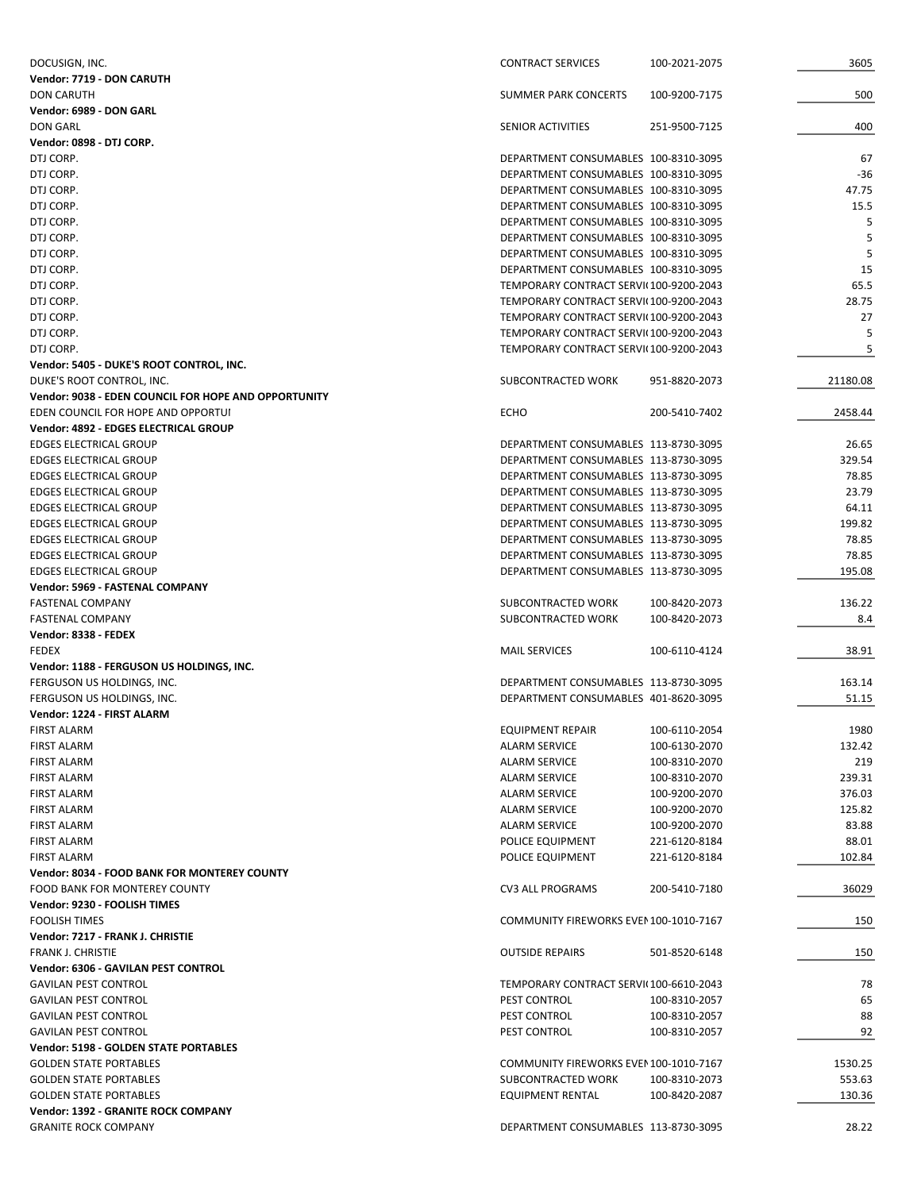| DOCUSIGN, INC.                                       | <b>CONTRACT SERVICES</b>               | 100-2021-2075 | 3605     |
|------------------------------------------------------|----------------------------------------|---------------|----------|
| Vendor: 7719 - DON CARUTH                            |                                        |               |          |
| <b>DON CARUTH</b>                                    | <b>SUMMER PARK CONCERTS</b>            | 100-9200-7175 | 500      |
| Vendor: 6989 - DON GARL                              |                                        |               |          |
| <b>DON GARL</b>                                      | SENIOR ACTIVITIES                      | 251-9500-7125 | 400      |
| Vendor: 0898 - DTJ CORP.                             |                                        |               |          |
| DTJ CORP.                                            | DEPARTMENT CONSUMABLES 100-8310-3095   |               | 67       |
| DTJ CORP.                                            | DEPARTMENT CONSUMABLES 100-8310-3095   |               | $-36$    |
| DTJ CORP.                                            | DEPARTMENT CONSUMABLES 100-8310-3095   |               | 47.75    |
| DTJ CORP.                                            | DEPARTMENT CONSUMABLES 100-8310-3095   |               | 15.5     |
| DTJ CORP.                                            | DEPARTMENT CONSUMABLES 100-8310-3095   |               | 5        |
| DTJ CORP.                                            | DEPARTMENT CONSUMABLES 100-8310-3095   |               | 5        |
| DTJ CORP.                                            | DEPARTMENT CONSUMABLES 100-8310-3095   |               | 5        |
| DTJ CORP.                                            | DEPARTMENT CONSUMABLES 100-8310-3095   |               | 15       |
| DTJ CORP.                                            | TEMPORARY CONTRACT SERVI(100-9200-2043 |               | 65.5     |
| DTJ CORP.                                            | TEMPORARY CONTRACT SERVI(100-9200-2043 |               | 28.75    |
| DTJ CORP.                                            | TEMPORARY CONTRACT SERVI(100-9200-2043 |               | 27       |
| DTJ CORP.                                            | TEMPORARY CONTRACT SERVI(100-9200-2043 |               | 5        |
| DTJ CORP.                                            | TEMPORARY CONTRACT SERVI(100-9200-2043 |               | 5        |
| Vendor: 5405 - DUKE'S ROOT CONTROL, INC.             |                                        |               |          |
| DUKE'S ROOT CONTROL, INC.                            | SUBCONTRACTED WORK                     | 951-8820-2073 | 21180.08 |
| Vendor: 9038 - EDEN COUNCIL FOR HOPE AND OPPORTUNITY |                                        |               |          |
| EDEN COUNCIL FOR HOPE AND OPPORTUI                   | <b>ECHO</b>                            | 200-5410-7402 | 2458.44  |
| Vendor: 4892 - EDGES ELECTRICAL GROUP                |                                        |               |          |
| <b>EDGES ELECTRICAL GROUP</b>                        | DEPARTMENT CONSUMABLES 113-8730-3095   |               | 26.65    |
| <b>EDGES ELECTRICAL GROUP</b>                        | DEPARTMENT CONSUMABLES 113-8730-3095   |               | 329.54   |
| <b>EDGES ELECTRICAL GROUP</b>                        | DEPARTMENT CONSUMABLES 113-8730-3095   |               | 78.85    |
|                                                      |                                        |               |          |
| <b>EDGES ELECTRICAL GROUP</b>                        | DEPARTMENT CONSUMABLES 113-8730-3095   |               | 23.79    |
| <b>EDGES ELECTRICAL GROUP</b>                        | DEPARTMENT CONSUMABLES 113-8730-3095   |               | 64.11    |
| <b>EDGES ELECTRICAL GROUP</b>                        | DEPARTMENT CONSUMABLES 113-8730-3095   |               | 199.82   |
| <b>EDGES ELECTRICAL GROUP</b>                        | DEPARTMENT CONSUMABLES 113-8730-3095   |               | 78.85    |
| <b>EDGES ELECTRICAL GROUP</b>                        | DEPARTMENT CONSUMABLES 113-8730-3095   |               | 78.85    |
| <b>EDGES ELECTRICAL GROUP</b>                        | DEPARTMENT CONSUMABLES 113-8730-3095   |               | 195.08   |
| Vendor: 5969 - FASTENAL COMPANY                      |                                        |               |          |
| FASTENAL COMPANY                                     | SUBCONTRACTED WORK                     | 100-8420-2073 | 136.22   |
| <b>FASTENAL COMPANY</b>                              | SUBCONTRACTED WORK                     | 100-8420-2073 | 8.4      |
| Vendor: 8338 - FEDEX                                 |                                        |               |          |
| <b>FEDEX</b>                                         | <b>MAIL SERVICES</b>                   | 100-6110-4124 | 38.91    |
| Vendor: 1188 - FERGUSON US HOLDINGS, INC.            |                                        |               |          |
| FERGUSON US HOLDINGS, INC.                           | DEPARTMENT CONSUMABLES 113-8730-3095   |               | 163.14   |
| FERGUSON US HOLDINGS, INC.                           | DEPARTMENT CONSUMABLES 401-8620-3095   |               | 51.15    |
| Vendor: 1224 - FIRST ALARM                           |                                        |               |          |
| <b>FIRST ALARM</b>                                   | <b>EQUIPMENT REPAIR</b>                | 100-6110-2054 | 1980     |
| <b>FIRST ALARM</b>                                   | <b>ALARM SERVICE</b>                   | 100-6130-2070 | 132.42   |
| <b>FIRST ALARM</b>                                   | ALARM SERVICE                          | 100-8310-2070 | 219      |
| <b>FIRST ALARM</b>                                   | <b>ALARM SERVICE</b>                   | 100-8310-2070 | 239.31   |
| <b>FIRST ALARM</b>                                   | <b>ALARM SERVICE</b>                   | 100-9200-2070 | 376.03   |
| <b>FIRST ALARM</b>                                   | <b>ALARM SERVICE</b>                   | 100-9200-2070 | 125.82   |
| <b>FIRST ALARM</b>                                   | <b>ALARM SERVICE</b>                   | 100-9200-2070 | 83.88    |
| <b>FIRST ALARM</b>                                   | POLICE EQUIPMENT                       | 221-6120-8184 | 88.01    |
| <b>FIRST ALARM</b>                                   | POLICE EQUIPMENT                       | 221-6120-8184 | 102.84   |
| Vendor: 8034 - FOOD BANK FOR MONTEREY COUNTY         |                                        |               |          |
| FOOD BANK FOR MONTEREY COUNTY                        | CV3 ALL PROGRAMS                       | 200-5410-7180 | 36029    |
| Vendor: 9230 - FOOLISH TIMES                         |                                        |               |          |
| <b>FOOLISH TIMES</b>                                 | COMMUNITY FIREWORKS EVEN 100-1010-7167 |               | 150      |
| Vendor: 7217 - FRANK J. CHRISTIE                     |                                        |               |          |
| <b>FRANK J. CHRISTIE</b>                             | <b>OUTSIDE REPAIRS</b>                 | 501-8520-6148 | 150      |
| Vendor: 6306 - GAVILAN PEST CONTROL                  |                                        |               |          |
| <b>GAVILAN PEST CONTROL</b>                          | TEMPORARY CONTRACT SERVI(100-6610-2043 |               | 78       |
| <b>GAVILAN PEST CONTROL</b>                          | PEST CONTROL                           | 100-8310-2057 | 65       |
| <b>GAVILAN PEST CONTROL</b>                          | PEST CONTROL                           | 100-8310-2057 | 88       |
| <b>GAVILAN PEST CONTROL</b>                          | PEST CONTROL                           | 100-8310-2057 | 92       |
| Vendor: 5198 - GOLDEN STATE PORTABLES                |                                        |               |          |
|                                                      | COMMUNITY FIREWORKS EVEN 100-1010-7167 |               |          |
| <b>GOLDEN STATE PORTABLES</b>                        |                                        |               | 1530.25  |
| <b>GOLDEN STATE PORTABLES</b>                        | SUBCONTRACTED WORK                     | 100-8310-2073 | 553.63   |
| <b>GOLDEN STATE PORTABLES</b>                        | <b>EQUIPMENT RENTAL</b>                | 100-8420-2087 | 130.36   |
| Vendor: 1392 - GRANITE ROCK COMPANY                  |                                        |               |          |
| <b>GRANITE ROCK COMPANY</b>                          | DEPARTMENT CONSUMABLES 113-8730-3095   |               | 28.22    |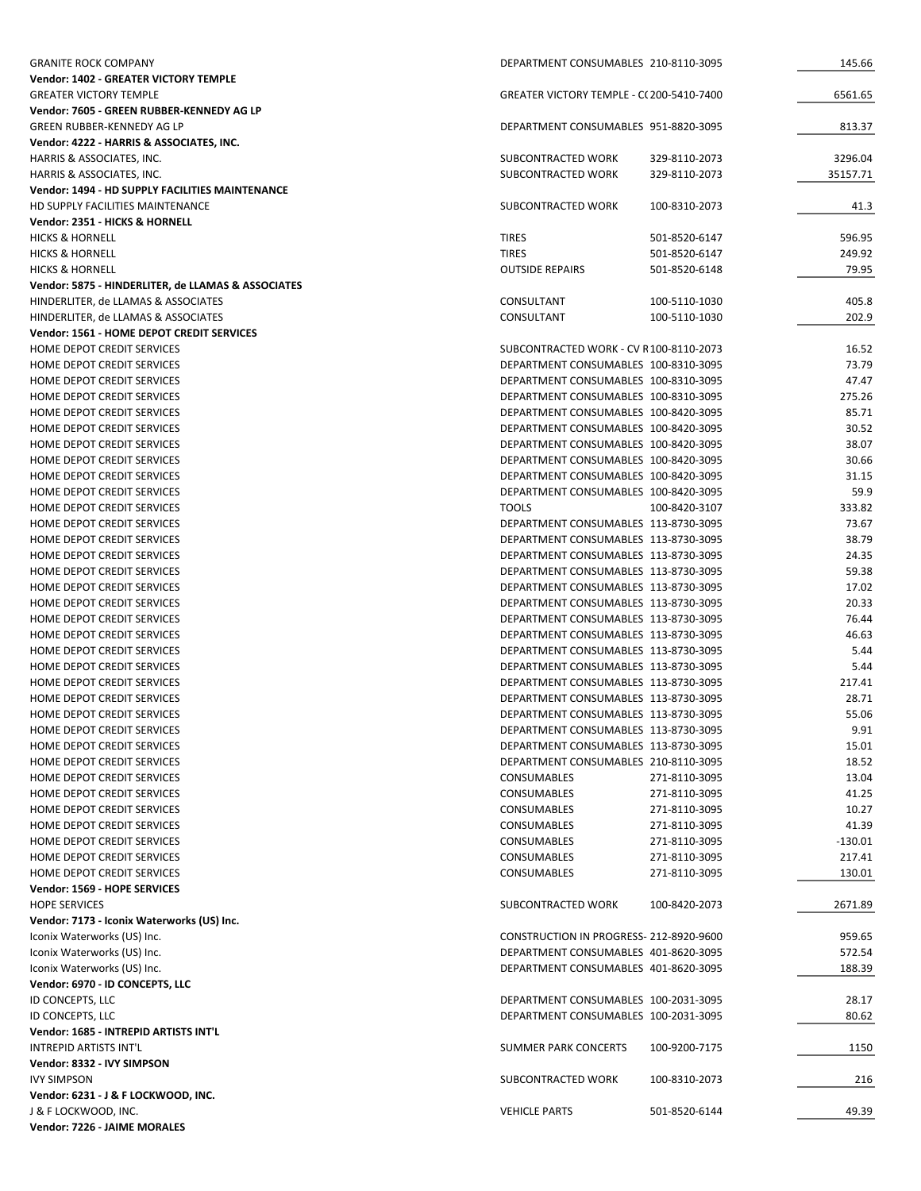| <b>GRANITE ROCK COMPANY</b>                                             | DEPARTMENT CONSUMABLES 210-8110-3095                                         |                                | 145.66         |
|-------------------------------------------------------------------------|------------------------------------------------------------------------------|--------------------------------|----------------|
| Vendor: 1402 - GREATER VICTORY TEMPLE                                   |                                                                              |                                |                |
| <b>GREATER VICTORY TEMPLE</b>                                           | GREATER VICTORY TEMPLE - C(200-5410-7400                                     |                                | 6561.65        |
| Vendor: 7605 - GREEN RUBBER-KENNEDY AG LP                               |                                                                              |                                |                |
| GREEN RUBBER-KENNEDY AG LP                                              | DEPARTMENT CONSUMABLES 951-8820-3095                                         |                                | 813.37         |
| Vendor: 4222 - HARRIS & ASSOCIATES, INC.<br>HARRIS & ASSOCIATES, INC.   | SUBCONTRACTED WORK                                                           | 329-8110-2073                  | 3296.04        |
| HARRIS & ASSOCIATES, INC.                                               | SUBCONTRACTED WORK                                                           | 329-8110-2073                  | 35157.71       |
| Vendor: 1494 - HD SUPPLY FACILITIES MAINTENANCE                         |                                                                              |                                |                |
| HD SUPPLY FACILITIES MAINTENANCE                                        | SUBCONTRACTED WORK                                                           | 100-8310-2073                  | 41.3           |
| Vendor: 2351 - HICKS & HORNELL                                          |                                                                              |                                |                |
| <b>HICKS &amp; HORNELL</b>                                              | <b>TIRES</b>                                                                 | 501-8520-6147                  | 596.95         |
| <b>HICKS &amp; HORNELL</b>                                              | <b>TIRES</b>                                                                 | 501-8520-6147                  | 249.92         |
| <b>HICKS &amp; HORNELL</b>                                              | <b>OUTSIDE REPAIRS</b>                                                       | 501-8520-6148                  | 79.95          |
| Vendor: 5875 - HINDERLITER, de LLAMAS & ASSOCIATES                      |                                                                              |                                |                |
| HINDERLITER, de LLAMAS & ASSOCIATES                                     | CONSULTANT                                                                   | 100-5110-1030                  | 405.8          |
| HINDERLITER, de LLAMAS & ASSOCIATES                                     | CONSULTANT                                                                   | 100-5110-1030                  | 202.9          |
| Vendor: 1561 - HOME DEPOT CREDIT SERVICES<br>HOME DEPOT CREDIT SERVICES | SUBCONTRACTED WORK - CV R100-8110-2073                                       |                                | 16.52          |
| HOME DEPOT CREDIT SERVICES                                              | DEPARTMENT CONSUMABLES 100-8310-3095                                         |                                | 73.79          |
| HOME DEPOT CREDIT SERVICES                                              | DEPARTMENT CONSUMABLES 100-8310-3095                                         |                                | 47.47          |
| HOME DEPOT CREDIT SERVICES                                              | DEPARTMENT CONSUMABLES 100-8310-3095                                         |                                | 275.26         |
| HOME DEPOT CREDIT SERVICES                                              | DEPARTMENT CONSUMABLES 100-8420-3095                                         |                                | 85.71          |
| HOME DEPOT CREDIT SERVICES                                              | DEPARTMENT CONSUMABLES 100-8420-3095                                         |                                | 30.52          |
| HOME DEPOT CREDIT SERVICES                                              | DEPARTMENT CONSUMABLES 100-8420-3095                                         |                                | 38.07          |
| HOME DEPOT CREDIT SERVICES                                              | DEPARTMENT CONSUMABLES 100-8420-3095                                         |                                | 30.66          |
| HOME DEPOT CREDIT SERVICES                                              | DEPARTMENT CONSUMABLES 100-8420-3095                                         |                                | 31.15          |
| HOME DEPOT CREDIT SERVICES                                              | DEPARTMENT CONSUMABLES 100-8420-3095                                         |                                | 59.9           |
| HOME DEPOT CREDIT SERVICES                                              | <b>TOOLS</b>                                                                 | 100-8420-3107                  | 333.82         |
| HOME DEPOT CREDIT SERVICES                                              | DEPARTMENT CONSUMABLES 113-8730-3095                                         |                                | 73.67          |
| HOME DEPOT CREDIT SERVICES                                              | DEPARTMENT CONSUMABLES 113-8730-3095                                         |                                | 38.79          |
| HOME DEPOT CREDIT SERVICES                                              | DEPARTMENT CONSUMABLES 113-8730-3095                                         |                                | 24.35<br>59.38 |
| HOME DEPOT CREDIT SERVICES<br>HOME DEPOT CREDIT SERVICES                | DEPARTMENT CONSUMABLES 113-8730-3095<br>DEPARTMENT CONSUMABLES 113-8730-3095 |                                | 17.02          |
| HOME DEPOT CREDIT SERVICES                                              | DEPARTMENT CONSUMABLES 113-8730-3095                                         |                                | 20.33          |
| HOME DEPOT CREDIT SERVICES                                              | DEPARTMENT CONSUMABLES 113-8730-3095                                         |                                | 76.44          |
| HOME DEPOT CREDIT SERVICES                                              | DEPARTMENT CONSUMABLES 113-8730-3095                                         |                                | 46.63          |
| HOME DEPOT CREDIT SERVICES                                              | DEPARTMENT CONSUMABLES 113-8730-3095                                         |                                | 5.44           |
| HOME DEPOT CREDIT SERVICES                                              | DEPARTMENT CONSUMABLES 113-8730-3095                                         |                                | 5.44           |
| HOME DEPOT CREDIT SERVICES                                              | DEPARTMENT CONSUMABLES 113-8730-3095                                         |                                | 217.41         |
| HOME DEPOT CREDIT SERVICES                                              | DEPARTMENT CONSUMABLES 113-8730-3095                                         |                                | 28.71          |
| HOME DEPOT CREDIT SERVICES                                              | DEPARTMENT CONSUMABLES 113-8730-3095                                         |                                | 55.06          |
| HOME DEPOT CREDIT SERVICES                                              | DEPARTMENT CONSUMABLES 113-8730-3095                                         |                                | 9.91           |
| HOME DEPOT CREDIT SERVICES                                              | DEPARTMENT CONSUMABLES 113-8730-3095                                         |                                | 15.01          |
| HOME DEPOT CREDIT SERVICES                                              | DEPARTMENT CONSUMABLES 210-8110-3095                                         |                                | 18.52          |
| HOME DEPOT CREDIT SERVICES                                              | CONSUMABLES                                                                  | 271-8110-3095<br>271-8110-3095 | 13.04          |
| HOME DEPOT CREDIT SERVICES<br>HOME DEPOT CREDIT SERVICES                | CONSUMABLES<br>CONSUMABLES                                                   | 271-8110-3095                  | 41.25<br>10.27 |
| HOME DEPOT CREDIT SERVICES                                              | CONSUMABLES                                                                  | 271-8110-3095                  | 41.39          |
| HOME DEPOT CREDIT SERVICES                                              | CONSUMABLES                                                                  | 271-8110-3095                  | $-130.01$      |
| HOME DEPOT CREDIT SERVICES                                              | CONSUMABLES                                                                  | 271-8110-3095                  | 217.41         |
| HOME DEPOT CREDIT SERVICES                                              | CONSUMABLES                                                                  | 271-8110-3095                  | 130.01         |
| Vendor: 1569 - HOPE SERVICES                                            |                                                                              |                                |                |
| <b>HOPE SERVICES</b>                                                    | SUBCONTRACTED WORK                                                           | 100-8420-2073                  | 2671.89        |
| Vendor: 7173 - Iconix Waterworks (US) Inc.                              |                                                                              |                                |                |
| Iconix Waterworks (US) Inc.                                             | CONSTRUCTION IN PROGRESS- 212-8920-9600                                      |                                | 959.65         |
| Iconix Waterworks (US) Inc.                                             | DEPARTMENT CONSUMABLES 401-8620-3095                                         |                                | 572.54         |
| Iconix Waterworks (US) Inc.                                             | DEPARTMENT CONSUMABLES 401-8620-3095                                         |                                | 188.39         |
| Vendor: 6970 - ID CONCEPTS, LLC                                         |                                                                              |                                |                |
| ID CONCEPTS, LLC                                                        | DEPARTMENT CONSUMABLES 100-2031-3095                                         |                                | 28.17          |
| ID CONCEPTS, LLC                                                        | DEPARTMENT CONSUMABLES 100-2031-3095                                         |                                | 80.62          |
| Vendor: 1685 - INTREPID ARTISTS INT'L                                   |                                                                              |                                |                |
| INTREPID ARTISTS INT'L<br>Vendor: 8332 - IVY SIMPSON                    | SUMMER PARK CONCERTS                                                         | 100-9200-7175                  | 1150           |
| <b>IVY SIMPSON</b>                                                      | SUBCONTRACTED WORK                                                           | 100-8310-2073                  | 216            |
| Vendor: 6231 - J & F LOCKWOOD, INC.                                     |                                                                              |                                |                |
| J & F LOCKWOOD, INC.                                                    | <b>VEHICLE PARTS</b>                                                         | 501-8520-6144                  | 49.39          |
| Vendor: 7226 - JAIME MORALES                                            |                                                                              |                                |                |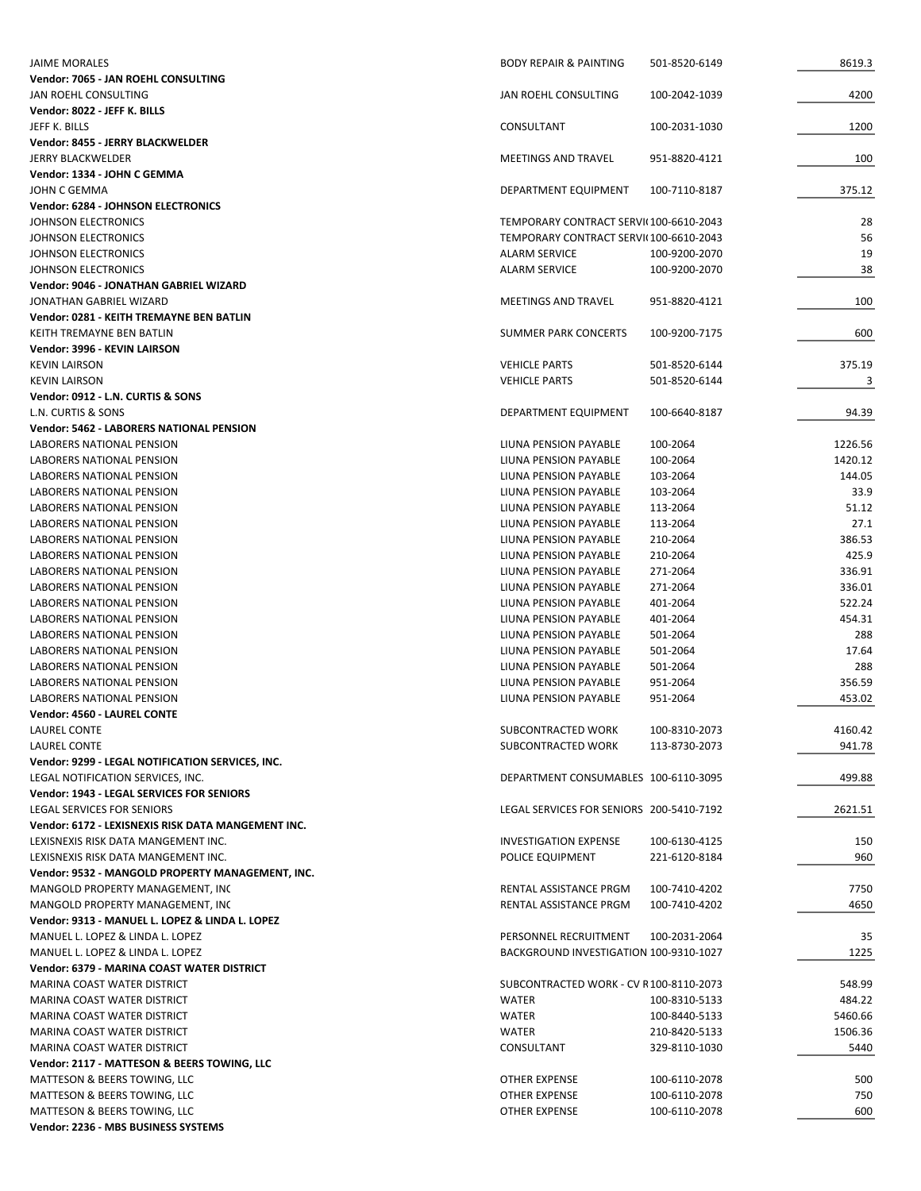| <b>JAIME MORALES</b>                                         | <b>BODY REPAIR &amp; PAINTING</b>        | 501-8520-6149                  | 8619.3            |
|--------------------------------------------------------------|------------------------------------------|--------------------------------|-------------------|
| Vendor: 7065 - JAN ROEHL CONSULTING                          |                                          |                                |                   |
| JAN ROEHL CONSULTING                                         | JAN ROEHL CONSULTING                     | 100-2042-1039                  | 4200              |
| Vendor: 8022 - JEFF K. BILLS                                 |                                          |                                |                   |
| JEFF K. BILLS                                                | CONSULTANT                               | 100-2031-1030                  | 1200              |
| Vendor: 8455 - JERRY BLACKWELDER<br><b>JERRY BLACKWELDER</b> | <b>MEETINGS AND TRAVEL</b>               | 951-8820-4121                  | 100               |
| Vendor: 1334 - JOHN C GEMMA                                  |                                          |                                |                   |
| JOHN C GEMMA                                                 | DEPARTMENT EQUIPMENT                     | 100-7110-8187                  | 375.12            |
| <b>Vendor: 6284 - JOHNSON ELECTRONICS</b>                    |                                          |                                |                   |
| JOHNSON ELECTRONICS                                          | TEMPORARY CONTRACT SERVI(100-6610-2043   |                                | 28                |
| JOHNSON ELECTRONICS                                          | TEMPORARY CONTRACT SERVI(100-6610-2043   |                                | 56                |
| JOHNSON ELECTRONICS                                          | <b>ALARM SERVICE</b>                     | 100-9200-2070                  | 19                |
| <b>JOHNSON ELECTRONICS</b>                                   | <b>ALARM SERVICE</b>                     | 100-9200-2070                  | 38                |
| Vendor: 9046 - JONATHAN GABRIEL WIZARD                       |                                          |                                |                   |
| JONATHAN GABRIEL WIZARD                                      | <b>MEETINGS AND TRAVEL</b>               | 951-8820-4121                  | 100               |
| Vendor: 0281 - KEITH TREMAYNE BEN BATLIN                     |                                          |                                |                   |
| KEITH TREMAYNE BEN BATLIN                                    | SUMMER PARK CONCERTS                     | 100-9200-7175                  | 600               |
| Vendor: 3996 - KEVIN LAIRSON                                 |                                          |                                |                   |
| <b>KEVIN LAIRSON</b>                                         | <b>VEHICLE PARTS</b>                     | 501-8520-6144                  | 375.19            |
| <b>KEVIN LAIRSON</b><br>Vendor: 0912 - L.N. CURTIS & SONS    | <b>VEHICLE PARTS</b>                     | 501-8520-6144                  | 3                 |
| L.N. CURTIS & SONS                                           | DEPARTMENT EQUIPMENT                     | 100-6640-8187                  | 94.39             |
| Vendor: 5462 - LABORERS NATIONAL PENSION                     |                                          |                                |                   |
| LABORERS NATIONAL PENSION                                    | LIUNA PENSION PAYABLE                    | 100-2064                       | 1226.56           |
| LABORERS NATIONAL PENSION                                    | LIUNA PENSION PAYABLE                    | 100-2064                       | 1420.12           |
| LABORERS NATIONAL PENSION                                    | LIUNA PENSION PAYABLE                    | 103-2064                       | 144.05            |
| LABORERS NATIONAL PENSION                                    | LIUNA PENSION PAYABLE                    | 103-2064                       | 33.9              |
| LABORERS NATIONAL PENSION                                    | LIUNA PENSION PAYABLE                    | 113-2064                       | 51.12             |
| LABORERS NATIONAL PENSION                                    | LIUNA PENSION PAYABLE                    | 113-2064                       | 27.1              |
| LABORERS NATIONAL PENSION                                    | LIUNA PENSION PAYABLE                    | 210-2064                       | 386.53            |
| LABORERS NATIONAL PENSION                                    | LIUNA PENSION PAYABLE                    | 210-2064                       | 425.9             |
| LABORERS NATIONAL PENSION                                    | LIUNA PENSION PAYABLE                    | 271-2064                       | 336.91            |
| <b>LABORERS NATIONAL PENSION</b>                             | LIUNA PENSION PAYABLE                    | 271-2064                       | 336.01            |
| LABORERS NATIONAL PENSION                                    | LIUNA PENSION PAYABLE                    | 401-2064                       | 522.24            |
| LABORERS NATIONAL PENSION                                    | LIUNA PENSION PAYABLE                    | 401-2064                       | 454.31            |
| LABORERS NATIONAL PENSION                                    | LIUNA PENSION PAYABLE                    | 501-2064                       | 288               |
| LABORERS NATIONAL PENSION                                    | LIUNA PENSION PAYABLE                    | 501-2064                       | 17.64             |
| LABORERS NATIONAL PENSION                                    | LIUNA PENSION PAYABLE                    | 501-2064                       | 288               |
| LABORERS NATIONAL PENSION                                    | LIUNA PENSION PAYABLE                    | 951-2064                       | 356.59            |
| LABORERS NATIONAL PENSION                                    | LIUNA PENSION PAYABLE                    | 951-2064                       | 453.02            |
| Vendor: 4560 - LAUREL CONTE                                  |                                          |                                |                   |
| LAUREL CONTE<br><b>LAUREL CONTE</b>                          | SUBCONTRACTED WORK<br>SUBCONTRACTED WORK | 100-8310-2073<br>113-8730-2073 | 4160.42<br>941.78 |
| Vendor: 9299 - LEGAL NOTIFICATION SERVICES, INC.             |                                          |                                |                   |
| LEGAL NOTIFICATION SERVICES, INC.                            | DEPARTMENT CONSUMABLES 100-6110-3095     |                                | 499.88            |
| <b>Vendor: 1943 - LEGAL SERVICES FOR SENIORS</b>             |                                          |                                |                   |
| LEGAL SERVICES FOR SENIORS                                   | LEGAL SERVICES FOR SENIORS 200-5410-7192 |                                | 2621.51           |
| Vendor: 6172 - LEXISNEXIS RISK DATA MANGEMENT INC.           |                                          |                                |                   |
| LEXISNEXIS RISK DATA MANGEMENT INC.                          | <b>INVESTIGATION EXPENSE</b>             | 100-6130-4125                  | 150               |
| LEXISNEXIS RISK DATA MANGEMENT INC.                          | POLICE EQUIPMENT                         | 221-6120-8184                  | 960               |
| Vendor: 9532 - MANGOLD PROPERTY MANAGEMENT, INC.             |                                          |                                |                   |
| MANGOLD PROPERTY MANAGEMENT, INC                             | RENTAL ASSISTANCE PRGM                   | 100-7410-4202                  | 7750              |
| MANGOLD PROPERTY MANAGEMENT, INC                             | RENTAL ASSISTANCE PRGM                   | 100-7410-4202                  | 4650              |
| Vendor: 9313 - MANUEL L. LOPEZ & LINDA L. LOPEZ              |                                          |                                |                   |
| MANUEL L. LOPEZ & LINDA L. LOPEZ                             | PERSONNEL RECRUITMENT                    | 100-2031-2064                  | 35                |
| MANUEL L. LOPEZ & LINDA L. LOPEZ                             | BACKGROUND INVESTIGATION 100-9310-1027   |                                | 1225              |
| Vendor: 6379 - MARINA COAST WATER DISTRICT                   |                                          |                                |                   |
| MARINA COAST WATER DISTRICT                                  | SUBCONTRACTED WORK - CV R100-8110-2073   |                                | 548.99            |
| MARINA COAST WATER DISTRICT                                  | WATER                                    | 100-8310-5133                  | 484.22            |
| MARINA COAST WATER DISTRICT                                  | <b>WATER</b>                             | 100-8440-5133                  | 5460.66           |
| MARINA COAST WATER DISTRICT                                  | <b>WATER</b>                             | 210-8420-5133                  | 1506.36           |
| MARINA COAST WATER DISTRICT                                  | CONSULTANT                               | 329-8110-1030                  | 5440              |
| Vendor: 2117 - MATTESON & BEERS TOWING, LLC                  |                                          |                                |                   |
| MATTESON & BEERS TOWING, LLC<br>MATTESON & BEERS TOWING, LLC | OTHER EXPENSE<br>OTHER EXPENSE           | 100-6110-2078<br>100-6110-2078 | 500<br>750        |
| MATTESON & BEERS TOWING, LLC                                 | OTHER EXPENSE                            | 100-6110-2078                  | 600               |
| Vendor: 2236 - MBS BUSINESS SYSTEMS                          |                                          |                                |                   |
|                                                              |                                          |                                |                   |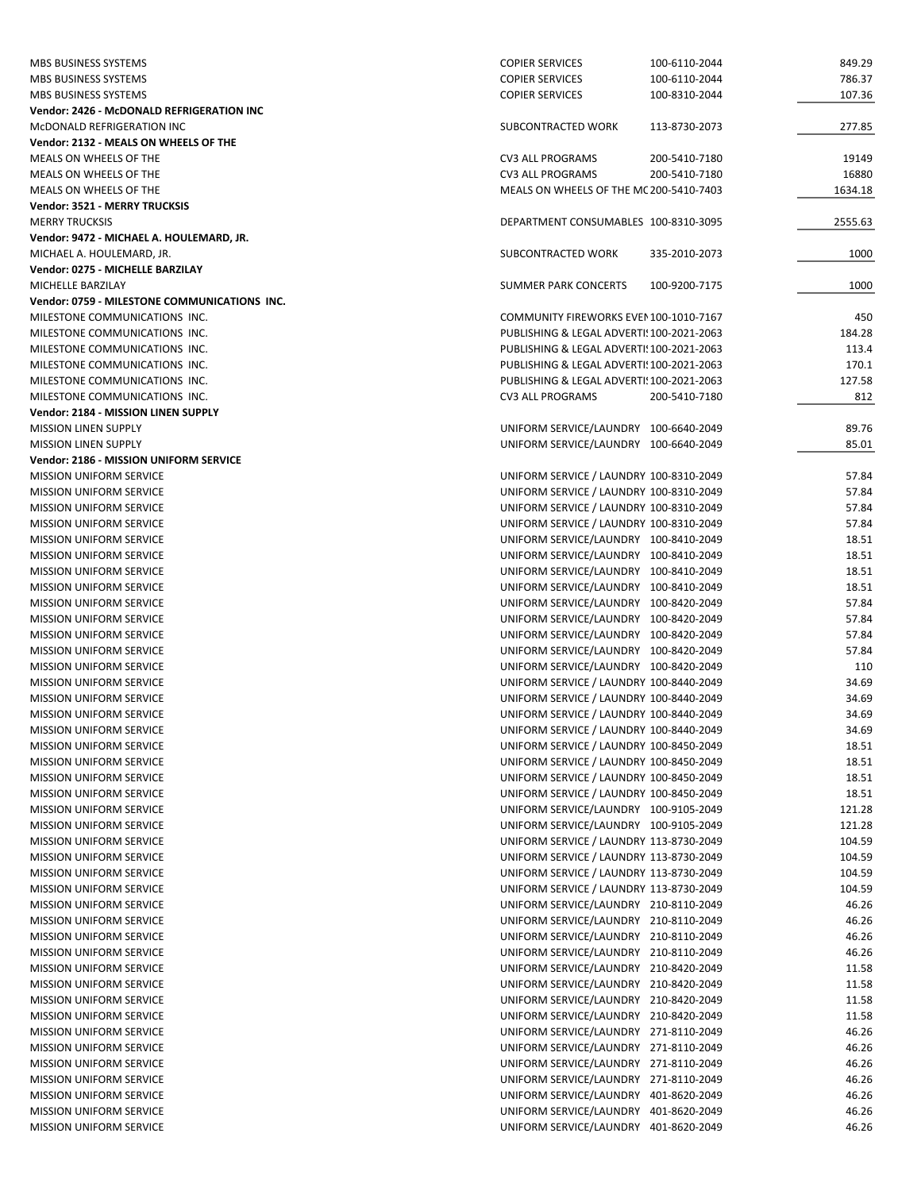| MBS BUSINESS SYSTEMS                                                  | <b>COPIER SERVICES</b>                                                             | 100-6110-2044 | 849.29           |
|-----------------------------------------------------------------------|------------------------------------------------------------------------------------|---------------|------------------|
| MBS BUSINESS SYSTEMS                                                  | <b>COPIER SERVICES</b>                                                             | 100-6110-2044 | 786.37           |
| MBS BUSINESS SYSTEMS                                                  | <b>COPIER SERVICES</b>                                                             | 100-8310-2044 | 107.36           |
| Vendor: 2426 - McDONALD REFRIGERATION INC                             |                                                                                    |               |                  |
| MCDONALD REFRIGERATION INC                                            | SUBCONTRACTED WORK                                                                 | 113-8730-2073 | 277.85           |
| Vendor: 2132 - MEALS ON WHEELS OF THE                                 |                                                                                    |               |                  |
| MEALS ON WHEELS OF THE                                                | <b>CV3 ALL PROGRAMS</b>                                                            | 200-5410-7180 | 19149            |
| MEALS ON WHEELS OF THE                                                | <b>CV3 ALL PROGRAMS</b>                                                            | 200-5410-7180 | 16880            |
| MEALS ON WHEELS OF THE                                                | MEALS ON WHEELS OF THE MC 200-5410-7403                                            |               | 1634.18          |
| Vendor: 3521 - MERRY TRUCKSIS<br><b>MERRY TRUCKSIS</b>                | DEPARTMENT CONSUMABLES 100-8310-3095                                               |               | 2555.63          |
| Vendor: 9472 - MICHAEL A. HOULEMARD, JR.                              |                                                                                    |               |                  |
| MICHAEL A. HOULEMARD, JR.                                             | SUBCONTRACTED WORK                                                                 | 335-2010-2073 | 1000             |
| Vendor: 0275 - MICHELLE BARZILAY                                      |                                                                                    |               |                  |
| MICHELLE BARZILAY                                                     | SUMMER PARK CONCERTS                                                               | 100-9200-7175 | 1000             |
| Vendor: 0759 - MILESTONE COMMUNICATIONS INC.                          |                                                                                    |               |                  |
| MILESTONE COMMUNICATIONS INC.                                         | COMMUNITY FIREWORKS EVEN 100-1010-7167                                             |               | 450              |
| MILESTONE COMMUNICATIONS INC.                                         | PUBLISHING & LEGAL ADVERTI! 100-2021-2063                                          |               | 184.28           |
| MILESTONE COMMUNICATIONS INC.                                         | PUBLISHING & LEGAL ADVERTI! 100-2021-2063                                          |               | 113.4            |
| MILESTONE COMMUNICATIONS INC.                                         | PUBLISHING & LEGAL ADVERTI! 100-2021-2063                                          |               | 170.1            |
| MILESTONE COMMUNICATIONS INC.                                         | PUBLISHING & LEGAL ADVERTI! 100-2021-2063                                          |               | 127.58           |
| MILESTONE COMMUNICATIONS INC.                                         | CV3 ALL PROGRAMS                                                                   | 200-5410-7180 | 812              |
| Vendor: 2184 - MISSION LINEN SUPPLY                                   |                                                                                    |               |                  |
| <b>MISSION LINEN SUPPLY</b>                                           | UNIFORM SERVICE/LAUNDRY 100-6640-2049                                              |               | 89.76<br>85.01   |
| <b>MISSION LINEN SUPPLY</b><br>Vendor: 2186 - MISSION UNIFORM SERVICE | UNIFORM SERVICE/LAUNDRY 100-6640-2049                                              |               |                  |
| <b>MISSION UNIFORM SERVICE</b>                                        | UNIFORM SERVICE / LAUNDRY 100-8310-2049                                            |               | 57.84            |
| <b>MISSION UNIFORM SERVICE</b>                                        | UNIFORM SERVICE / LAUNDRY 100-8310-2049                                            |               | 57.84            |
| <b>MISSION UNIFORM SERVICE</b>                                        | UNIFORM SERVICE / LAUNDRY 100-8310-2049                                            |               | 57.84            |
| <b>MISSION UNIFORM SERVICE</b>                                        | UNIFORM SERVICE / LAUNDRY 100-8310-2049                                            |               | 57.84            |
| <b>MISSION UNIFORM SERVICE</b>                                        | UNIFORM SERVICE/LAUNDRY 100-8410-2049                                              |               | 18.51            |
| <b>MISSION UNIFORM SERVICE</b>                                        | UNIFORM SERVICE/LAUNDRY 100-8410-2049                                              |               | 18.51            |
| <b>MISSION UNIFORM SERVICE</b>                                        | UNIFORM SERVICE/LAUNDRY 100-8410-2049                                              |               | 18.51            |
| <b>MISSION UNIFORM SERVICE</b>                                        | UNIFORM SERVICE/LAUNDRY 100-8410-2049                                              |               | 18.51            |
| <b>MISSION UNIFORM SERVICE</b>                                        | UNIFORM SERVICE/LAUNDRY 100-8420-2049                                              |               | 57.84            |
| <b>MISSION UNIFORM SERVICE</b>                                        | UNIFORM SERVICE/LAUNDRY 100-8420-2049                                              |               | 57.84            |
| <b>MISSION UNIFORM SERVICE</b>                                        | UNIFORM SERVICE/LAUNDRY 100-8420-2049                                              |               | 57.84            |
| <b>MISSION UNIFORM SERVICE</b><br><b>MISSION UNIFORM SERVICE</b>      | UNIFORM SERVICE/LAUNDRY 100-8420-2049<br>UNIFORM SERVICE/LAUNDRY 100-8420-2049     |               | 57.84<br>110     |
| <b>MISSION UNIFORM SERVICE</b>                                        | UNIFORM SERVICE / LAUNDRY 100-8440-2049                                            |               | 34.69            |
| <b>MISSION UNIFORM SERVICE</b>                                        | UNIFORM SERVICE / LAUNDRY 100-8440-2049                                            |               | 34.69            |
| <b>MISSION UNIFORM SERVICE</b>                                        | UNIFORM SERVICE / LAUNDRY 100-8440-2049                                            |               | 34.69            |
| <b>MISSION UNIFORM SERVICE</b>                                        | UNIFORM SERVICE / LAUNDRY 100-8440-2049                                            |               | 34.69            |
| <b>MISSION UNIFORM SERVICE</b>                                        | UNIFORM SERVICE / LAUNDRY 100-8450-2049                                            |               | 18.51            |
| <b>MISSION UNIFORM SERVICE</b>                                        | UNIFORM SERVICE / LAUNDRY 100-8450-2049                                            |               | 18.51            |
| MISSION UNIFORM SERVICE                                               | UNIFORM SERVICE / LAUNDRY 100-8450-2049                                            |               | 18.51            |
| <b>MISSION UNIFORM SERVICE</b>                                        | UNIFORM SERVICE / LAUNDRY 100-8450-2049                                            |               | 18.51            |
| <b>MISSION UNIFORM SERVICE</b>                                        | UNIFORM SERVICE/LAUNDRY 100-9105-2049                                              |               | 121.28           |
| <b>MISSION UNIFORM SERVICE</b>                                        | UNIFORM SERVICE/LAUNDRY 100-9105-2049                                              |               | 121.28           |
| MISSION UNIFORM SERVICE                                               | UNIFORM SERVICE / LAUNDRY 113-8730-2049                                            |               | 104.59           |
| <b>MISSION UNIFORM SERVICE</b><br><b>MISSION UNIFORM SERVICE</b>      | UNIFORM SERVICE / LAUNDRY 113-8730-2049<br>UNIFORM SERVICE / LAUNDRY 113-8730-2049 |               | 104.59<br>104.59 |
| <b>MISSION UNIFORM SERVICE</b>                                        | UNIFORM SERVICE / LAUNDRY 113-8730-2049                                            |               | 104.59           |
| <b>MISSION UNIFORM SERVICE</b>                                        | UNIFORM SERVICE/LAUNDRY 210-8110-2049                                              |               | 46.26            |
| <b>MISSION UNIFORM SERVICE</b>                                        | UNIFORM SERVICE/LAUNDRY 210-8110-2049                                              |               | 46.26            |
| <b>MISSION UNIFORM SERVICE</b>                                        | UNIFORM SERVICE/LAUNDRY 210-8110-2049                                              |               | 46.26            |
| <b>MISSION UNIFORM SERVICE</b>                                        | UNIFORM SERVICE/LAUNDRY 210-8110-2049                                              |               | 46.26            |
| <b>MISSION UNIFORM SERVICE</b>                                        | UNIFORM SERVICE/LAUNDRY 210-8420-2049                                              |               | 11.58            |
| <b>MISSION UNIFORM SERVICE</b>                                        | UNIFORM SERVICE/LAUNDRY 210-8420-2049                                              |               | 11.58            |
| <b>MISSION UNIFORM SERVICE</b>                                        | UNIFORM SERVICE/LAUNDRY 210-8420-2049                                              |               | 11.58            |
| <b>MISSION UNIFORM SERVICE</b>                                        | UNIFORM SERVICE/LAUNDRY 210-8420-2049                                              |               | 11.58            |
| <b>MISSION UNIFORM SERVICE</b>                                        | UNIFORM SERVICE/LAUNDRY 271-8110-2049                                              |               | 46.26            |
| <b>MISSION UNIFORM SERVICE</b>                                        | UNIFORM SERVICE/LAUNDRY 271-8110-2049                                              |               | 46.26            |
| <b>MISSION UNIFORM SERVICE</b>                                        | UNIFORM SERVICE/LAUNDRY 271-8110-2049                                              |               | 46.26            |
| MISSION UNIFORM SERVICE                                               | UNIFORM SERVICE/LAUNDRY 271-8110-2049                                              |               | 46.26            |
| MISSION UNIFORM SERVICE<br>MISSION UNIFORM SERVICE                    | UNIFORM SERVICE/LAUNDRY 401-8620-2049<br>UNIFORM SERVICE/LAUNDRY 401-8620-2049     |               | 46.26<br>46.26   |
| MISSION UNIFORM SERVICE                                               | UNIFORM SERVICE/LAUNDRY 401-8620-2049                                              |               | 46.26            |
|                                                                       |                                                                                    |               |                  |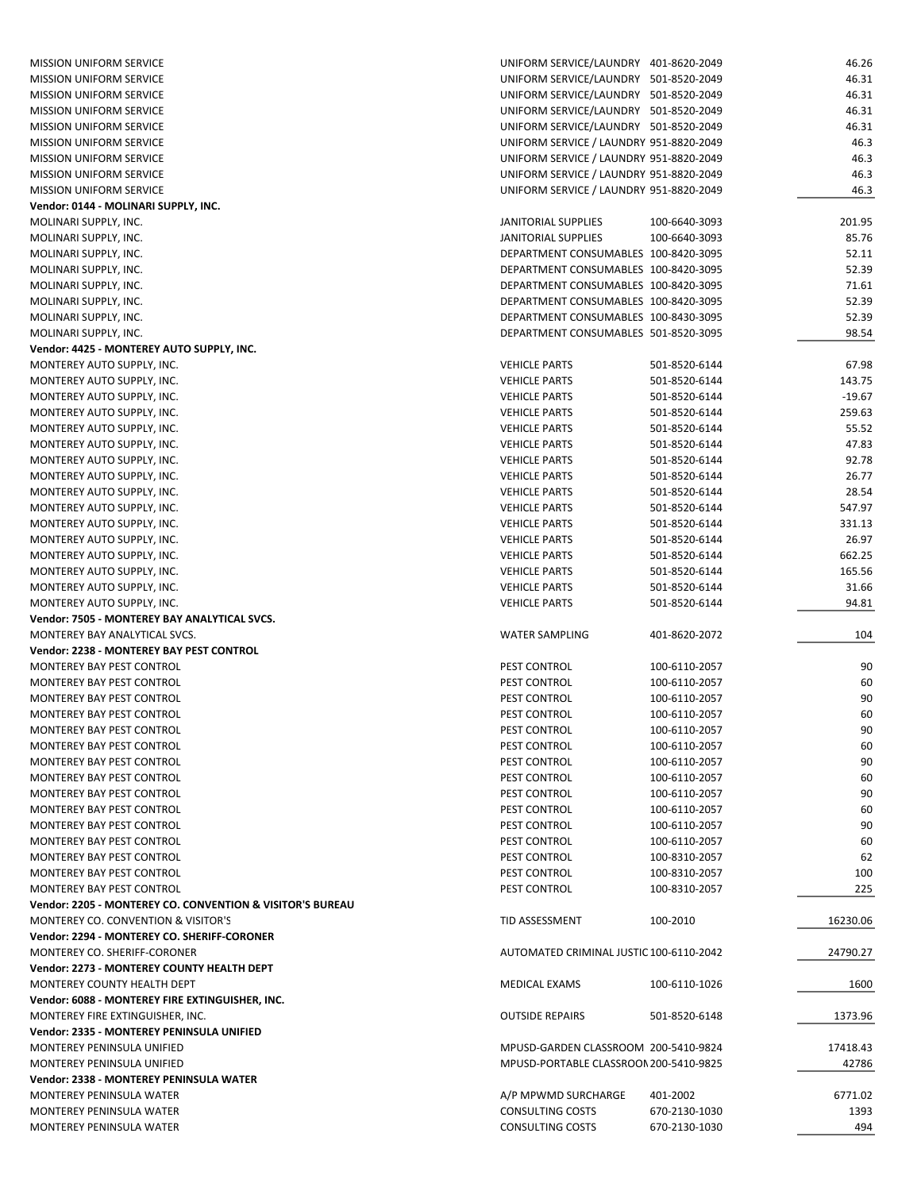| <b>MISSION UNIFORM SERVICE</b>                            | UNIFORM SERVICE/LAUNDRY 401-8620-2049              |                                | 46.26       |
|-----------------------------------------------------------|----------------------------------------------------|--------------------------------|-------------|
| <b>MISSION UNIFORM SERVICE</b>                            | UNIFORM SERVICE/LAUNDRY 501-8520-2049              |                                | 46.31       |
| <b>MISSION UNIFORM SERVICE</b>                            | UNIFORM SERVICE/LAUNDRY 501-8520-2049              |                                | 46.31       |
| <b>MISSION UNIFORM SERVICE</b>                            | UNIFORM SERVICE/LAUNDRY 501-8520-2049              |                                | 46.31       |
| <b>MISSION UNIFORM SERVICE</b>                            | UNIFORM SERVICE/LAUNDRY 501-8520-2049              |                                | 46.31       |
| <b>MISSION UNIFORM SERVICE</b>                            | UNIFORM SERVICE / LAUNDRY 951-8820-2049            |                                | 46.3        |
| <b>MISSION UNIFORM SERVICE</b>                            | UNIFORM SERVICE / LAUNDRY 951-8820-2049            |                                | 46.3        |
| <b>MISSION UNIFORM SERVICE</b>                            | UNIFORM SERVICE / LAUNDRY 951-8820-2049            |                                | 46.3        |
| <b>MISSION UNIFORM SERVICE</b>                            | UNIFORM SERVICE / LAUNDRY 951-8820-2049            |                                | 46.3        |
| Vendor: 0144 - MOLINARI SUPPLY, INC.                      |                                                    |                                |             |
| MOLINARI SUPPLY, INC.                                     | JANITORIAL SUPPLIES                                | 100-6640-3093                  | 201.95      |
| MOLINARI SUPPLY, INC.                                     | <b>JANITORIAL SUPPLIES</b>                         | 100-6640-3093                  | 85.76       |
| MOLINARI SUPPLY, INC.                                     | DEPARTMENT CONSUMABLES 100-8420-3095               |                                | 52.11       |
| MOLINARI SUPPLY, INC.                                     | DEPARTMENT CONSUMABLES 100-8420-3095               |                                | 52.39       |
| MOLINARI SUPPLY, INC.                                     | DEPARTMENT CONSUMABLES 100-8420-3095               |                                | 71.61       |
| MOLINARI SUPPLY, INC.                                     | DEPARTMENT CONSUMABLES 100-8420-3095               |                                | 52.39       |
| MOLINARI SUPPLY, INC.                                     | DEPARTMENT CONSUMABLES 100-8430-3095               |                                | 52.39       |
| MOLINARI SUPPLY, INC.                                     | DEPARTMENT CONSUMABLES 501-8520-3095               |                                | 98.54       |
| Vendor: 4425 - MONTEREY AUTO SUPPLY, INC.                 |                                                    |                                |             |
| MONTEREY AUTO SUPPLY, INC.                                | <b>VEHICLE PARTS</b>                               | 501-8520-6144                  | 67.98       |
|                                                           | <b>VEHICLE PARTS</b>                               | 501-8520-6144                  | 143.75      |
| MONTEREY AUTO SUPPLY, INC.                                |                                                    |                                |             |
| MONTEREY AUTO SUPPLY, INC.                                | <b>VEHICLE PARTS</b>                               | 501-8520-6144                  | $-19.67$    |
| MONTEREY AUTO SUPPLY, INC.                                | <b>VEHICLE PARTS</b>                               | 501-8520-6144                  | 259.63      |
| MONTEREY AUTO SUPPLY, INC.                                | <b>VEHICLE PARTS</b>                               | 501-8520-6144                  | 55.52       |
| MONTEREY AUTO SUPPLY, INC.                                | <b>VEHICLE PARTS</b>                               | 501-8520-6144                  | 47.83       |
| MONTEREY AUTO SUPPLY, INC.                                | <b>VEHICLE PARTS</b>                               | 501-8520-6144                  | 92.78       |
| MONTEREY AUTO SUPPLY, INC.                                | <b>VEHICLE PARTS</b>                               | 501-8520-6144                  | 26.77       |
| MONTEREY AUTO SUPPLY, INC.                                | <b>VEHICLE PARTS</b>                               | 501-8520-6144                  | 28.54       |
| MONTEREY AUTO SUPPLY, INC.                                | <b>VEHICLE PARTS</b>                               | 501-8520-6144                  | 547.97      |
| MONTEREY AUTO SUPPLY, INC.                                | <b>VEHICLE PARTS</b>                               | 501-8520-6144                  | 331.13      |
| MONTEREY AUTO SUPPLY, INC.                                | <b>VEHICLE PARTS</b>                               | 501-8520-6144                  | 26.97       |
| MONTEREY AUTO SUPPLY, INC.                                | <b>VEHICLE PARTS</b>                               | 501-8520-6144                  | 662.25      |
| MONTEREY AUTO SUPPLY, INC.                                | <b>VEHICLE PARTS</b>                               | 501-8520-6144                  | 165.56      |
| MONTEREY AUTO SUPPLY, INC.                                | <b>VEHICLE PARTS</b>                               | 501-8520-6144                  | 31.66       |
| MONTEREY AUTO SUPPLY, INC.                                | <b>VEHICLE PARTS</b>                               | 501-8520-6144                  | 94.81       |
| Vendor: 7505 - MONTEREY BAY ANALYTICAL SVCS.              |                                                    |                                |             |
| MONTEREY BAY ANALYTICAL SVCS.                             | <b>WATER SAMPLING</b>                              | 401-8620-2072                  | 104         |
| Vendor: 2238 - MONTEREY BAY PEST CONTROL                  |                                                    |                                |             |
| MONTEREY BAY PEST CONTROL                                 | PEST CONTROL                                       | 100-6110-2057                  | 90          |
| <b>MONTEREY BAY PEST CONTROL</b>                          | PEST CONTROL                                       | 100-6110-2057                  | 60          |
| MONTEREY BAY PEST CONTROL                                 | PEST CONTROL                                       | 100-6110-2057                  | 90          |
| MONTEREY BAY PEST CONTROL                                 | PEST CONTROL                                       | 100-6110-2057                  | 60          |
| MONTEREY BAY PEST CONTROL                                 | PEST CONTROL                                       | 100-6110-2057                  | 90          |
| MONTEREY BAY PEST CONTROL                                 | PEST CONTROL                                       | 100-6110-2057                  | 60          |
| MONTEREY BAY PEST CONTROL                                 | PEST CONTROL                                       | 100-6110-2057                  | 90          |
| MONTEREY BAY PEST CONTROL                                 | PEST CONTROL                                       | 100-6110-2057                  | 60          |
| MONTEREY BAY PEST CONTROL                                 | PEST CONTROL                                       | 100-6110-2057                  | 90          |
| MONTEREY BAY PEST CONTROL                                 | PEST CONTROL                                       | 100-6110-2057                  | 60          |
| MONTEREY BAY PEST CONTROL                                 | PEST CONTROL                                       | 100-6110-2057                  | 90          |
| MONTEREY BAY PEST CONTROL                                 | PEST CONTROL                                       | 100-6110-2057                  | 60          |
| MONTEREY BAY PEST CONTROL                                 | PEST CONTROL                                       | 100-8310-2057                  | 62          |
| <b>MONTEREY BAY PEST CONTROL</b>                          | PEST CONTROL                                       | 100-8310-2057                  | 100         |
| MONTEREY BAY PEST CONTROL                                 | PEST CONTROL                                       | 100-8310-2057                  | 225         |
| Vendor: 2205 - MONTEREY CO. CONVENTION & VISITOR'S BUREAU |                                                    |                                |             |
| MONTEREY CO. CONVENTION & VISITOR'S                       | TID ASSESSMENT                                     | 100-2010                       | 16230.06    |
| Vendor: 2294 - MONTEREY CO. SHERIFF-CORONER               |                                                    |                                |             |
| MONTEREY CO. SHERIFF-CORONER                              | AUTOMATED CRIMINAL JUSTIC 100-6110-2042            |                                | 24790.27    |
|                                                           |                                                    |                                |             |
| Vendor: 2273 - MONTEREY COUNTY HEALTH DEPT                |                                                    |                                |             |
|                                                           |                                                    |                                |             |
| MONTEREY COUNTY HEALTH DEPT                               | MEDICAL EXAMS                                      | 100-6110-1026                  | 1600        |
| Vendor: 6088 - MONTEREY FIRE EXTINGUISHER, INC.           |                                                    |                                |             |
| MONTEREY FIRE EXTINGUISHER, INC.                          | <b>OUTSIDE REPAIRS</b>                             | 501-8520-6148                  | 1373.96     |
| Vendor: 2335 - MONTEREY PENINSULA UNIFIED                 |                                                    |                                |             |
| MONTEREY PENINSULA UNIFIED                                | MPUSD-GARDEN CLASSROOM 200-5410-9824               |                                | 17418.43    |
| MONTEREY PENINSULA UNIFIED                                | MPUSD-PORTABLE CLASSROON 200-5410-9825             |                                | 42786       |
| Vendor: 2338 - MONTEREY PENINSULA WATER                   |                                                    |                                |             |
| <b>MONTEREY PENINSULA WATER</b>                           | A/P MPWMD SURCHARGE                                | 401-2002                       | 6771.02     |
| MONTEREY PENINSULA WATER<br>MONTEREY PENINSULA WATER      | <b>CONSULTING COSTS</b><br><b>CONSULTING COSTS</b> | 670-2130-1030<br>670-2130-1030 | 1393<br>494 |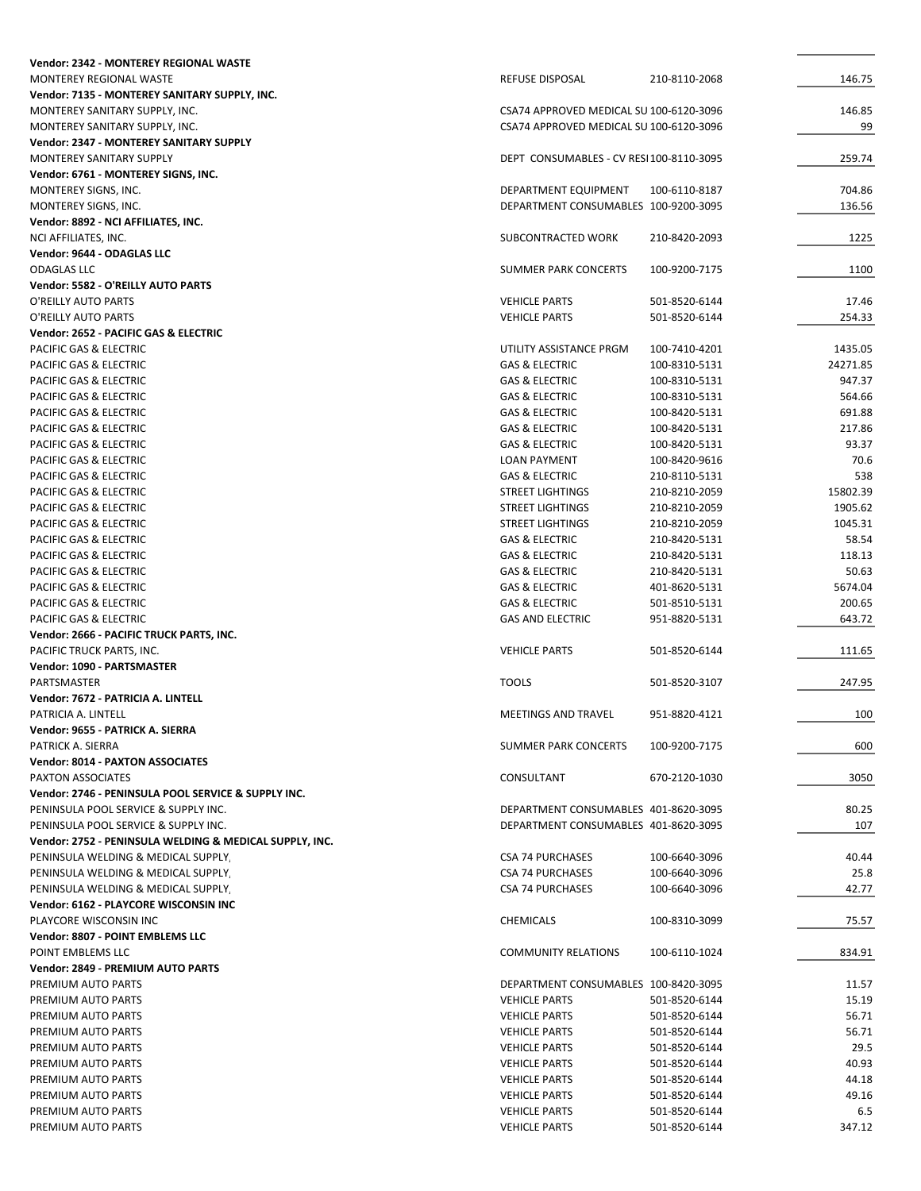| Vendor: 2342 - MONTEREY REGIONAL WASTE                  |                                         |               |          |
|---------------------------------------------------------|-----------------------------------------|---------------|----------|
| MONTEREY REGIONAL WASTE                                 | REFUSE DISPOSAL                         | 210-8110-2068 | 146.75   |
| Vendor: 7135 - MONTEREY SANITARY SUPPLY, INC.           |                                         |               |          |
| MONTEREY SANITARY SUPPLY, INC.                          | CSA74 APPROVED MEDICAL SU 100-6120-3096 |               | 146.85   |
| MONTEREY SANITARY SUPPLY, INC.                          | CSA74 APPROVED MEDICAL SU 100-6120-3096 |               | 99       |
| Vendor: 2347 - MONTEREY SANITARY SUPPLY                 |                                         |               |          |
| MONTEREY SANITARY SUPPLY                                | DEPT CONSUMABLES - CV RESI100-8110-3095 |               | 259.74   |
| Vendor: 6761 - MONTEREY SIGNS, INC.                     |                                         |               |          |
|                                                         |                                         |               |          |
| MONTEREY SIGNS, INC.                                    | DEPARTMENT EQUIPMENT                    | 100-6110-8187 | 704.86   |
| MONTEREY SIGNS, INC.                                    | DEPARTMENT CONSUMABLES 100-9200-3095    |               | 136.56   |
| Vendor: 8892 - NCI AFFILIATES, INC.                     |                                         |               |          |
| NCI AFFILIATES, INC.                                    | SUBCONTRACTED WORK                      | 210-8420-2093 | 1225     |
| Vendor: 9644 - ODAGLAS LLC                              |                                         |               |          |
| <b>ODAGLAS LLC</b>                                      | SUMMER PARK CONCERTS                    | 100-9200-7175 | 1100     |
| Vendor: 5582 - O'REILLY AUTO PARTS                      |                                         |               |          |
| O'REILLY AUTO PARTS                                     | <b>VEHICLE PARTS</b>                    | 501-8520-6144 | 17.46    |
| O'REILLY AUTO PARTS                                     | <b>VEHICLE PARTS</b>                    | 501-8520-6144 | 254.33   |
| Vendor: 2652 - PACIFIC GAS & ELECTRIC                   |                                         |               |          |
| PACIFIC GAS & ELECTRIC                                  | UTILITY ASSISTANCE PRGM                 | 100-7410-4201 | 1435.05  |
| PACIFIC GAS & ELECTRIC                                  | <b>GAS &amp; ELECTRIC</b>               | 100-8310-5131 | 24271.85 |
| PACIFIC GAS & ELECTRIC                                  | <b>GAS &amp; ELECTRIC</b>               | 100-8310-5131 | 947.37   |
| PACIFIC GAS & ELECTRIC                                  | <b>GAS &amp; ELECTRIC</b>               | 100-8310-5131 | 564.66   |
|                                                         |                                         |               |          |
| PACIFIC GAS & ELECTRIC                                  | <b>GAS &amp; ELECTRIC</b>               | 100-8420-5131 | 691.88   |
| <b>PACIFIC GAS &amp; ELECTRIC</b>                       | <b>GAS &amp; ELECTRIC</b>               | 100-8420-5131 | 217.86   |
| PACIFIC GAS & ELECTRIC                                  | <b>GAS &amp; ELECTRIC</b>               | 100-8420-5131 | 93.37    |
| PACIFIC GAS & ELECTRIC                                  | <b>LOAN PAYMENT</b>                     | 100-8420-9616 | 70.6     |
| PACIFIC GAS & ELECTRIC                                  | <b>GAS &amp; ELECTRIC</b>               | 210-8110-5131 | 538      |
| PACIFIC GAS & ELECTRIC                                  | <b>STREET LIGHTINGS</b>                 | 210-8210-2059 | 15802.39 |
| PACIFIC GAS & ELECTRIC                                  | <b>STREET LIGHTINGS</b>                 | 210-8210-2059 | 1905.62  |
| PACIFIC GAS & ELECTRIC                                  | <b>STREET LIGHTINGS</b>                 | 210-8210-2059 | 1045.31  |
| PACIFIC GAS & ELECTRIC                                  | <b>GAS &amp; ELECTRIC</b>               | 210-8420-5131 | 58.54    |
| PACIFIC GAS & ELECTRIC                                  | <b>GAS &amp; ELECTRIC</b>               | 210-8420-5131 | 118.13   |
| PACIFIC GAS & ELECTRIC                                  | <b>GAS &amp; ELECTRIC</b>               | 210-8420-5131 | 50.63    |
| PACIFIC GAS & ELECTRIC                                  | <b>GAS &amp; ELECTRIC</b>               | 401-8620-5131 | 5674.04  |
| PACIFIC GAS & ELECTRIC                                  | <b>GAS &amp; ELECTRIC</b>               | 501-8510-5131 | 200.65   |
| PACIFIC GAS & ELECTRIC                                  | <b>GAS AND ELECTRIC</b>                 | 951-8820-5131 | 643.72   |
|                                                         |                                         |               |          |
| Vendor: 2666 - PACIFIC TRUCK PARTS, INC.                |                                         |               |          |
| PACIFIC TRUCK PARTS, INC.                               | <b>VEHICLE PARTS</b>                    | 501-8520-6144 | 111.65   |
| Vendor: 1090 - PARTSMASTER                              |                                         |               |          |
| PARTSMASTER                                             | <b>TOOLS</b>                            | 501-8520-3107 | 247.95   |
| Vendor: 7672 - PATRICIA A. LINTELL                      |                                         |               |          |
| PATRICIA A. LINTELL                                     | <b>MEETINGS AND TRAVEL</b>              | 951-8820-4121 | 100      |
| Vendor: 9655 - PATRICK A. SIERRA                        |                                         |               |          |
| PATRICK A. SIERRA                                       | SUMMER PARK CONCERTS                    | 100-9200-7175 | 600      |
| Vendor: 8014 - PAXTON ASSOCIATES                        |                                         |               |          |
| PAXTON ASSOCIATES                                       | CONSULTANT                              | 670-2120-1030 | 3050     |
| Vendor: 2746 - PENINSULA POOL SERVICE & SUPPLY INC.     |                                         |               |          |
| PENINSULA POOL SERVICE & SUPPLY INC.                    | DEPARTMENT CONSUMABLES 401-8620-3095    |               | 80.25    |
| PENINSULA POOL SERVICE & SUPPLY INC.                    | DEPARTMENT CONSUMABLES 401-8620-3095    |               | 107      |
| Vendor: 2752 - PENINSULA WELDING & MEDICAL SUPPLY, INC. |                                         |               |          |
| PENINSULA WELDING & MEDICAL SUPPLY                      | <b>CSA 74 PURCHASES</b>                 | 100-6640-3096 | 40.44    |
|                                                         |                                         |               |          |
| PENINSULA WELDING & MEDICAL SUPPLY.                     | <b>CSA 74 PURCHASES</b>                 | 100-6640-3096 | 25.8     |
| PENINSULA WELDING & MEDICAL SUPPLY,                     | <b>CSA 74 PURCHASES</b>                 | 100-6640-3096 | 42.77    |
| Vendor: 6162 - PLAYCORE WISCONSIN INC                   |                                         |               |          |
| PLAYCORE WISCONSIN INC                                  | CHEMICALS                               | 100-8310-3099 | 75.57    |
| Vendor: 8807 - POINT EMBLEMS LLC                        |                                         |               |          |
| POINT EMBLEMS LLC                                       | <b>COMMUNITY RELATIONS</b>              | 100-6110-1024 | 834.91   |
| Vendor: 2849 - PREMIUM AUTO PARTS                       |                                         |               |          |
| PREMIUM AUTO PARTS                                      | DEPARTMENT CONSUMABLES 100-8420-3095    |               | 11.57    |
| PREMIUM AUTO PARTS                                      | <b>VEHICLE PARTS</b>                    | 501-8520-6144 | 15.19    |
| PREMIUM AUTO PARTS                                      | <b>VEHICLE PARTS</b>                    | 501-8520-6144 | 56.71    |
| PREMIUM AUTO PARTS                                      | <b>VEHICLE PARTS</b>                    | 501-8520-6144 | 56.71    |
| PREMIUM AUTO PARTS                                      | <b>VEHICLE PARTS</b>                    | 501-8520-6144 | 29.5     |
| PREMIUM AUTO PARTS                                      | <b>VEHICLE PARTS</b>                    | 501-8520-6144 | 40.93    |
|                                                         |                                         |               |          |
| PREMIUM AUTO PARTS                                      | <b>VEHICLE PARTS</b>                    | 501-8520-6144 | 44.18    |
| PREMIUM AUTO PARTS                                      | <b>VEHICLE PARTS</b>                    | 501-8520-6144 | 49.16    |
| PREMIUM AUTO PARTS                                      | <b>VEHICLE PARTS</b>                    | 501-8520-6144 | 6.5      |
| PREMIUM AUTO PARTS                                      | <b>VEHICLE PARTS</b>                    | 501-8520-6144 | 347.12   |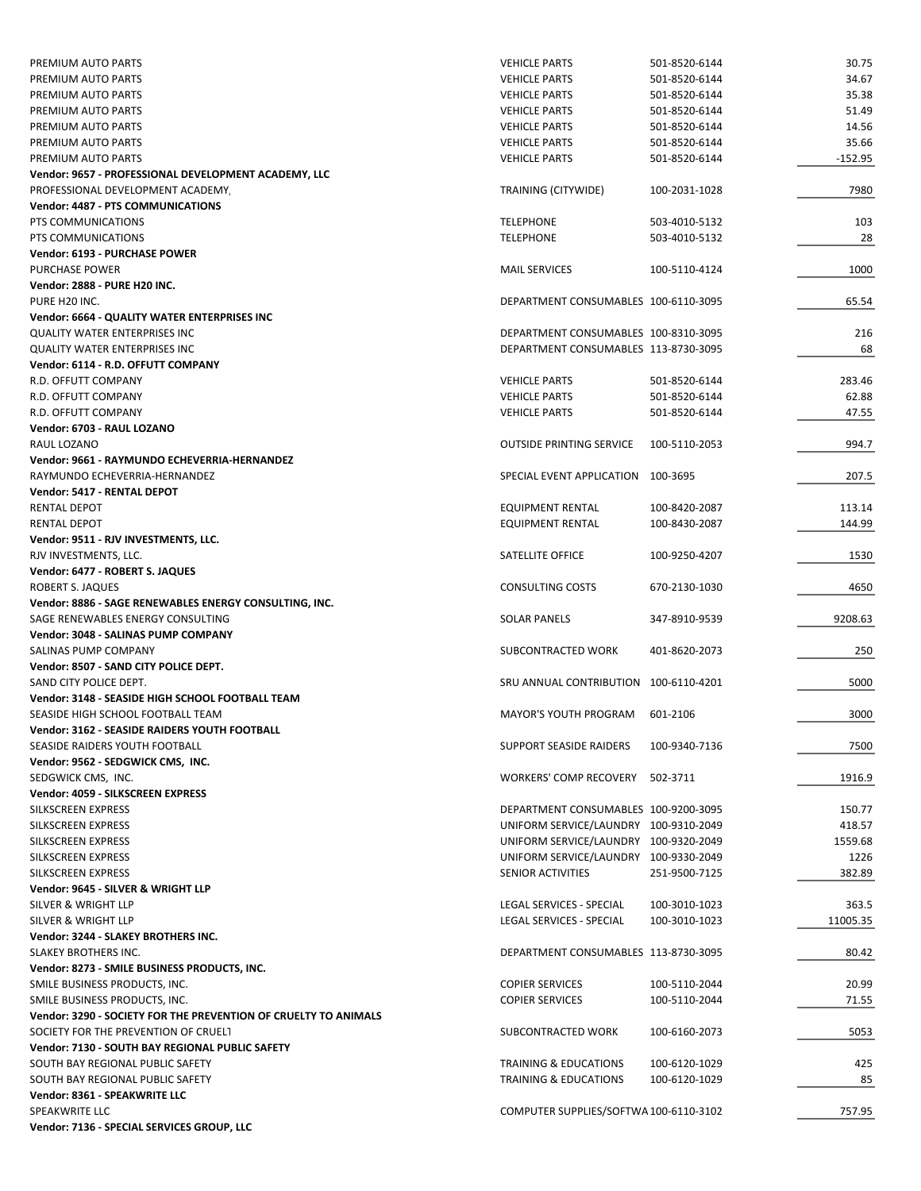| PREMIUM AUTO PARTS                                              | <b>VEHICLE PARTS</b>                   | 501-8520-6144 | 30.75     |
|-----------------------------------------------------------------|----------------------------------------|---------------|-----------|
| PREMIUM AUTO PARTS                                              | <b>VEHICLE PARTS</b>                   | 501-8520-6144 | 34.67     |
| PREMIUM AUTO PARTS                                              | <b>VEHICLE PARTS</b>                   | 501-8520-6144 | 35.38     |
| PREMIUM AUTO PARTS                                              | <b>VEHICLE PARTS</b>                   | 501-8520-6144 | 51.49     |
| PREMIUM AUTO PARTS                                              | <b>VEHICLE PARTS</b>                   | 501-8520-6144 | 14.56     |
| PREMIUM AUTO PARTS                                              | <b>VEHICLE PARTS</b>                   | 501-8520-6144 | 35.66     |
| PREMIUM AUTO PARTS                                              | <b>VEHICLE PARTS</b>                   | 501-8520-6144 | $-152.95$ |
| Vendor: 9657 - PROFESSIONAL DEVELOPMENT ACADEMY, LLC            |                                        |               |           |
| PROFESSIONAL DEVELOPMENT ACADEMY                                | TRAINING (CITYWIDE)                    | 100-2031-1028 | 7980      |
| Vendor: 4487 - PTS COMMUNICATIONS                               |                                        |               |           |
| PTS COMMUNICATIONS                                              | <b>TELEPHONE</b>                       | 503-4010-5132 | 103       |
| PTS COMMUNICATIONS                                              | <b>TELEPHONE</b>                       | 503-4010-5132 | 28        |
| Vendor: 6193 - PURCHASE POWER                                   |                                        |               |           |
| <b>PURCHASE POWER</b>                                           | <b>MAIL SERVICES</b>                   | 100-5110-4124 | 1000      |
| <b>Vendor: 2888 - PURE H20 INC.</b>                             |                                        |               |           |
| PURE H20 INC.                                                   | DEPARTMENT CONSUMABLES 100-6110-3095   |               | 65.54     |
| Vendor: 6664 - QUALITY WATER ENTERPRISES INC                    |                                        |               |           |
| <b>QUALITY WATER ENTERPRISES INC</b>                            | DEPARTMENT CONSUMABLES 100-8310-3095   |               | 216       |
| <b>QUALITY WATER ENTERPRISES INC</b>                            | DEPARTMENT CONSUMABLES 113-8730-3095   |               | 68        |
| Vendor: 6114 - R.D. OFFUTT COMPANY                              |                                        |               |           |
| R.D. OFFUTT COMPANY                                             | <b>VEHICLE PARTS</b>                   | 501-8520-6144 | 283.46    |
| R.D. OFFUTT COMPANY                                             | <b>VEHICLE PARTS</b>                   | 501-8520-6144 | 62.88     |
| R.D. OFFUTT COMPANY                                             | <b>VEHICLE PARTS</b>                   | 501-8520-6144 | 47.55     |
| Vendor: 6703 - RAUL LOZANO                                      |                                        |               |           |
| RAUL LOZANO                                                     | <b>OUTSIDE PRINTING SERVICE</b>        | 100-5110-2053 | 994.7     |
| Vendor: 9661 - RAYMUNDO ECHEVERRIA-HERNANDEZ                    |                                        |               |           |
| RAYMUNDO ECHEVERRIA-HERNANDEZ                                   | SPECIAL EVENT APPLICATION 100-3695     |               | 207.5     |
| Vendor: 5417 - RENTAL DEPOT                                     |                                        |               |           |
| RENTAL DEPOT                                                    | <b>EQUIPMENT RENTAL</b>                | 100-8420-2087 | 113.14    |
| RENTAL DEPOT                                                    | <b>EQUIPMENT RENTAL</b>                | 100-8430-2087 | 144.99    |
| Vendor: 9511 - RJV INVESTMENTS, LLC.                            |                                        |               |           |
| RJV INVESTMENTS, LLC.                                           | SATELLITE OFFICE                       | 100-9250-4207 | 1530      |
| Vendor: 6477 - ROBERT S. JAQUES                                 |                                        |               |           |
| ROBERT S. JAQUES                                                | <b>CONSULTING COSTS</b>                | 670-2130-1030 | 4650      |
| Vendor: 8886 - SAGE RENEWABLES ENERGY CONSULTING, INC.          |                                        |               |           |
|                                                                 |                                        |               |           |
| SAGE RENEWABLES ENERGY CONSULTING                               | <b>SOLAR PANELS</b>                    | 347-8910-9539 | 9208.63   |
| Vendor: 3048 - SALINAS PUMP COMPANY                             |                                        |               |           |
| SALINAS PUMP COMPANY                                            | SUBCONTRACTED WORK                     | 401-8620-2073 | 250       |
| Vendor: 8507 - SAND CITY POLICE DEPT.                           |                                        |               |           |
| SAND CITY POLICE DEPT.                                          | SRU ANNUAL CONTRIBUTION 100-6110-4201  |               | 5000      |
| Vendor: 3148 - SEASIDE HIGH SCHOOL FOOTBALL TEAM                |                                        |               |           |
| SEASIDE HIGH SCHOOL FOOTBALL TEAM                               | <b>MAYOR'S YOUTH PROGRAM</b>           | 601-2106      | 3000      |
| Vendor: 3162 - SEASIDE RAIDERS YOUTH FOOTBALL                   |                                        |               |           |
| SEASIDE RAIDERS YOUTH FOOTBALL                                  | SUPPORT SEASIDE RAIDERS                | 100-9340-7136 | 7500      |
| Vendor: 9562 - SEDGWICK CMS, INC.                               |                                        |               |           |
| SEDGWICK CMS, INC.                                              | WORKERS' COMP RECOVERY 502-3711        |               | 1916.9    |
| Vendor: 4059 - SILKSCREEN EXPRESS                               |                                        |               |           |
| SILKSCREEN EXPRESS                                              | DEPARTMENT CONSUMABLES 100-9200-3095   |               | 150.77    |
| SILKSCREEN EXPRESS                                              | UNIFORM SERVICE/LAUNDRY 100-9310-2049  |               | 418.57    |
| SILKSCREEN EXPRESS                                              | UNIFORM SERVICE/LAUNDRY 100-9320-2049  |               | 1559.68   |
| SILKSCREEN EXPRESS                                              | UNIFORM SERVICE/LAUNDRY 100-9330-2049  |               | 1226      |
| SILKSCREEN EXPRESS                                              | <b>SENIOR ACTIVITIES</b>               | 251-9500-7125 | 382.89    |
| Vendor: 9645 - SILVER & WRIGHT LLP                              |                                        |               |           |
| SILVER & WRIGHT LLP                                             | LEGAL SERVICES - SPECIAL               | 100-3010-1023 | 363.5     |
| SILVER & WRIGHT LLP                                             | LEGAL SERVICES - SPECIAL               | 100-3010-1023 | 11005.35  |
| Vendor: 3244 - SLAKEY BROTHERS INC.                             |                                        |               |           |
| SLAKEY BROTHERS INC.                                            | DEPARTMENT CONSUMABLES 113-8730-3095   |               | 80.42     |
| Vendor: 8273 - SMILE BUSINESS PRODUCTS, INC.                    |                                        |               |           |
| SMILE BUSINESS PRODUCTS, INC.                                   | <b>COPIER SERVICES</b>                 | 100-5110-2044 | 20.99     |
| SMILE BUSINESS PRODUCTS, INC.                                   | <b>COPIER SERVICES</b>                 | 100-5110-2044 | 71.55     |
| Vendor: 3290 - SOCIETY FOR THE PREVENTION OF CRUELTY TO ANIMALS |                                        |               |           |
| SOCIETY FOR THE PREVENTION OF CRUELT                            | SUBCONTRACTED WORK                     | 100-6160-2073 | 5053      |
| Vendor: 7130 - SOUTH BAY REGIONAL PUBLIC SAFETY                 |                                        |               |           |
| SOUTH BAY REGIONAL PUBLIC SAFETY                                | TRAINING & EDUCATIONS                  | 100-6120-1029 | 425       |
| SOUTH BAY REGIONAL PUBLIC SAFETY                                | TRAINING & EDUCATIONS                  | 100-6120-1029 | 85        |
| Vendor: 8361 - SPEAKWRITE LLC                                   |                                        |               |           |
| SPEAKWRITE LLC                                                  | COMPUTER SUPPLIES/SOFTWA 100-6110-3102 |               | 757.95    |
| Vendor: 7136 - SPECIAL SERVICES GROUP, LLC                      |                                        |               |           |
|                                                                 |                                        |               |           |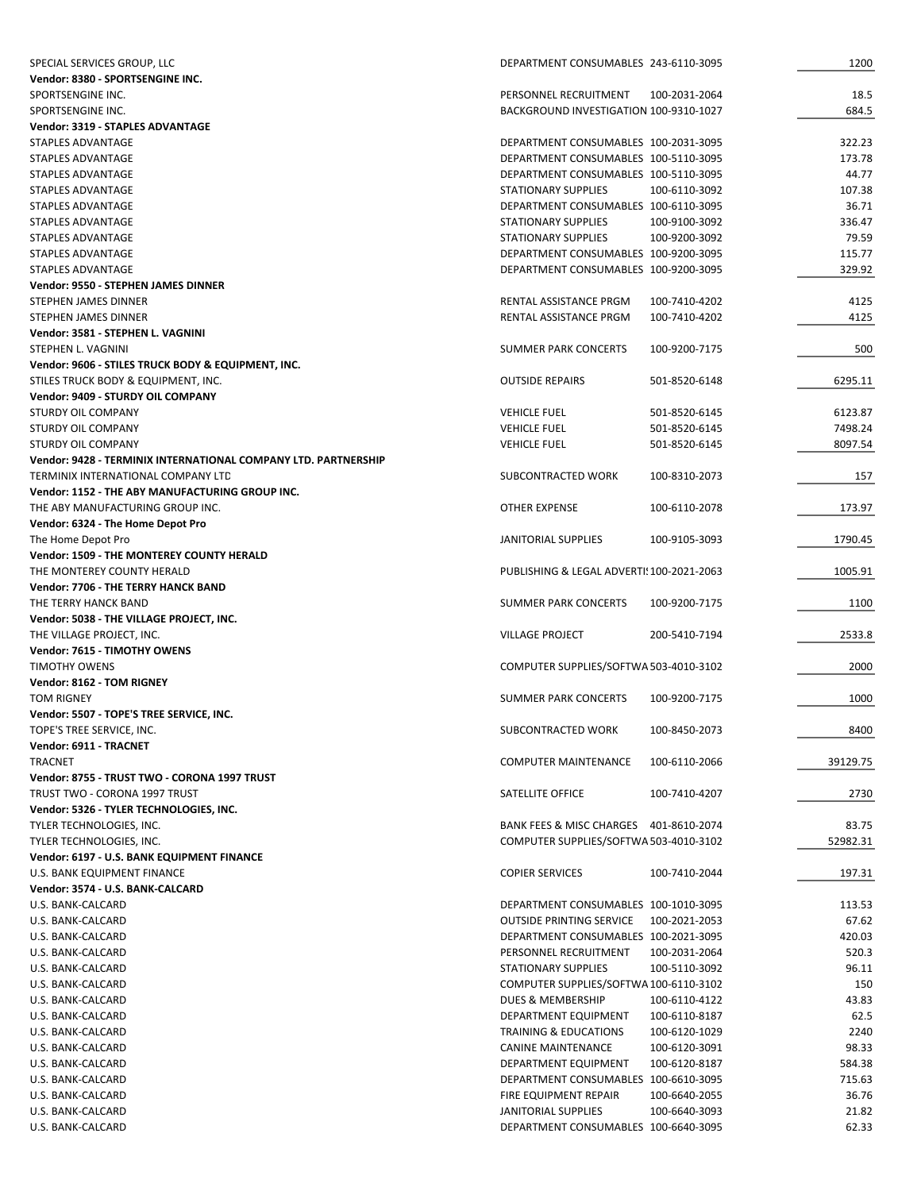| SPECIAL SERVICES GROUP, LLC                                    | DEPARTMENT CONSUMABLES 243-6110-3095             | 1200     |
|----------------------------------------------------------------|--------------------------------------------------|----------|
| Vendor: 8380 - SPORTSENGINE INC.                               |                                                  |          |
| SPORTSENGINE INC.                                              | PERSONNEL RECRUITMENT<br>100-2031-2064           | 18.5     |
| SPORTSENGINE INC.                                              | BACKGROUND INVESTIGATION 100-9310-1027           | 684.5    |
| Vendor: 3319 - STAPLES ADVANTAGE                               |                                                  |          |
| STAPLES ADVANTAGE                                              | DEPARTMENT CONSUMABLES 100-2031-3095             | 322.23   |
| <b>STAPLES ADVANTAGE</b>                                       | DEPARTMENT CONSUMABLES 100-5110-3095             | 173.78   |
| STAPLES ADVANTAGE                                              | DEPARTMENT CONSUMABLES 100-5110-3095             | 44.77    |
| STAPLES ADVANTAGE                                              | <b>STATIONARY SUPPLIES</b><br>100-6110-3092      | 107.38   |
| STAPLES ADVANTAGE                                              | DEPARTMENT CONSUMABLES 100-6110-3095             | 36.71    |
| STAPLES ADVANTAGE                                              | <b>STATIONARY SUPPLIES</b><br>100-9100-3092      | 336.47   |
| STAPLES ADVANTAGE                                              | <b>STATIONARY SUPPLIES</b><br>100-9200-3092      | 79.59    |
| <b>STAPLES ADVANTAGE</b>                                       | DEPARTMENT CONSUMABLES 100-9200-3095             | 115.77   |
| STAPLES ADVANTAGE                                              | DEPARTMENT CONSUMABLES 100-9200-3095             | 329.92   |
| Vendor: 9550 - STEPHEN JAMES DINNER                            |                                                  |          |
| STEPHEN JAMES DINNER                                           | RENTAL ASSISTANCE PRGM<br>100-7410-4202          | 4125     |
| STEPHEN JAMES DINNER                                           | RENTAL ASSISTANCE PRGM<br>100-7410-4202          | 4125     |
| Vendor: 3581 - STEPHEN L. VAGNINI                              |                                                  |          |
| STEPHEN L. VAGNINI                                             | <b>SUMMER PARK CONCERTS</b><br>100-9200-7175     | 500      |
| Vendor: 9606 - STILES TRUCK BODY & EQUIPMENT, INC.             |                                                  |          |
| STILES TRUCK BODY & EQUIPMENT, INC.                            | <b>OUTSIDE REPAIRS</b><br>501-8520-6148          | 6295.11  |
| Vendor: 9409 - STURDY OIL COMPANY                              |                                                  |          |
| <b>STURDY OIL COMPANY</b>                                      | <b>VEHICLE FUEL</b><br>501-8520-6145             | 6123.87  |
| STURDY OIL COMPANY                                             | <b>VEHICLE FUEL</b><br>501-8520-6145             | 7498.24  |
| <b>STURDY OIL COMPANY</b>                                      | <b>VEHICLE FUEL</b><br>501-8520-6145             | 8097.54  |
| Vendor: 9428 - TERMINIX INTERNATIONAL COMPANY LTD. PARTNERSHIP |                                                  |          |
| TERMINIX INTERNATIONAL COMPANY LTD                             | SUBCONTRACTED WORK<br>100-8310-2073              | 157      |
| Vendor: 1152 - THE ABY MANUFACTURING GROUP INC.                |                                                  |          |
| THE ABY MANUFACTURING GROUP INC.                               | OTHER EXPENSE<br>100-6110-2078                   | 173.97   |
| Vendor: 6324 - The Home Depot Pro                              |                                                  |          |
| The Home Depot Pro                                             | JANITORIAL SUPPLIES<br>100-9105-3093             | 1790.45  |
| Vendor: 1509 - THE MONTEREY COUNTY HERALD                      |                                                  |          |
| THE MONTEREY COUNTY HERALD                                     | PUBLISHING & LEGAL ADVERTI! 100-2021-2063        | 1005.91  |
| Vendor: 7706 - THE TERRY HANCK BAND                            |                                                  |          |
| THE TERRY HANCK BAND                                           | <b>SUMMER PARK CONCERTS</b><br>100-9200-7175     | 1100     |
| Vendor: 5038 - THE VILLAGE PROJECT, INC.                       |                                                  |          |
| THE VILLAGE PROJECT, INC.                                      | <b>VILLAGE PROJECT</b><br>200-5410-7194          | 2533.8   |
| Vendor: 7615 - TIMOTHY OWENS                                   |                                                  |          |
| <b>TIMOTHY OWENS</b>                                           | COMPUTER SUPPLIES/SOFTWA 503-4010-3102           | 2000     |
| Vendor: 8162 - TOM RIGNEY                                      |                                                  |          |
| <b>TOM RIGNEY</b>                                              | SUMMER PARK CONCERTS<br>100-9200-7175            | 1000     |
| Vendor: 5507 - TOPE'S TREE SERVICE, INC.                       |                                                  |          |
| TOPE'S TREE SERVICE, INC.                                      | SUBCONTRACTED WORK<br>100-8450-2073              | 8400     |
| Vendor: 6911 - TRACNET                                         |                                                  |          |
| <b>TRACNET</b>                                                 | <b>COMPUTER MAINTENANCE</b><br>100-6110-2066     | 39129.75 |
| Vendor: 8755 - TRUST TWO - CORONA 1997 TRUST                   |                                                  |          |
| TRUST TWO - CORONA 1997 TRUST                                  | SATELLITE OFFICE<br>100-7410-4207                | 2730     |
| Vendor: 5326 - TYLER TECHNOLOGIES, INC.                        |                                                  |          |
| TYLER TECHNOLOGIES, INC.                                       | BANK FEES & MISC CHARGES 401-8610-2074           | 83.75    |
| TYLER TECHNOLOGIES, INC.                                       | COMPUTER SUPPLIES/SOFTWA 503-4010-3102           | 52982.31 |
| Vendor: 6197 - U.S. BANK EQUIPMENT FINANCE                     |                                                  |          |
| U.S. BANK EQUIPMENT FINANCE                                    | <b>COPIER SERVICES</b><br>100-7410-2044          | 197.31   |
| Vendor: 3574 - U.S. BANK-CALCARD                               |                                                  |          |
| U.S. BANK-CALCARD                                              | DEPARTMENT CONSUMABLES 100-1010-3095             | 113.53   |
| U.S. BANK-CALCARD                                              | <b>OUTSIDE PRINTING SERVICE</b><br>100-2021-2053 | 67.62    |
| U.S. BANK-CALCARD                                              | DEPARTMENT CONSUMABLES 100-2021-3095             | 420.03   |
| U.S. BANK-CALCARD                                              | PERSONNEL RECRUITMENT<br>100-2031-2064           | 520.3    |
| U.S. BANK-CALCARD                                              | STATIONARY SUPPLIES<br>100-5110-3092             | 96.11    |
| U.S. BANK-CALCARD                                              | COMPUTER SUPPLIES/SOFTWA 100-6110-3102           | 150      |
| U.S. BANK-CALCARD                                              | DUES & MEMBERSHIP<br>100-6110-4122               | 43.83    |
| U.S. BANK-CALCARD                                              | DEPARTMENT EQUIPMENT<br>100-6110-8187            | 62.5     |
| U.S. BANK-CALCARD                                              | TRAINING & EDUCATIONS<br>100-6120-1029           | 2240     |
| U.S. BANK-CALCARD                                              | CANINE MAINTENANCE<br>100-6120-3091              | 98.33    |
| U.S. BANK-CALCARD                                              | DEPARTMENT EQUIPMENT<br>100-6120-8187            | 584.38   |
| U.S. BANK-CALCARD                                              | DEPARTMENT CONSUMABLES 100-6610-3095             | 715.63   |
| U.S. BANK-CALCARD                                              | FIRE EQUIPMENT REPAIR<br>100-6640-2055           | 36.76    |
| U.S. BANK-CALCARD                                              | JANITORIAL SUPPLIES<br>100-6640-3093             | 21.82    |
| U.S. BANK-CALCARD                                              | DEPARTMENT CONSUMABLES 100-6640-3095             | 62.33    |
|                                                                |                                                  |          |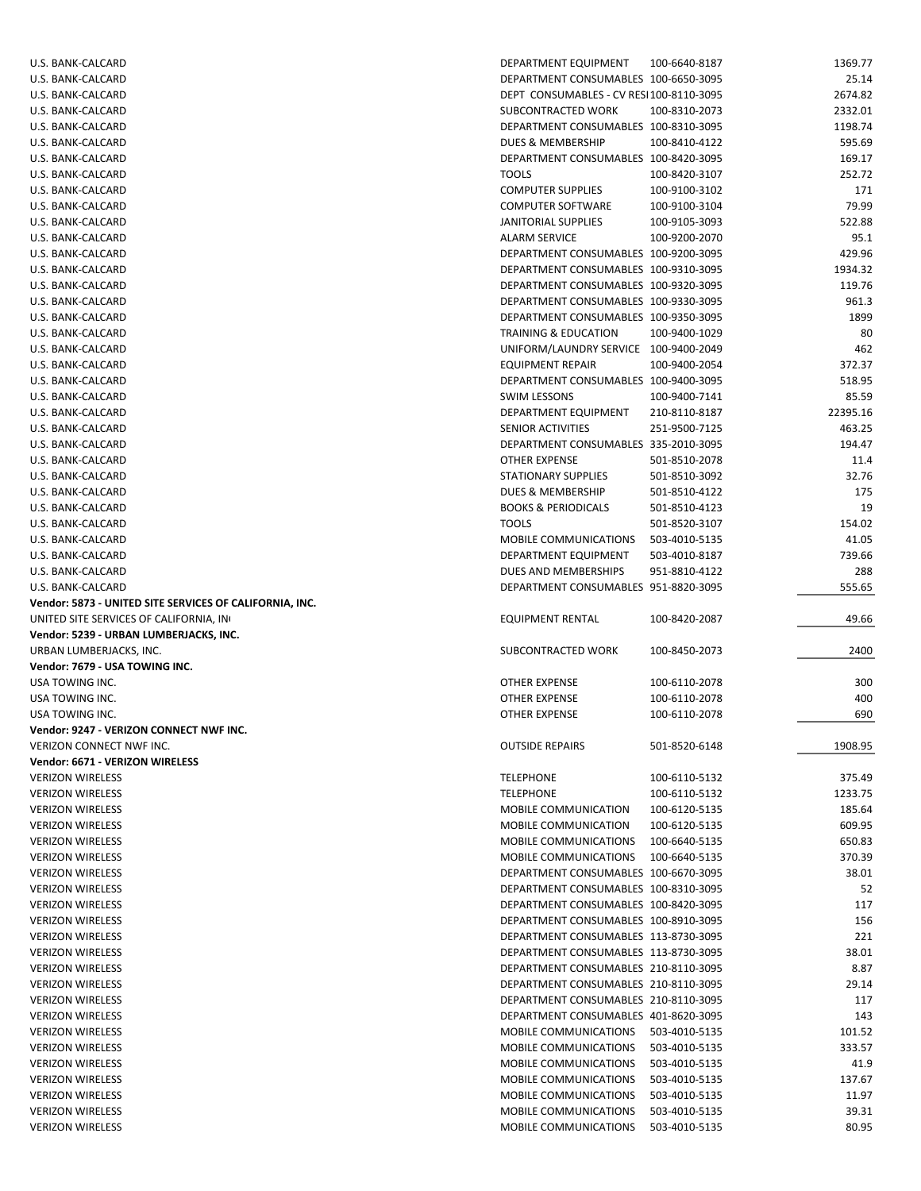| U.S. BANK-CALCARD                                       | DEPARTMENT EQUIPMENT                           | 100-6640-8187                  | 1369.77        |
|---------------------------------------------------------|------------------------------------------------|--------------------------------|----------------|
| U.S. BANK-CALCARD                                       | DEPARTMENT CONSUMABLES 100-6650-3095           |                                | 25.14          |
| U.S. BANK-CALCARD                                       | DEPT CONSUMABLES - CV RESI100-8110-3095        |                                | 2674.82        |
| U.S. BANK-CALCARD                                       | SUBCONTRACTED WORK                             | 100-8310-2073                  | 2332.01        |
| U.S. BANK-CALCARD                                       | DEPARTMENT CONSUMABLES 100-8310-3095           |                                | 1198.74        |
|                                                         |                                                |                                |                |
| U.S. BANK-CALCARD                                       | DUES & MEMBERSHIP                              | 100-8410-4122                  | 595.69         |
| U.S. BANK-CALCARD                                       | DEPARTMENT CONSUMABLES 100-8420-3095           |                                | 169.17         |
| U.S. BANK-CALCARD                                       | <b>TOOLS</b>                                   | 100-8420-3107                  | 252.72         |
| U.S. BANK-CALCARD                                       | <b>COMPUTER SUPPLIES</b>                       | 100-9100-3102                  | 171            |
| U.S. BANK-CALCARD                                       | <b>COMPUTER SOFTWARE</b>                       | 100-9100-3104                  | 79.99          |
| U.S. BANK-CALCARD                                       | JANITORIAL SUPPLIES                            | 100-9105-3093                  | 522.88         |
| U.S. BANK-CALCARD                                       | <b>ALARM SERVICE</b>                           | 100-9200-2070                  | 95.1           |
| U.S. BANK-CALCARD                                       | DEPARTMENT CONSUMABLES 100-9200-3095           |                                | 429.96         |
|                                                         | DEPARTMENT CONSUMABLES 100-9310-3095           |                                |                |
| U.S. BANK-CALCARD                                       |                                                |                                | 1934.32        |
| U.S. BANK-CALCARD                                       | DEPARTMENT CONSUMABLES 100-9320-3095           |                                | 119.76         |
| U.S. BANK-CALCARD                                       | DEPARTMENT CONSUMABLES 100-9330-3095           |                                | 961.3          |
| U.S. BANK-CALCARD                                       | DEPARTMENT CONSUMABLES 100-9350-3095           |                                | 1899           |
| U.S. BANK-CALCARD                                       | TRAINING & EDUCATION                           | 100-9400-1029                  | 80             |
| U.S. BANK-CALCARD                                       | UNIFORM/LAUNDRY SERVICE 100-9400-2049          |                                | 462            |
| U.S. BANK-CALCARD                                       | <b>EQUIPMENT REPAIR</b>                        | 100-9400-2054                  | 372.37         |
| U.S. BANK-CALCARD                                       | DEPARTMENT CONSUMABLES 100-9400-3095           |                                | 518.95         |
|                                                         |                                                |                                |                |
| U.S. BANK-CALCARD                                       | <b>SWIM LESSONS</b>                            | 100-9400-7141                  | 85.59          |
| U.S. BANK-CALCARD                                       | DEPARTMENT EQUIPMENT                           | 210-8110-8187                  | 22395.16       |
| U.S. BANK-CALCARD                                       | <b>SENIOR ACTIVITIES</b>                       | 251-9500-7125                  | 463.25         |
| U.S. BANK-CALCARD                                       | DEPARTMENT CONSUMABLES 335-2010-3095           |                                | 194.47         |
| U.S. BANK-CALCARD                                       | <b>OTHER EXPENSE</b>                           | 501-8510-2078                  | 11.4           |
| U.S. BANK-CALCARD                                       | <b>STATIONARY SUPPLIES</b>                     | 501-8510-3092                  | 32.76          |
| U.S. BANK-CALCARD                                       | DUES & MEMBERSHIP                              | 501-8510-4122                  | 175            |
|                                                         |                                                |                                |                |
| U.S. BANK-CALCARD                                       | <b>BOOKS &amp; PERIODICALS</b>                 | 501-8510-4123                  | 19             |
| U.S. BANK-CALCARD                                       | <b>TOOLS</b>                                   | 501-8520-3107                  | 154.02         |
| U.S. BANK-CALCARD                                       | MOBILE COMMUNICATIONS                          | 503-4010-5135                  | 41.05          |
| U.S. BANK-CALCARD                                       | DEPARTMENT EQUIPMENT                           | 503-4010-8187                  | 739.66         |
| U.S. BANK-CALCARD                                       | DUES AND MEMBERSHIPS                           | 951-8810-4122                  | 288            |
|                                                         |                                                |                                |                |
|                                                         |                                                |                                |                |
| U.S. BANK-CALCARD                                       | DEPARTMENT CONSUMABLES 951-8820-3095           |                                | 555.65         |
| Vendor: 5873 - UNITED SITE SERVICES OF CALIFORNIA, INC. |                                                |                                |                |
| UNITED SITE SERVICES OF CALIFORNIA, IN                  | EQUIPMENT RENTAL                               | 100-8420-2087                  | 49.66          |
| Vendor: 5239 - URBAN LUMBERJACKS, INC.                  |                                                |                                |                |
| URBAN LUMBERJACKS, INC.                                 | SUBCONTRACTED WORK                             | 100-8450-2073                  | 2400           |
| Vendor: 7679 - USA TOWING INC.                          |                                                |                                |                |
| USA TOWING INC.                                         | OTHER EXPENSE                                  | 100-6110-2078                  | 300            |
| USA TOWING INC.                                         | OTHER EXPENSE                                  | 100-6110-2078                  | 400            |
| USA TOWING INC.                                         | OTHER EXPENSE                                  | 100-6110-2078                  |                |
|                                                         |                                                |                                | 690            |
| Vendor: 9247 - VERIZON CONNECT NWF INC.                 |                                                |                                |                |
| VERIZON CONNECT NWF INC.                                | <b>OUTSIDE REPAIRS</b>                         | 501-8520-6148                  | 1908.95        |
| Vendor: 6671 - VERIZON WIRELESS                         |                                                |                                |                |
| <b>VERIZON WIRELESS</b>                                 | <b>TELEPHONE</b>                               | 100-6110-5132                  | 375.49         |
| <b>VERIZON WIRELESS</b>                                 | <b>TELEPHONE</b>                               | 100-6110-5132                  | 1233.75        |
| <b>VERIZON WIRELESS</b>                                 | MOBILE COMMUNICATION                           | 100-6120-5135                  | 185.64         |
| <b>VERIZON WIRELESS</b>                                 | MOBILE COMMUNICATION                           | 100-6120-5135                  | 609.95         |
|                                                         |                                                |                                |                |
| <b>VERIZON WIRELESS</b>                                 | MOBILE COMMUNICATIONS                          | 100-6640-5135                  | 650.83         |
| <b>VERIZON WIRELESS</b>                                 | MOBILE COMMUNICATIONS                          | 100-6640-5135                  | 370.39         |
| <b>VERIZON WIRELESS</b>                                 | DEPARTMENT CONSUMABLES 100-6670-3095           |                                | 38.01          |
| <b>VERIZON WIRELESS</b>                                 | DEPARTMENT CONSUMABLES 100-8310-3095           |                                | 52             |
| <b>VERIZON WIRELESS</b>                                 | DEPARTMENT CONSUMABLES 100-8420-3095           |                                | 117            |
| <b>VERIZON WIRELESS</b>                                 | DEPARTMENT CONSUMABLES 100-8910-3095           |                                | 156            |
| <b>VERIZON WIRELESS</b>                                 | DEPARTMENT CONSUMABLES 113-8730-3095           |                                | 221            |
|                                                         |                                                |                                |                |
| <b>VERIZON WIRELESS</b>                                 | DEPARTMENT CONSUMABLES 113-8730-3095           |                                | 38.01          |
| <b>VERIZON WIRELESS</b>                                 | DEPARTMENT CONSUMABLES 210-8110-3095           |                                | 8.87           |
| <b>VERIZON WIRELESS</b>                                 | DEPARTMENT CONSUMABLES 210-8110-3095           |                                | 29.14          |
| <b>VERIZON WIRELESS</b>                                 | DEPARTMENT CONSUMABLES 210-8110-3095           |                                | 117            |
| <b>VERIZON WIRELESS</b>                                 | DEPARTMENT CONSUMABLES 401-8620-3095           |                                | 143            |
| <b>VERIZON WIRELESS</b>                                 | MOBILE COMMUNICATIONS                          | 503-4010-5135                  | 101.52         |
| <b>VERIZON WIRELESS</b>                                 | MOBILE COMMUNICATIONS                          | 503-4010-5135                  | 333.57         |
| <b>VERIZON WIRELESS</b>                                 | MOBILE COMMUNICATIONS                          | 503-4010-5135                  | 41.9           |
|                                                         | MOBILE COMMUNICATIONS                          |                                |                |
| <b>VERIZON WIRELESS</b>                                 |                                                | 503-4010-5135                  | 137.67         |
| <b>VERIZON WIRELESS</b>                                 | MOBILE COMMUNICATIONS                          | 503-4010-5135                  | 11.97          |
| <b>VERIZON WIRELESS</b><br><b>VERIZON WIRELESS</b>      | MOBILE COMMUNICATIONS<br>MOBILE COMMUNICATIONS | 503-4010-5135<br>503-4010-5135 | 39.31<br>80.95 |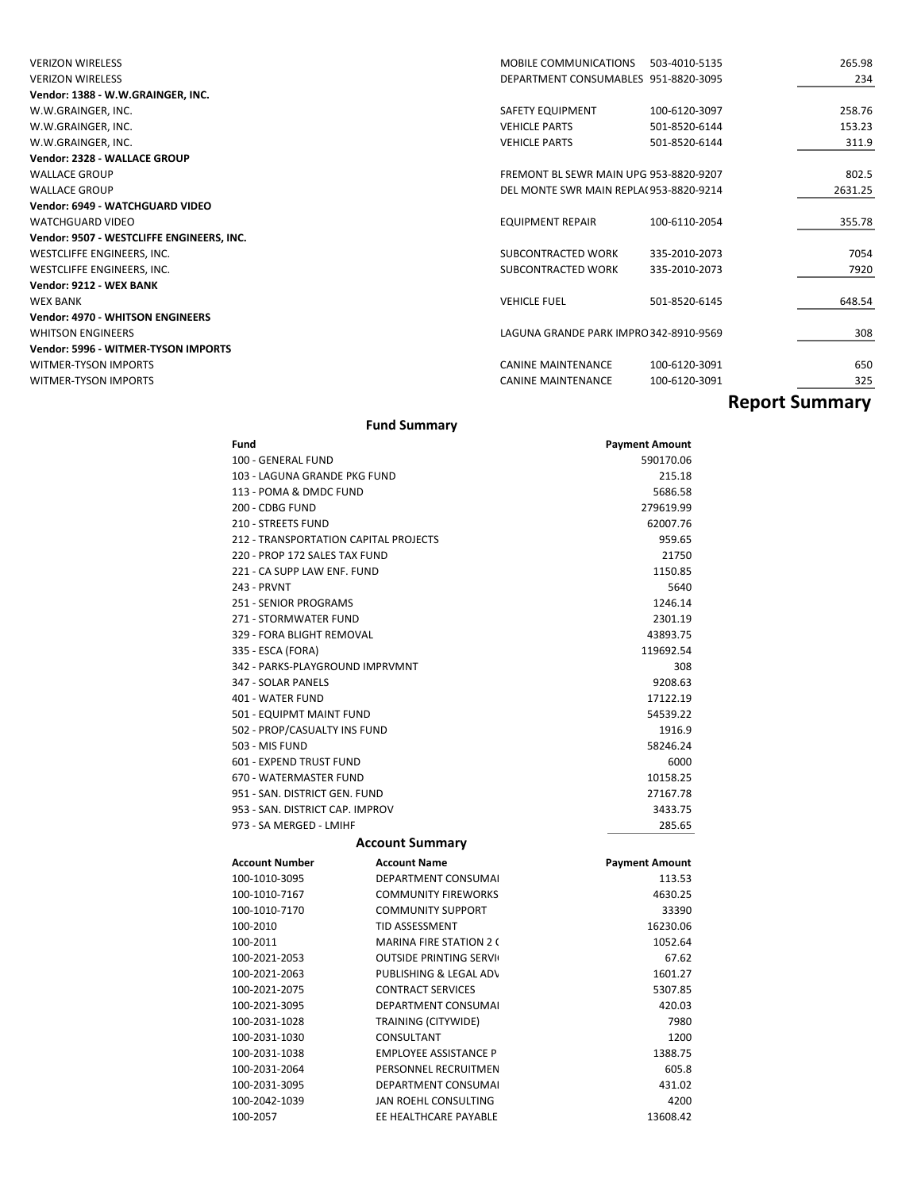| <b>VERIZON WIRELESS</b>                   | <b>MOBILE COMMUNICATIONS</b>           | 503-4010-5135 | 265.98                |
|-------------------------------------------|----------------------------------------|---------------|-----------------------|
| <b>VERIZON WIRELESS</b>                   | DEPARTMENT CONSUMABLES 951-8820-3095   |               | 234                   |
| Vendor: 1388 - W.W.GRAINGER, INC.         |                                        |               |                       |
| W.W.GRAINGER, INC.                        | SAFETY EQUIPMENT                       | 100-6120-3097 | 258.76                |
| W.W.GRAINGER, INC.                        | <b>VEHICLE PARTS</b>                   | 501-8520-6144 | 153.23                |
| W.W.GRAINGER, INC.                        | <b>VEHICLE PARTS</b>                   | 501-8520-6144 | 311.9                 |
| Vendor: 2328 - WALLACE GROUP              |                                        |               |                       |
| <b>WALLACE GROUP</b>                      | FREMONT BL SEWR MAIN UPG 953-8820-9207 |               | 802.5                 |
| <b>WALLACE GROUP</b>                      | DEL MONTE SWR MAIN REPLA(953-8820-9214 |               | 2631.25               |
| Vendor: 6949 - WATCHGUARD VIDEO           |                                        |               |                       |
| <b>WATCHGUARD VIDEO</b>                   | <b>EQUIPMENT REPAIR</b>                | 100-6110-2054 | 355.78                |
| Vendor: 9507 - WESTCLIFFE ENGINEERS, INC. |                                        |               |                       |
| WESTCLIFFE ENGINEERS, INC.                | SUBCONTRACTED WORK                     | 335-2010-2073 | 7054                  |
| WESTCLIFFE ENGINEERS, INC.                | SUBCONTRACTED WORK                     | 335-2010-2073 | 7920                  |
| Vendor: 9212 - WEX BANK                   |                                        |               |                       |
| <b>WEX BANK</b>                           | <b>VEHICLE FUEL</b>                    | 501-8520-6145 | 648.54                |
| <b>Vendor: 4970 - WHITSON ENGINEERS</b>   |                                        |               |                       |
| <b>WHITSON ENGINEERS</b>                  | LAGUNA GRANDE PARK IMPRO 342-8910-9569 |               | 308                   |
| Vendor: 5996 - WITMER-TYSON IMPORTS       |                                        |               |                       |
| <b>WITMER-TYSON IMPORTS</b>               | <b>CANINE MAINTENANCE</b>              | 100-6120-3091 | 650                   |
| <b>WITMER-TYSON IMPORTS</b>               | <b>CANINE MAINTENANCE</b>              | 100-6120-3091 | 325                   |
|                                           |                                        |               | <b>Report Summary</b> |

### **Fund Summary**

| Fund                                  |                                | <b>Payment Amount</b> |
|---------------------------------------|--------------------------------|-----------------------|
| 100 - GENERAL FUND                    |                                | 590170.06             |
| 103 - LAGUNA GRANDE PKG FUND          |                                | 215.18                |
| 113 - POMA & DMDC FUND                |                                | 5686.58               |
| 200 - CDBG FUND                       |                                | 279619.99             |
| <b>210 - STREETS FUND</b>             |                                | 62007.76              |
| 212 - TRANSPORTATION CAPITAL PROJECTS |                                | 959.65                |
| 220 - PROP 172 SALES TAX FUND         |                                | 21750                 |
| 221 - CA SUPP LAW ENF. FUND           |                                | 1150.85               |
| 243 - PRVNT                           |                                | 5640                  |
| <b>251 - SENIOR PROGRAMS</b>          |                                | 1246.14               |
| 271 - STORMWATER FUND                 |                                | 2301.19               |
| 329 - FORA BLIGHT REMOVAL             |                                | 43893.75              |
| 335 - ESCA (FORA)                     |                                | 119692.54             |
| 342 - PARKS-PLAYGROUND IMPRVMNT       |                                | 308                   |
| 347 - SOLAR PANELS                    |                                | 9208.63               |
| 401 - WATER FUND                      |                                | 17122.19              |
| 501 - EQUIPMT MAINT FUND              |                                | 54539.22              |
| 502 - PROP/CASUALTY INS FUND          |                                | 1916.9                |
| 503 - MIS FUND                        |                                | 58246.24              |
| <b>601 - EXPEND TRUST FUND</b>        |                                | 6000                  |
| 670 - WATERMASTER FUND                |                                | 10158.25              |
| 951 - SAN, DISTRICT GEN, FUND         |                                | 27167.78              |
| 953 - SAN, DISTRICT CAP, IMPROV       |                                | 3433.75               |
| 973 - SA MERGED - LMIHF               |                                | 285.65                |
| <b>Account Summary</b>                |                                |                       |
| <b>Account Number</b>                 | <b>Account Name</b>            | <b>Payment Amount</b> |
| 100-1010-3095                         | <b>DEPARTMENT CONSUMAL</b>     | 113.53                |
| 100-1010-7167                         | <b>COMMUNITY FIREWORKS</b>     | 4630.25               |
| 100-1010-7170                         | <b>COMMUNITY SUPPORT</b>       | 33390                 |
| 100-2010                              | <b>TID ASSESSMENT</b>          | 16230.06              |
| 100-2011                              | <b>MARINA FIRE STATION 2 (</b> | 1052.64               |
| 100-2021-2053                         | <b>OUTSIDE PRINTING SERVI</b>  | 67.62                 |
| 100-2021-2063                         | PUBLISHING & LEGAL AD\         | 1601.27               |
| 100-2021-2075                         | <b>CONTRACT SERVICES</b>       | 5307.85               |
| 100-2021-3095                         | <b>DEPARTMENT CONSUMAL</b>     | 420.03                |
| 100-2031-1028                         | TRAINING (CITYWIDE)            | 7980                  |
| 100-2031-1030                         | CONSULTANT                     | 1200                  |
| 100-2031-1038                         | <b>EMPLOYEE ASSISTANCE P</b>   | 1388.75               |
| 100-2031-2064                         | PERSONNEL RECRUITMEN           | 605.8                 |
| 100-2031-3095                         | <b>DEPARTMENT CONSUMAL</b>     | 431.02                |
| 100-2042-1039                         | JAN ROEHL CONSULTING           | 4200                  |
| 100-2057                              | EE HEALTHCARE PAYABLE          | 13608.42              |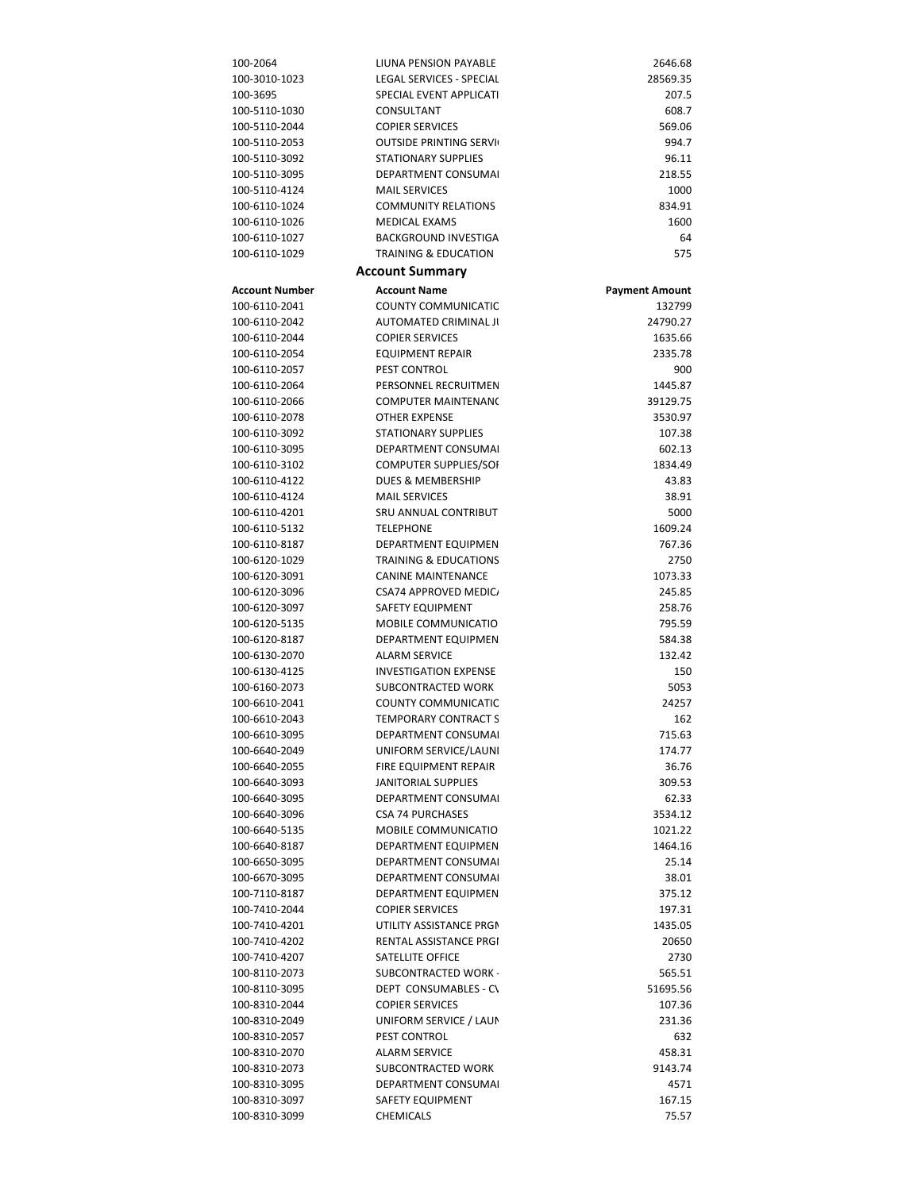| 100-2064              | LIUNA PENSION PAYABLE            | 2646.68               |
|-----------------------|----------------------------------|-----------------------|
| 100-3010-1023         | LEGAL SERVICES - SPECIAL         | 28569.35              |
|                       |                                  |                       |
| 100-3695              | SPECIAL EVENT APPLICATI          | 207.5                 |
| 100-5110-1030         | CONSULTANT                       | 608.7                 |
| 100-5110-2044         |                                  | 569.06                |
|                       | <b>COPIER SERVICES</b>           |                       |
| 100-5110-2053         | <b>OUTSIDE PRINTING SERVI</b>    | 994.7                 |
| 100-5110-3092         | <b>STATIONARY SUPPLIES</b>       | 96.11                 |
|                       |                                  |                       |
| 100-5110-3095         | <b>DEPARTMENT CONSUMAL</b>       | 218.55                |
| 100-5110-4124         | <b>MAIL SERVICES</b>             | 1000                  |
| 100-6110-1024         | <b>COMMUNITY RELATIONS</b>       | 834.91                |
|                       |                                  |                       |
| 100-6110-1026         | <b>MEDICAL EXAMS</b>             | 1600                  |
| 100-6110-1027         | <b>BACKGROUND INVESTIGA</b>      | 64                    |
| 100-6110-1029         | <b>TRAINING &amp; EDUCATION</b>  | 575                   |
|                       |                                  |                       |
|                       | <b>Account Summary</b>           |                       |
| <b>Account Number</b> | <b>Account Name</b>              |                       |
|                       |                                  | <b>Payment Amount</b> |
| 100-6110-2041         | <b>COUNTY COMMUNICATIC</b>       | 132799                |
| 100-6110-2042         | AUTOMATED CRIMINAL JI            | 24790.27              |
|                       |                                  |                       |
| 100-6110-2044         | <b>COPIER SERVICES</b>           | 1635.66               |
| 100-6110-2054         | <b>EQUIPMENT REPAIR</b>          | 2335.78               |
| 100-6110-2057         | PEST CONTROL                     | 900                   |
|                       |                                  |                       |
| 100-6110-2064         | PERSONNEL RECRUITMEN             | 1445.87               |
| 100-6110-2066         | <b>COMPUTER MAINTENANO</b>       | 39129.75              |
| 100-6110-2078         | <b>OTHER EXPENSE</b>             | 3530.97               |
|                       |                                  |                       |
| 100-6110-3092         | <b>STATIONARY SUPPLIES</b>       | 107.38                |
| 100-6110-3095         | DEPARTMENT CONSUMAL              | 602.13                |
| 100-6110-3102         | <b>COMPUTER SUPPLIES/SOI</b>     | 1834.49               |
|                       |                                  |                       |
| 100-6110-4122         | <b>DUES &amp; MEMBERSHIP</b>     | 43.83                 |
| 100-6110-4124         | <b>MAIL SERVICES</b>             | 38.91                 |
| 100-6110-4201         | SRU ANNUAL CONTRIBUT             | 5000                  |
|                       |                                  |                       |
| 100-6110-5132         | <b>TELEPHONE</b>                 | 1609.24               |
| 100-6110-8187         | DEPARTMENT EQUIPMEN              | 767.36                |
| 100-6120-1029         | <b>TRAINING &amp; EDUCATIONS</b> | 2750                  |
|                       |                                  |                       |
| 100-6120-3091         | <b>CANINE MAINTENANCE</b>        | 1073.33               |
| 100-6120-3096         | CSA74 APPROVED MEDIC             | 245.85                |
| 100-6120-3097         | SAFETY EQUIPMENT                 | 258.76                |
|                       |                                  |                       |
| 100-6120-5135         | MOBILE COMMUNICATIO              | 795.59                |
| 100-6120-8187         | DEPARTMENT EQUIPMEN              | 584.38                |
| 100-6130-2070         | <b>ALARM SERVICE</b>             | 132.42                |
|                       |                                  |                       |
| 100-6130-4125         | <b>INVESTIGATION EXPENSE</b>     | 150                   |
| 100-6160-2073         | <b>SUBCONTRACTED WORK</b>        | 5053                  |
| 100-6610-2041         | <b>COUNTY COMMUNICATIC</b>       | 24257                 |
|                       |                                  |                       |
| 100-6610-2043         | <b>TEMPORARY CONTRACT S</b>      | 162                   |
| 100-6610-3095         | DEPARTMENT CONSUMAL              | 715.63                |
| 100-6640-2049         | UNIFORM SERVICE/LAUNI            | 174.77                |
|                       |                                  |                       |
| 100-6640-2055         | FIRE EQUIPMENT REPAIR            | 36.76                 |
| 100-6640-3093         | JANITORIAL SUPPLIES              | 309.53                |
| 100-6640-3095         | <b>DEPARTMENT CONSUMAL</b>       | 62.33                 |
|                       |                                  |                       |
| 100-6640-3096         | <b>CSA 74 PURCHASES</b>          | 3534.12               |
| 100-6640-5135         | MOBILE COMMUNICATIO              | 1021.22               |
| 100-6640-8187         | <b>DEPARTMENT EQUIPMEN</b>       | 1464.16               |
|                       |                                  |                       |
| 100-6650-3095         | DEPARTMENT CONSUMAL              | 25.14                 |
| 100-6670-3095         | DEPARTMENT CONSUMAL              | 38.01                 |
| 100-7110-8187         | DEPARTMENT EQUIPMEN              | 375.12                |
|                       |                                  |                       |
| 100-7410-2044         | <b>COPIER SERVICES</b>           | 197.31                |
| 100-7410-4201         | UTILITY ASSISTANCE PRGM          | 1435.05               |
| 100-7410-4202         | RENTAL ASSISTANCE PRGI           | 20650                 |
|                       |                                  |                       |
| 100-7410-4207         | SATELLITE OFFICE                 | 2730                  |
| 100-8110-2073         | SUBCONTRACTED WORK               | 565.51                |
| 100-8110-3095         | DEPT CONSUMABLES - CV            | 51695.56              |
|                       |                                  |                       |
| 100-8310-2044         | <b>COPIER SERVICES</b>           | 107.36                |
| 100-8310-2049         | UNIFORM SERVICE / LAUN           | 231.36                |
| 100-8310-2057         | PEST CONTROL                     | 632                   |
|                       |                                  |                       |
| 100-8310-2070         | <b>ALARM SERVICE</b>             | 458.31                |
| 100-8310-2073         | SUBCONTRACTED WORK               | 9143.74               |
| 100-8310-3095         | DEPARTMENT CONSUMAL              | 4571                  |
|                       |                                  | 167.15                |
| 100-8310-3097         | SAFETY EQUIPMENT                 |                       |
| 100-8310-3099         | CHEMICALS                        | 75.57                 |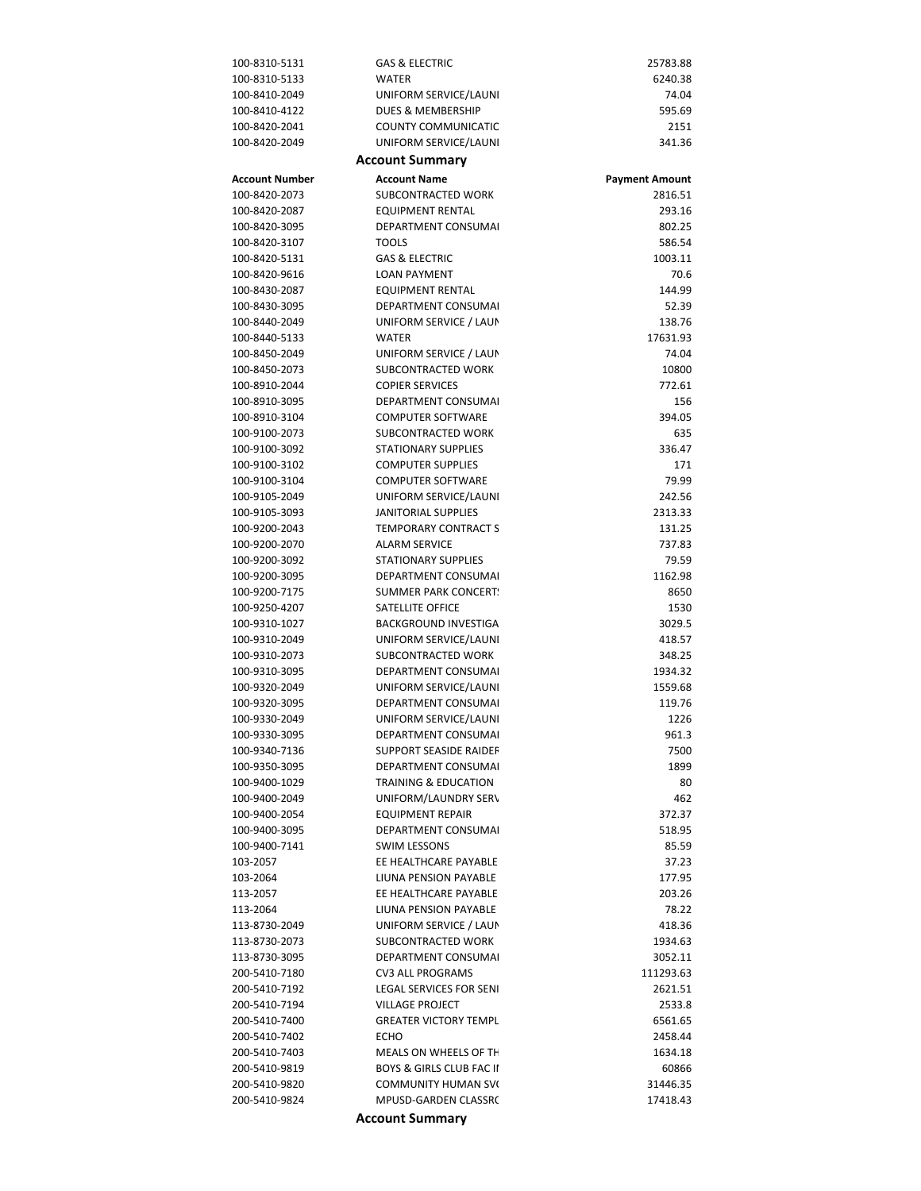| 100-8310-5131         | <b>GAS &amp; ELECTRIC</b>           | 25783.88              |
|-----------------------|-------------------------------------|-----------------------|
| 100-8310-5133         | <b>WATER</b>                        | 6240.38               |
| 100-8410-2049         |                                     |                       |
|                       | UNIFORM SERVICE/LAUNI               | 74.04                 |
| 100-8410-4122         | DUES & MEMBERSHIP                   | 595.69                |
| 100-8420-2041         | <b>COUNTY COMMUNICATIC</b>          | 2151                  |
| 100-8420-2049         | UNIFORM SERVICE/LAUNI               | 341.36                |
|                       | <b>Account Summary</b>              |                       |
| <b>Account Number</b> | <b>Account Name</b>                 | <b>Payment Amount</b> |
| 100-8420-2073         | SUBCONTRACTED WORK                  | 2816.51               |
| 100-8420-2087         | <b>EQUIPMENT RENTAL</b>             | 293.16                |
| 100-8420-3095         | DEPARTMENT CONSUMAL                 | 802.25                |
| 100-8420-3107         | <b>TOOLS</b>                        | 586.54                |
| 100-8420-5131         | <b>GAS &amp; ELECTRIC</b>           | 1003.11               |
| 100-8420-9616         | <b>LOAN PAYMENT</b>                 | 70.6                  |
| 100-8430-2087         | <b>EQUIPMENT RENTAL</b>             | 144.99                |
| 100-8430-3095         | DEPARTMENT CONSUMAL                 | 52.39                 |
| 100-8440-2049         | UNIFORM SERVICE / LAUN              | 138.76                |
| 100-8440-5133         | <b>WATER</b>                        | 17631.93              |
| 100-8450-2049         | UNIFORM SERVICE / LAUN              | 74.04                 |
| 100-8450-2073         | SUBCONTRACTED WORK                  | 10800                 |
| 100-8910-2044         | <b>COPIER SERVICES</b>              | 772.61                |
| 100-8910-3095         | DEPARTMENT CONSUMAL                 | 156                   |
| 100-8910-3104         | <b>COMPUTER SOFTWARE</b>            | 394.05                |
| 100-9100-2073         | SUBCONTRACTED WORK                  | 635                   |
| 100-9100-3092         | <b>STATIONARY SUPPLIES</b>          | 336.47                |
| 100-9100-3102         | <b>COMPUTER SUPPLIES</b>            | 171                   |
| 100-9100-3104         | <b>COMPUTER SOFTWARE</b>            | 79.99                 |
| 100-9105-2049         | UNIFORM SERVICE/LAUNI               | 242.56                |
| 100-9105-3093         | JANITORIAL SUPPLIES                 | 2313.33               |
| 100-9200-2043         | <b>TEMPORARY CONTRACT S</b>         | 131.25                |
| 100-9200-2070         | <b>ALARM SERVICE</b>                | 737.83                |
| 100-9200-3092         | <b>STATIONARY SUPPLIES</b>          | 79.59                 |
| 100-9200-3095         | DEPARTMENT CONSUMAL                 | 1162.98               |
| 100-9200-7175         | <b>SUMMER PARK CONCERT</b>          | 8650                  |
| 100-9250-4207         | SATELLITE OFFICE                    | 1530                  |
| 100-9310-1027         | <b>BACKGROUND INVESTIGA</b>         | 3029.5                |
| 100-9310-2049         | UNIFORM SERVICE/LAUNI               | 418.57                |
| 100-9310-2073         | SUBCONTRACTED WORK                  | 348.25                |
| 100-9310-3095         | <b>DEPARTMENT CONSUMAL</b>          | 1934.32               |
| 100-9320-2049         | UNIFORM SERVICE/LAUNI               | 1559.68               |
| 100-9320-3095         | DEPARTMENT CONSUMAL                 | 119.76                |
| 100-9330-2049         | UNIFORM SERVICE/LAUNI               | 1226                  |
| 100-9330-3095         | DEPARTMENT CONSUMAL                 | 961.3                 |
| 100-9340-7136         | <b>SUPPORT SEASIDE RAIDEF</b>       | 7500                  |
| 100-9350-3095         | <b>DEPARTMENT CONSUMAL</b>          | 1899                  |
| 100-9400-1029         | <b>TRAINING &amp; EDUCATION</b>     | 80                    |
| 100-9400-2049         | UNIFORM/LAUNDRY SERV                | 462                   |
| 100-9400-2054         | <b>EQUIPMENT REPAIR</b>             | 372.37                |
| 100-9400-3095         | <b>DEPARTMENT CONSUMAL</b>          | 518.95                |
| 100-9400-7141         | <b>SWIM LESSONS</b>                 | 85.59                 |
| 103-2057              | EE HEALTHCARE PAYABLE               | 37.23                 |
| 103-2064              | LIUNA PENSION PAYABLE               | 177.95                |
| 113-2057              | EE HEALTHCARE PAYABLE               | 203.26                |
| 113-2064              | LIUNA PENSION PAYABLE               | 78.22                 |
| 113-8730-2049         | UNIFORM SERVICE / LAUN              | 418.36                |
| 113-8730-2073         | SUBCONTRACTED WORK                  | 1934.63               |
| 113-8730-3095         | DEPARTMENT CONSUMAL                 | 3052.11               |
| 200-5410-7180         | <b>CV3 ALL PROGRAMS</b>             | 111293.63             |
| 200-5410-7192         | <b>LEGAL SERVICES FOR SENI</b>      | 2621.51               |
| 200-5410-7194         | <b>VILLAGE PROJECT</b>              | 2533.8                |
| 200-5410-7400         | <b>GREATER VICTORY TEMPL</b>        | 6561.65               |
| 200-5410-7402         | <b>ECHO</b>                         | 2458.44               |
| 200-5410-7403         | MEALS ON WHEELS OF TH               | 1634.18               |
| 200-5410-9819         | <b>BOYS &amp; GIRLS CLUB FAC II</b> | 60866                 |
| 200-5410-9820         | <b>COMMUNITY HUMAN SVI</b>          | 31446.35              |
| 200-5410-9824         | MPUSD-GARDEN CLASSR(                | 17418.43              |

**Account Summary**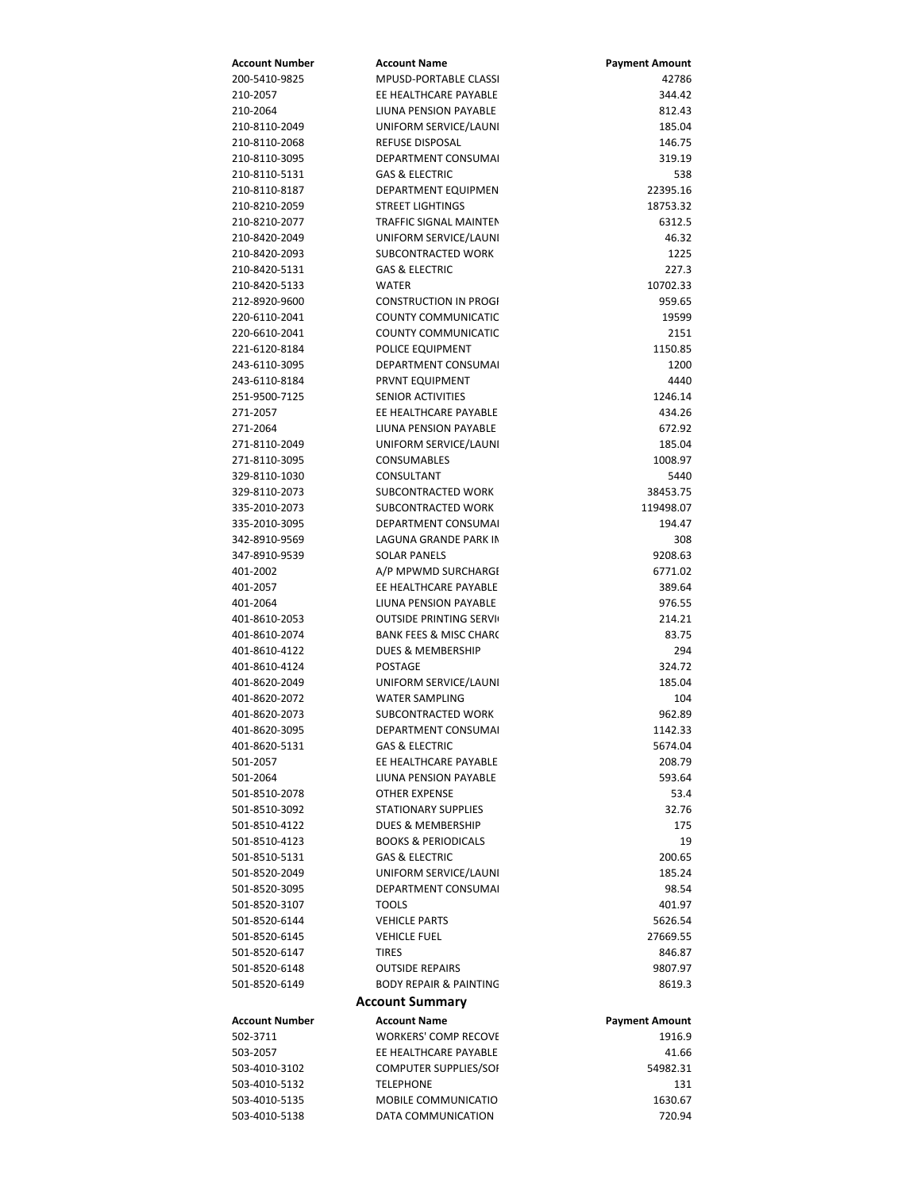| Account Number | <b>Account Name</b>               | <b>Payment Amount</b> |
|----------------|-----------------------------------|-----------------------|
| 200-5410-9825  | MPUSD-PORTABLE CLASS              | 42786                 |
| 210-2057       | EE HEALTHCARE PAYABLE             | 344.42                |
| 210-2064       | LIUNA PENSION PAYABLE             | 812.43                |
| 210-8110-2049  | UNIFORM SERVICE/LAUNI             | 185.04                |
| 210-8110-2068  | REFUSE DISPOSAL                   | 146.75                |
| 210-8110-3095  | DEPARTMENT CONSUMAL               | 319.19                |
| 210-8110-5131  | <b>GAS &amp; ELECTRIC</b>         | 538                   |
| 210-8110-8187  | DEPARTMENT EQUIPMEN               | 22395.16              |
| 210-8210-2059  | <b>STREET LIGHTINGS</b>           | 18753.32              |
| 210-8210-2077  | TRAFFIC SIGNAL MAINTEN            | 6312.5                |
| 210-8420-2049  | UNIFORM SERVICE/LAUNI             | 46.32                 |
|                | SUBCONTRACTED WORK                |                       |
| 210-8420-2093  | <b>GAS &amp; ELECTRIC</b>         | 1225                  |
| 210-8420-5131  |                                   | 227.3                 |
| 210-8420-5133  | <b>WATER</b>                      | 10702.33              |
| 212-8920-9600  | <b>CONSTRUCTION IN PROGI</b>      | 959.65                |
| 220-6110-2041  | COUNTY COMMUNICATIC               | 19599                 |
| 220-6610-2041  | <b>COUNTY COMMUNICATIC</b>        | 2151                  |
| 221-6120-8184  | POLICE EQUIPMENT                  | 1150.85               |
| 243-6110-3095  | DEPARTMENT CONSUMAL               | 1200                  |
| 243-6110-8184  | PRVNT EQUIPMENT                   | 4440                  |
| 251-9500-7125  | <b>SENIOR ACTIVITIES</b>          | 1246.14               |
| 271-2057       | EE HEALTHCARE PAYABLE             | 434.26                |
| 271-2064       | LIUNA PENSION PAYABLE             | 672.92                |
| 271-8110-2049  | UNIFORM SERVICE/LAUNI             | 185.04                |
| 271-8110-3095  | <b>CONSUMABLES</b>                | 1008.97               |
| 329-8110-1030  | CONSULTANT                        | 5440                  |
| 329-8110-2073  | SUBCONTRACTED WORK                | 38453.75              |
| 335-2010-2073  | SUBCONTRACTED WORK                | 119498.07             |
| 335-2010-3095  | DEPARTMENT CONSUMAL               | 194.47                |
| 342-8910-9569  | LAGUNA GRANDE PARK IN             | 308                   |
| 347-8910-9539  | <b>SOLAR PANELS</b>               | 9208.63               |
| 401-2002       | A/P MPWMD SURCHARGI               | 6771.02               |
| 401-2057       | EE HEALTHCARE PAYABLE             | 389.64                |
| 401-2064       | LIUNA PENSION PAYABLE             | 976.55                |
|                |                                   |                       |
| 401-8610-2053  | <b>OUTSIDE PRINTING SERVI</b>     | 214.21                |
| 401-8610-2074  | <b>BANK FEES &amp; MISC CHARC</b> | 83.75                 |
| 401-8610-4122  | DUES & MEMBERSHIP                 | 294                   |
| 401-8610-4124  | POSTAGE                           | 324.72                |
| 401-8620-2049  | UNIFORM SERVICE/LAUNI             | 185.04                |
| 401-8620-2072  | <b>WATER SAMPLING</b>             | 104                   |
| 401-8620-2073  | SUBCONTRACTED WORK                | 962.89                |
| 401-8620-3095  | DEPARTMENT CONSUMA                | 1142.33               |
| 401-8620-5131  | <b>GAS &amp; ELECTRIC</b>         | 5674.04               |
| 501-2057       | EE HEALTHCARE PAYABLE             | 208.79                |
| 501-2064       | LIUNA PENSION PAYABLE             | 593.64                |
| 501-8510-2078  | <b>OTHER EXPENSE</b>              | 53.4                  |
| 501-8510-3092  | <b>STATIONARY SUPPLIES</b>        | 32.76                 |
| 501-8510-4122  | DUES & MEMBERSHIP                 | 175                   |
| 501-8510-4123  | <b>BOOKS &amp; PERIODICALS</b>    | 19                    |
| 501-8510-5131  | <b>GAS &amp; ELECTRIC</b>         | 200.65                |
| 501-8520-2049  | UNIFORM SERVICE/LAUNI             | 185.24                |
| 501-8520-3095  | DEPARTMENT CONSUMAL               | 98.54                 |
| 501-8520-3107  | <b>TOOLS</b>                      | 401.97                |
| 501-8520-6144  | <b>VEHICLE PARTS</b>              | 5626.54               |
| 501-8520-6145  | <b>VEHICLE FUEL</b>               | 27669.55              |
| 501-8520-6147  | TIRES                             | 846.87                |
|                |                                   |                       |
| 501-8520-6148  | <b>OUTSIDE REPAIRS</b>            | 9807.97               |
| 501-8520-6149  | <b>BODY REPAIR &amp; PAINTING</b> | 8619.3                |
|                | <b>Account Summary</b>            |                       |
| Account Number | <b>Account Name</b>               | <b>Payment Amount</b> |
| 502-3711       | <b>WORKERS' COMP RECOVE</b>       | 1916.9                |
| 503-2057       | EE HEALTHCARE PAYABLE             | 41.66                 |
| 503-4010-3102  | COMPUTER SUPPLIES/SOI             | 54982.31              |
| 503-4010-5132  | <b>TELEPHONE</b>                  | 131                   |
| 503-4010-5135  | MOBILE COMMUNICATIO               | 1630.67               |
| 503-4010-5138  | DATA COMMUNICATION                | 720.94                |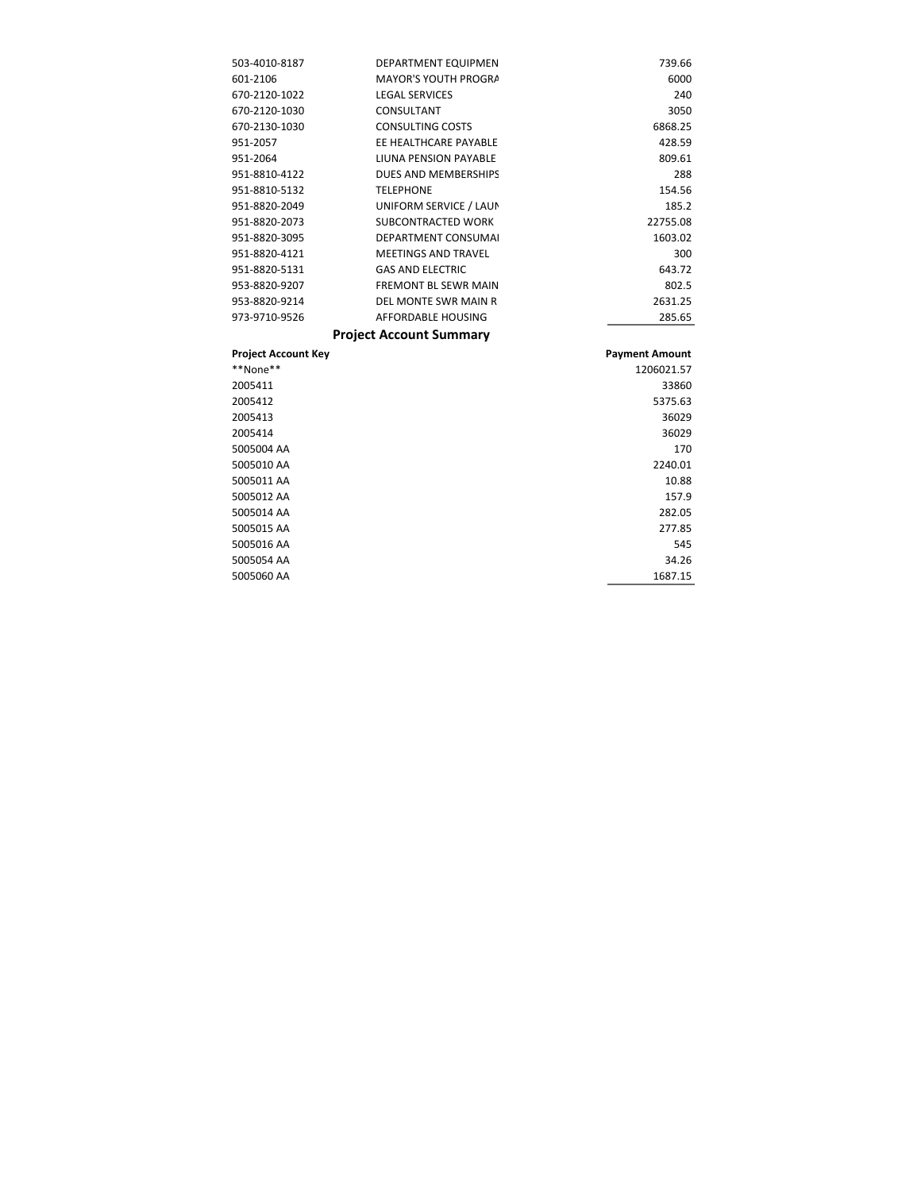| 503-4010-8187 | DEPARTMENT EQUIPMEN            | 739.66   |
|---------------|--------------------------------|----------|
| 601-2106      | <b>MAYOR'S YOUTH PROGRA</b>    | 6000     |
| 670-2120-1022 | <b>LEGAL SERVICES</b>          | 240      |
| 670-2120-1030 | CONSULTANT                     | 3050     |
| 670-2130-1030 | <b>CONSULTING COSTS</b>        | 6868.25  |
| 951-2057      | EE HEALTHCARE PAYABLE          | 428.59   |
| 951-2064      | LIUNA PENSION PAYABLE          | 809.61   |
| 951-8810-4122 | DUES AND MEMBERSHIPS           | 288      |
| 951-8810-5132 | <b>TELEPHONE</b>               | 154.56   |
| 951-8820-2049 | UNIFORM SERVICE / LAUN         | 185.2    |
| 951-8820-2073 | SUBCONTRACTED WORK             | 22755.08 |
| 951-8820-3095 | <b>DEPARTMENT CONSUMAL</b>     | 1603.02  |
| 951-8820-4121 | <b>MEETINGS AND TRAVEL</b>     | 300      |
| 951-8820-5131 | <b>GAS AND ELECTRIC</b>        | 643.72   |
| 953-8820-9207 | <b>FREMONT BL SEWR MAIN</b>    | 802.5    |
| 953-8820-9214 | DEL MONTE SWR MAIN R           | 2631.25  |
| 973-9710-9526 | AFFORDABLE HOUSING             | 285.65   |
|               | <b>Project Account Summary</b> |          |

| <b>Project Account Key</b> | <b>Payment Amount</b> |
|----------------------------|-----------------------|
| **None**                   | 1206021.57            |
| 2005411                    | 33860                 |
| 2005412                    | 5375.63               |
| 2005413                    | 36029                 |
| 2005414                    | 36029                 |
| 5005004 AA                 | 170                   |
| 5005010 AA                 | 2240.01               |
| 5005011 AA                 | 10.88                 |
| 5005012 AA                 | 157.9                 |
| 5005014 AA                 | 282.05                |
| 5005015 AA                 | 277.85                |
| 5005016 AA                 | 545                   |
| 5005054 AA                 | 34.26                 |
| 5005060 AA                 | 1687.15               |
|                            |                       |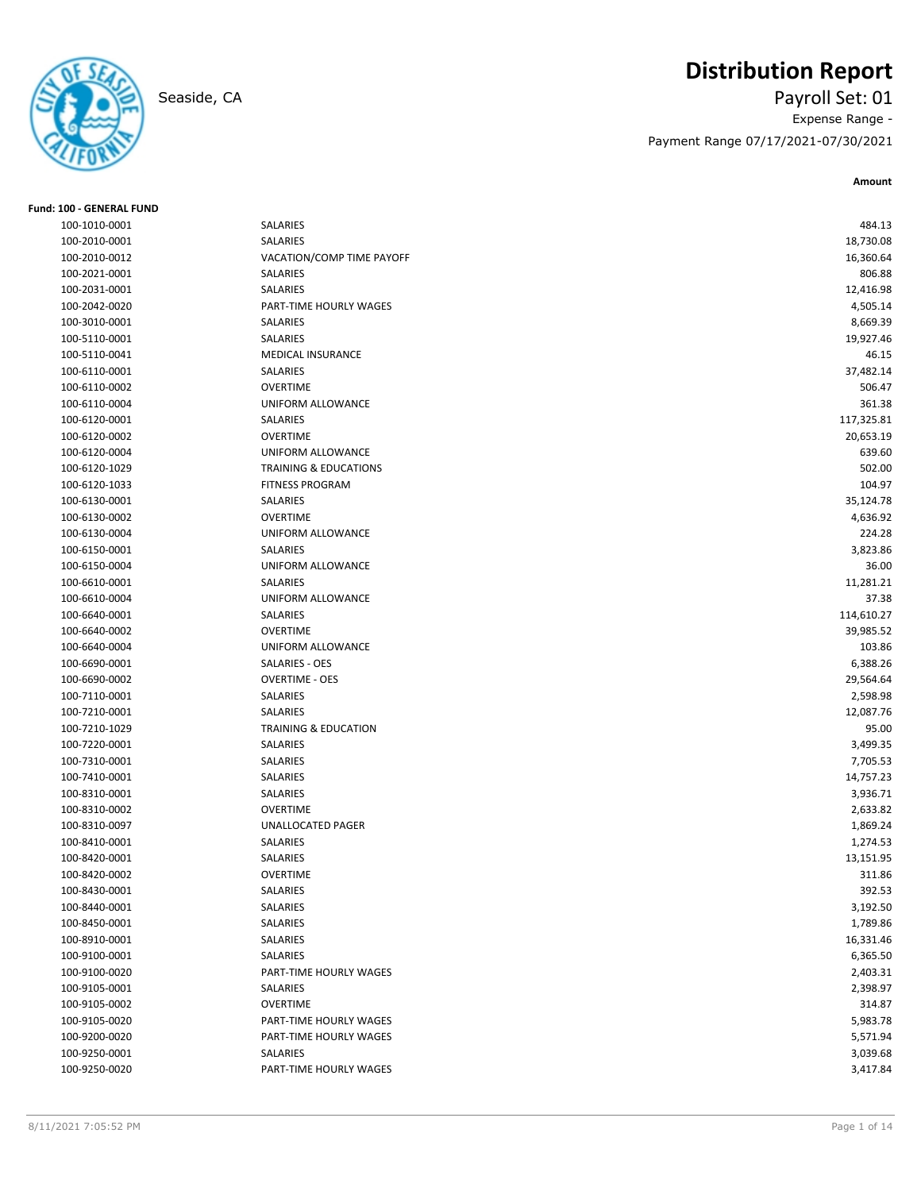

# **Distribution Report**

Seaside, CA Payroll Set: 01 Expense Range - Payment Range 07/17/2021-07/30/2021

| Fund: 100 - GENERAL FUND       |                                           |                      |
|--------------------------------|-------------------------------------------|----------------------|
| 100-1010-0001                  | SALARIES                                  | 484.13               |
| 100-2010-0001                  | SALARIES                                  | 18,730.08            |
| 100-2010-0012                  | VACATION/COMP TIME PAYOFF                 | 16,360.64            |
| 100-2021-0001                  | SALARIES                                  | 806.88               |
| 100-2031-0001                  | SALARIES                                  | 12,416.98            |
| 100-2042-0020                  | PART-TIME HOURLY WAGES                    | 4,505.14             |
| 100-3010-0001                  | SALARIES                                  | 8,669.39             |
| 100-5110-0001                  | SALARIES                                  | 19,927.46            |
| 100-5110-0041                  | MEDICAL INSURANCE                         | 46.15                |
| 100-6110-0001                  | SALARIES                                  | 37,482.14            |
| 100-6110-0002                  | <b>OVERTIME</b>                           | 506.47               |
| 100-6110-0004                  | UNIFORM ALLOWANCE                         | 361.38               |
| 100-6120-0001                  | SALARIES                                  | 117,325.81           |
| 100-6120-0002                  | <b>OVERTIME</b>                           | 20,653.19            |
| 100-6120-0004                  | UNIFORM ALLOWANCE                         | 639.60               |
| 100-6120-1029                  | <b>TRAINING &amp; EDUCATIONS</b>          | 502.00               |
| 100-6120-1033                  | <b>FITNESS PROGRAM</b>                    | 104.97               |
| 100-6130-0001                  | SALARIES                                  | 35,124.78            |
| 100-6130-0002                  | <b>OVERTIME</b>                           | 4,636.92             |
| 100-6130-0004                  | UNIFORM ALLOWANCE                         | 224.28               |
| 100-6150-0001                  | SALARIES                                  | 3,823.86             |
| 100-6150-0004                  | <b>UNIFORM ALLOWANCE</b>                  | 36.00                |
| 100-6610-0001                  | SALARIES                                  | 11,281.21            |
| 100-6610-0004                  | UNIFORM ALLOWANCE                         | 37.38                |
| 100-6640-0001                  | SALARIES                                  | 114,610.27           |
| 100-6640-0002                  | <b>OVERTIME</b>                           | 39,985.52            |
| 100-6640-0004                  | UNIFORM ALLOWANCE                         | 103.86               |
| 100-6690-0001                  | SALARIES - OES                            | 6,388.26             |
| 100-6690-0002                  | <b>OVERTIME - OES</b>                     | 29,564.64            |
| 100-7110-0001                  | SALARIES                                  | 2,598.98             |
| 100-7210-0001                  | SALARIES                                  | 12,087.76            |
| 100-7210-1029                  | <b>TRAINING &amp; EDUCATION</b>           | 95.00                |
| 100-7220-0001                  | SALARIES                                  | 3,499.35             |
| 100-7310-0001                  | SALARIES                                  | 7,705.53             |
| 100-7410-0001                  | SALARIES                                  | 14,757.23            |
| 100-8310-0001                  | SALARIES                                  | 3,936.71             |
| 100-8310-0002                  | <b>OVERTIME</b>                           | 2,633.82             |
| 100-8310-0097                  | UNALLOCATED PAGER                         | 1,869.24             |
| 100-8410-0001                  | SALARIES                                  | 1,274.53             |
| 100-8420-0001                  | SALARIES                                  | 13,151.95            |
| 100-8420-0002                  | OVERTIME                                  | 311.86               |
| 100-8430-0001                  | SALARIES                                  | 392.53               |
| 100-8440-0001                  | SALARIES                                  | 3,192.50             |
| 100-8450-0001                  | SALARIES                                  | 1,789.86             |
| 100-8910-0001                  | SALARIES                                  | 16,331.46            |
| 100-9100-0001                  | SALARIES                                  | 6,365.50             |
| 100-9100-0020                  | PART-TIME HOURLY WAGES                    | 2,403.31             |
| 100-9105-0001                  | SALARIES                                  | 2,398.97             |
| 100-9105-0002                  | <b>OVERTIME</b>                           | 314.87               |
| 100-9105-0020                  | PART-TIME HOURLY WAGES                    | 5,983.78             |
|                                |                                           |                      |
| 100-9200-0020<br>100-9250-0001 | PART-TIME HOURLY WAGES<br><b>SALARIES</b> | 5,571.94<br>3,039.68 |
| 100-9250-0020                  | PART-TIME HOURLY WAGES                    |                      |
|                                |                                           | 3,417.84             |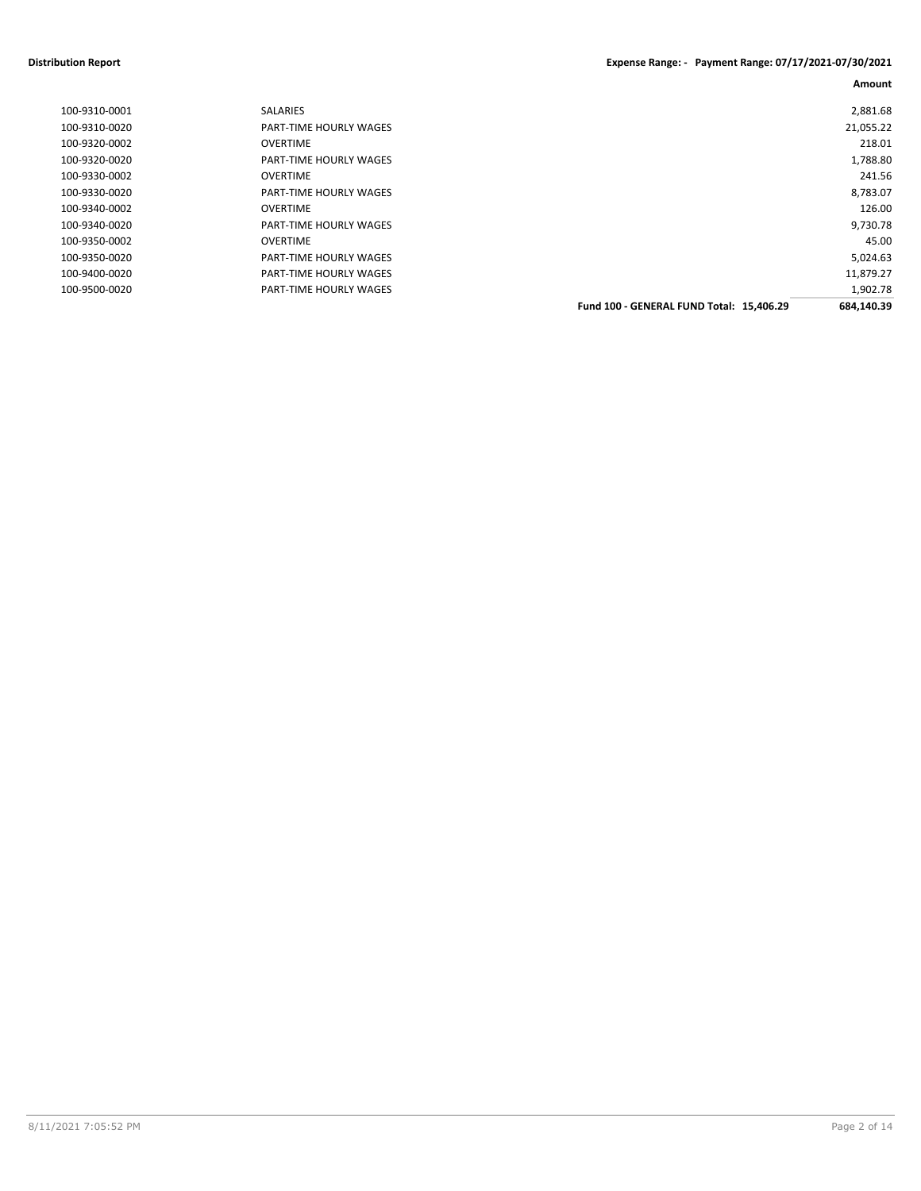#### **Distribution Report Expense Range: - Payment Range: 07/17/2021-07/30/2021**

| 2,881.68   |                                          | <b>SALARIES</b>               | 100-9310-0001 |
|------------|------------------------------------------|-------------------------------|---------------|
| 21,055.22  |                                          | PART-TIME HOURLY WAGES        | 100-9310-0020 |
| 218.01     |                                          | <b>OVERTIME</b>               | 100-9320-0002 |
| 1,788.80   |                                          | <b>PART-TIME HOURLY WAGES</b> | 100-9320-0020 |
| 241.56     |                                          | OVERTIME                      | 100-9330-0002 |
| 8,783.07   |                                          | <b>PART-TIME HOURLY WAGES</b> | 100-9330-0020 |
| 126.00     |                                          | <b>OVERTIME</b>               | 100-9340-0002 |
| 9,730.78   |                                          | <b>PART-TIME HOURLY WAGES</b> | 100-9340-0020 |
| 45.00      |                                          | <b>OVERTIME</b>               | 100-9350-0002 |
| 5,024.63   |                                          | <b>PART-TIME HOURLY WAGES</b> | 100-9350-0020 |
| 11,879.27  |                                          | <b>PART-TIME HOURLY WAGES</b> | 100-9400-0020 |
| 1,902.78   |                                          | PART-TIME HOURLY WAGES        | 100-9500-0020 |
| 684,140.39 | Fund 100 - GENERAL FUND Total: 15,406.29 |                               |               |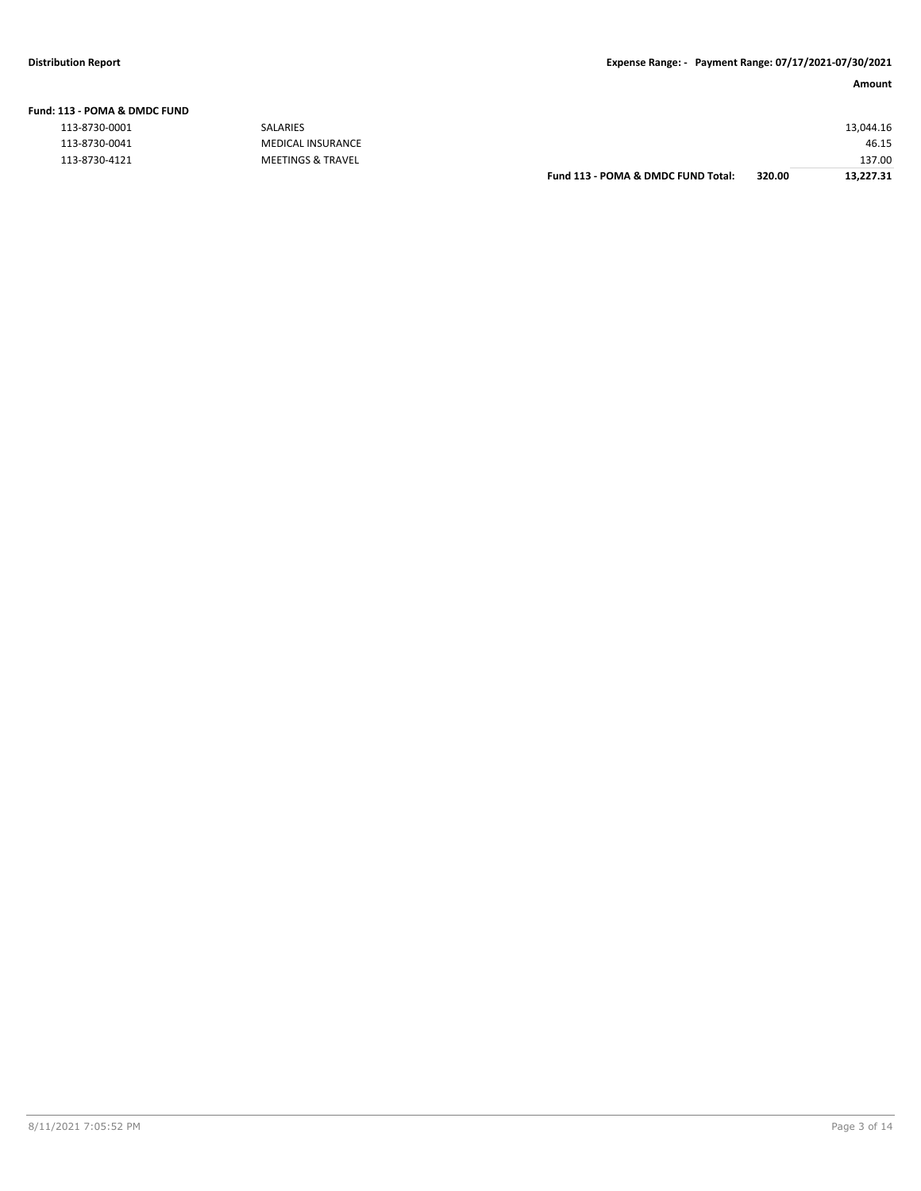| L13 - POMA & DMDC FUND |                          |           |
|------------------------|--------------------------|-----------|
| 113-8730-0001          | <b>SALARIES</b>          | 13,044.16 |
| 113-8730-0041          | <b>MEDICAL INSURANCE</b> | 46.15     |
| 113-8730-4121          | MEETINGS & TRAVEL        | 137.00    |

| Fund 113 - POMA & DMDC FUND Total: | 320.00 | 13,227.31 |
|------------------------------------|--------|-----------|
|                                    |        | 137.00    |
|                                    |        | 46.15     |
|                                    |        | 13.044.16 |
|                                    |        |           |

#### **Fund: 113 - POMA & DMDC FUND**

| 113-8730-0001 |  |
|---------------|--|
| 113-8730-0041 |  |
| 113-8730-4121 |  |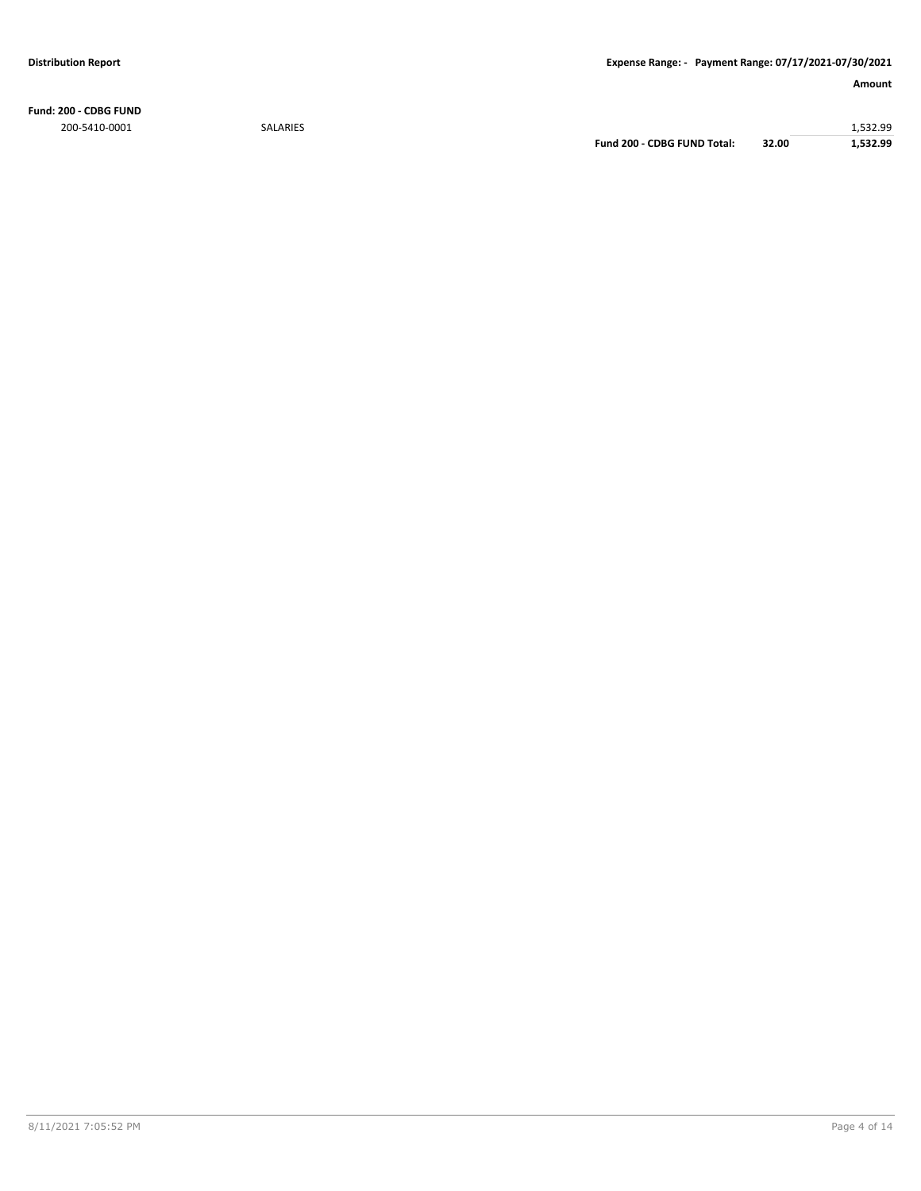**Fund: 200 - CDBG FUND** 200-5410-0001 SALARIES 1,532.99

**Fund 200 - CDBG FUND Total: 32.00 1,532.99**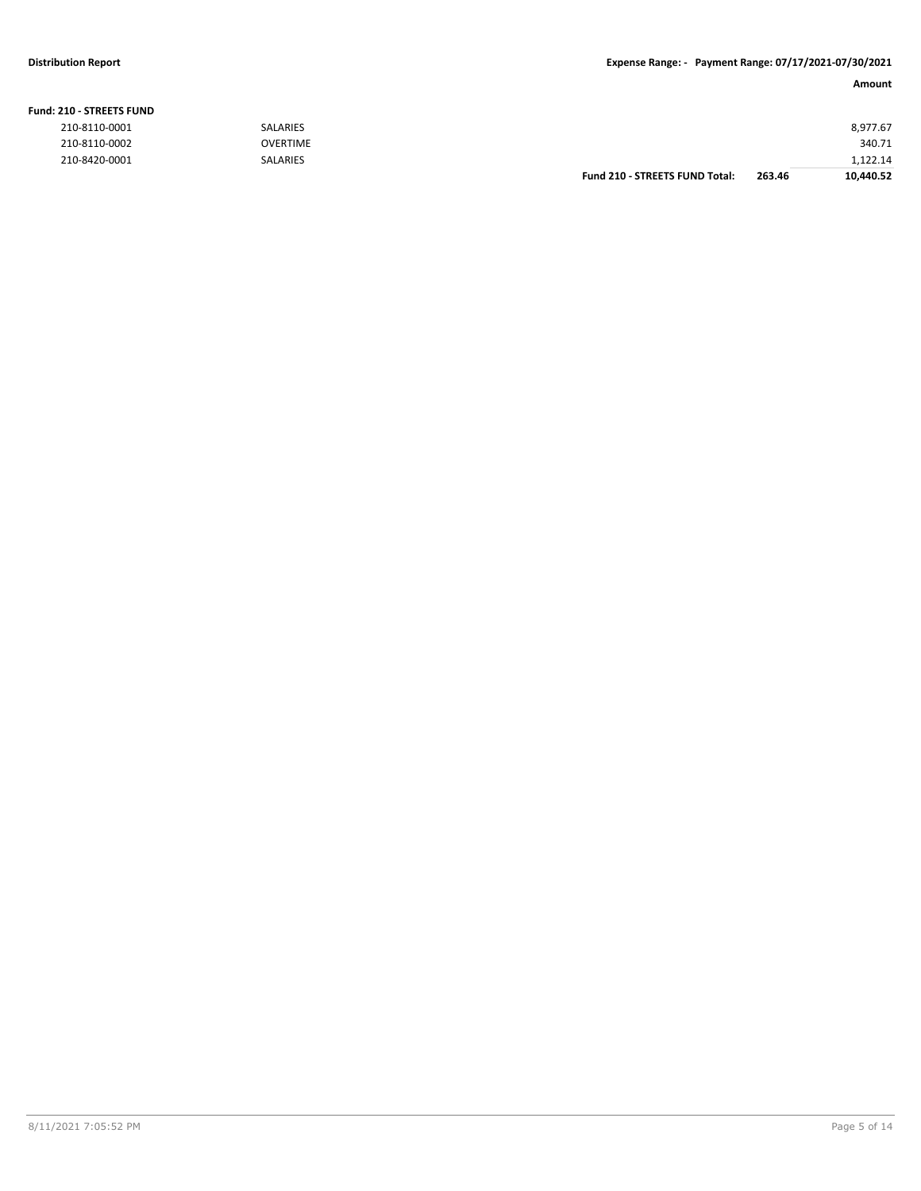#### **Fund: 210 - STREETS FUND**

| 8,977.67  |        |                                       | <b>SALARIES</b> | 210-8110-0001 |
|-----------|--------|---------------------------------------|-----------------|---------------|
| 340.71    |        |                                       | <b>OVERTIME</b> | 210-8110-0002 |
| 1.122.14  |        |                                       | <b>SALARIES</b> | 210-8420-0001 |
| 10,440.52 | 263.46 | <b>Fund 210 - STREETS FUND Total:</b> |                 |               |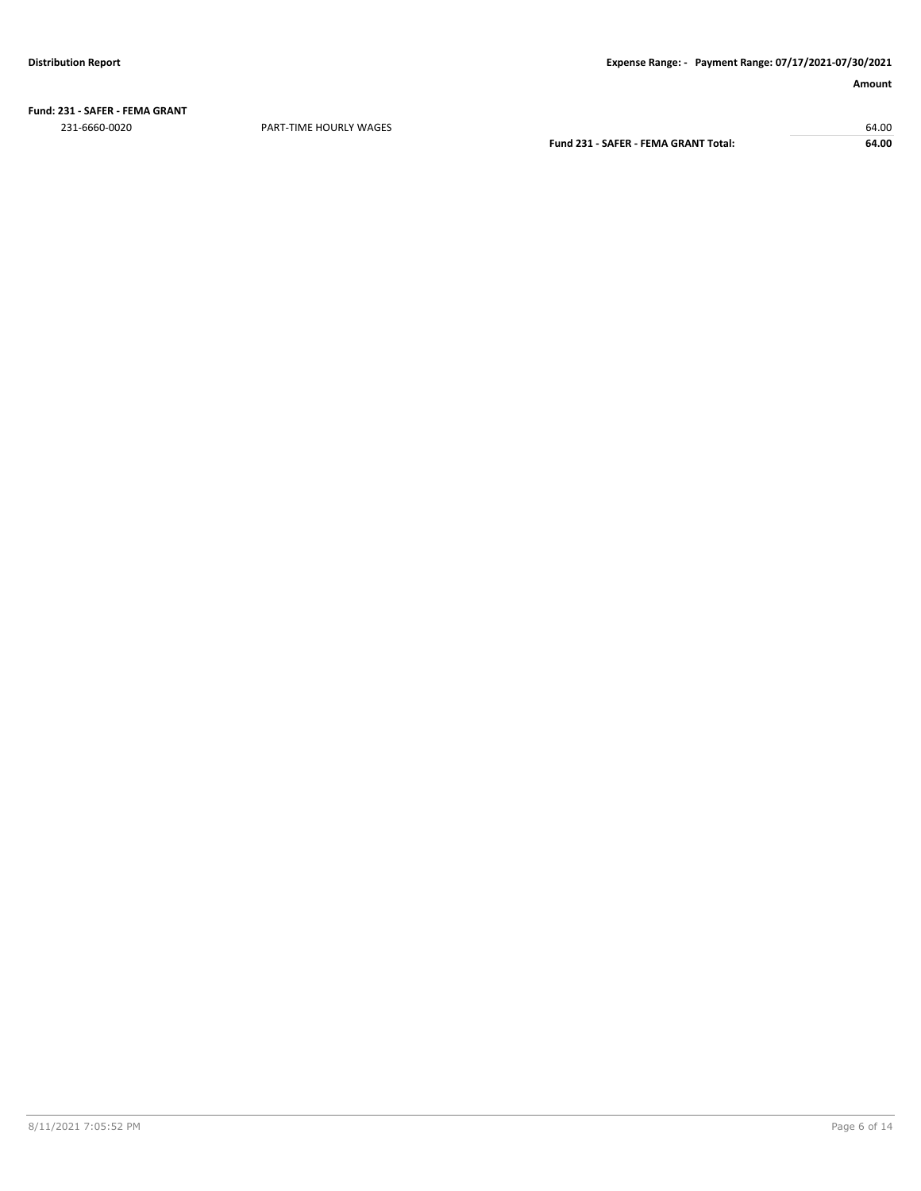**Fund: 231 - SAFER - FEMA GRANT** 231-6660-0020 PART-TIME HOURLY WAGES 64.00

**Fund 231 - SAFER - FEMA GRANT Total: 64.00**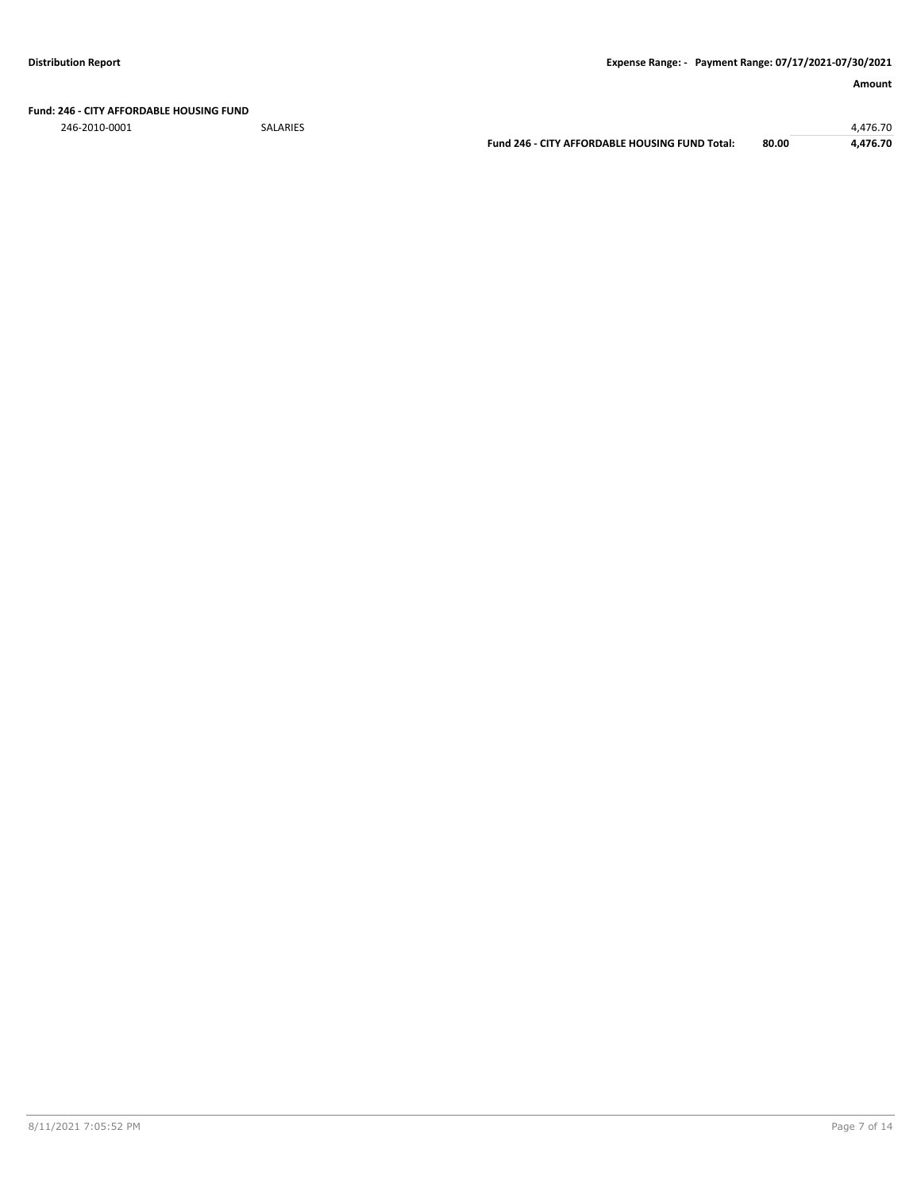**Fund: 246 - CITY AFFORDABLE HOUSING FUND**

246-2010-0001 SALARIES 4,476.70

**Fund 246 - CITY AFFORDABLE HOUSING FUND Total: 80.00 4,476.70**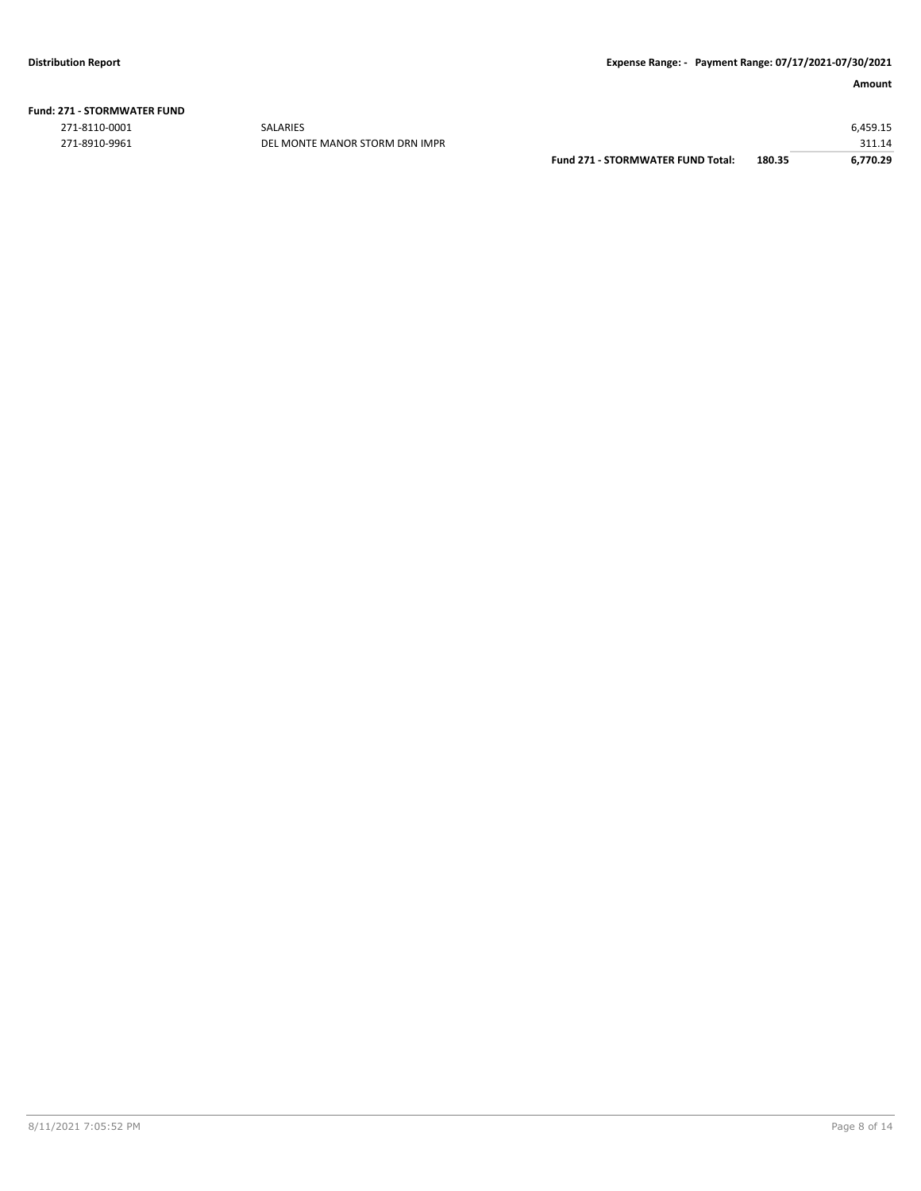| <b>Fund: 271 - STORMWATER FUND</b> |  |
|------------------------------------|--|
|                                    |  |

271-8110-0001 SALARIES 6,459.15 271-8910-9961 DEL MONTE MANOR STORM DRN IMPR 311.14

|                                          |        | 511.14   |
|------------------------------------------|--------|----------|
| <b>Fund 271 - STORMWATER FUND Total:</b> | 180.35 | 6.770.29 |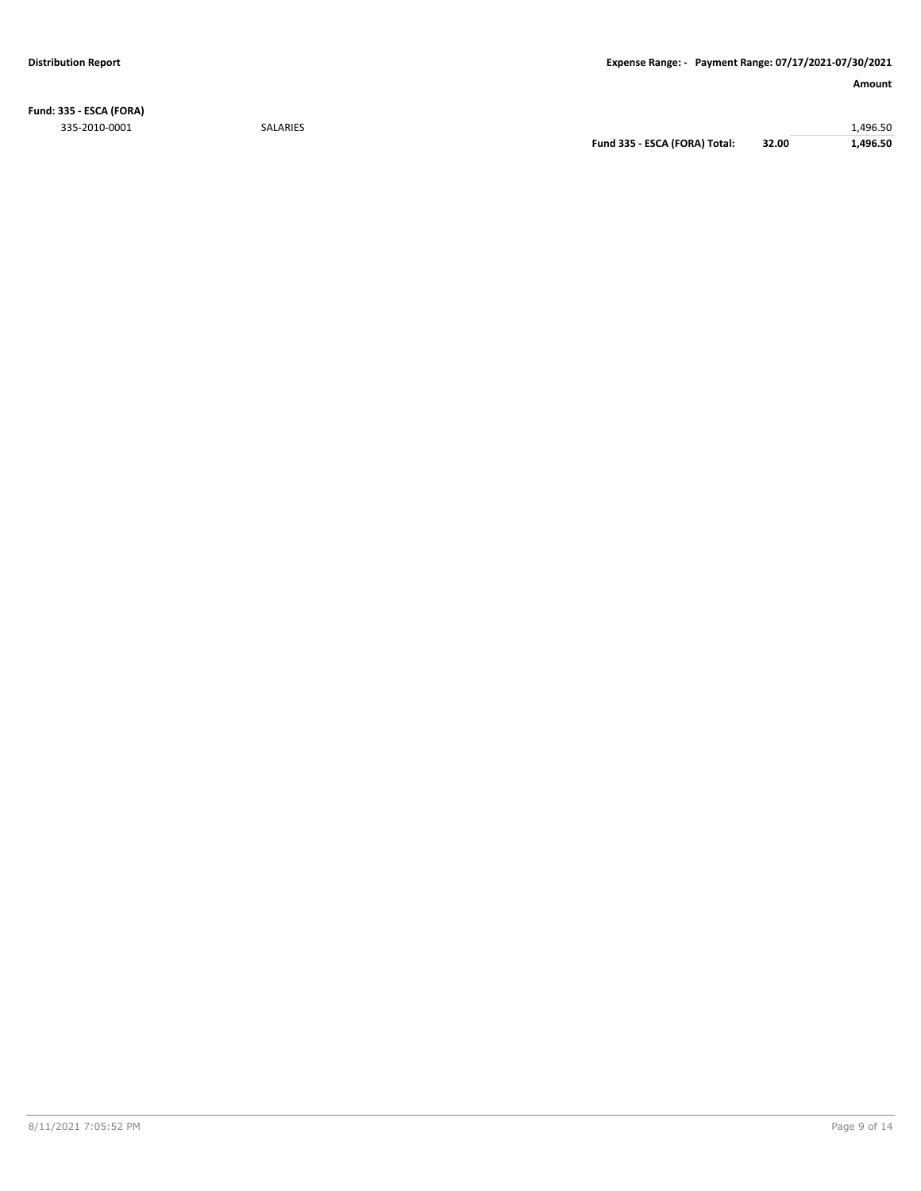**Fund: 335 - ESCA (FORA)** 335-2010-0001 SALARIES 1,496.50

**Fund 335 - ESCA (FORA) Total: 32.00 1,496.50**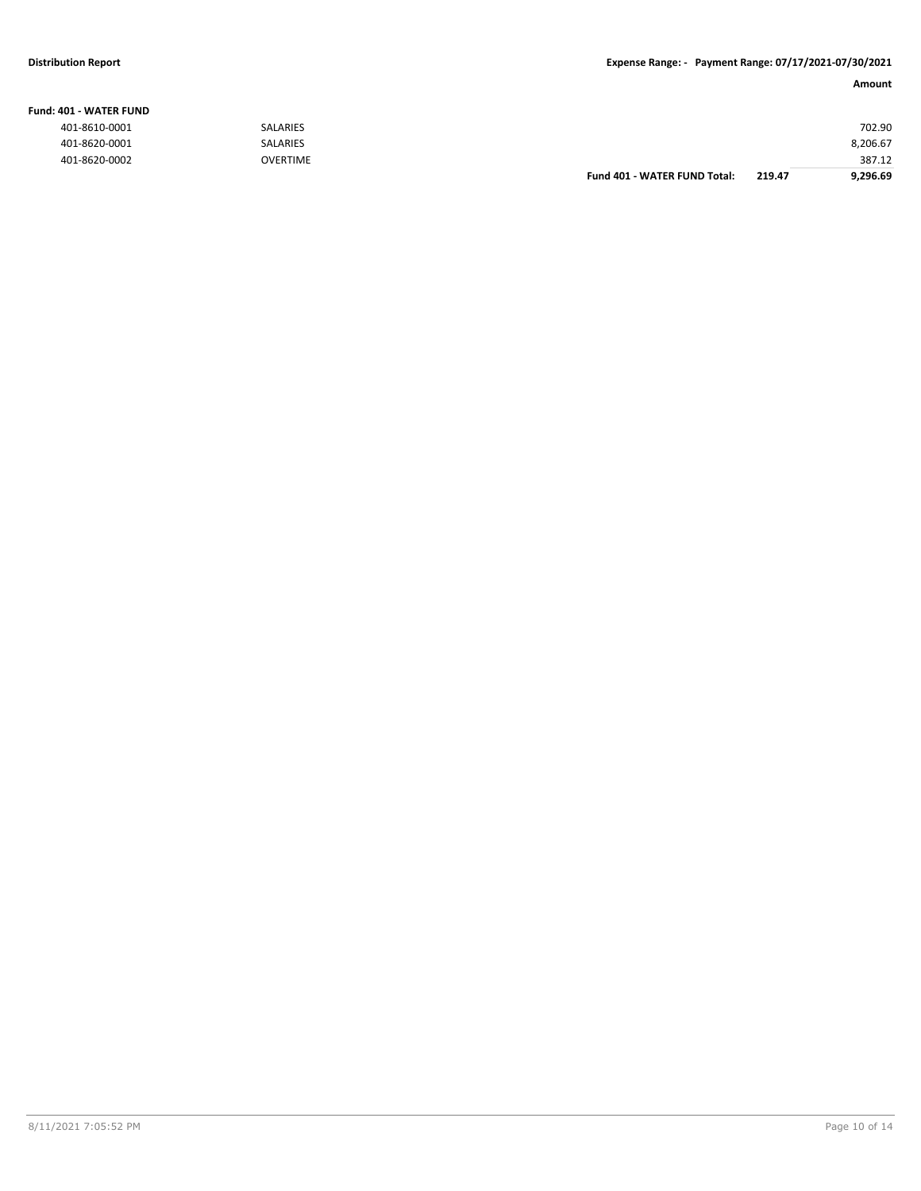#### **Fund: 401 - WATER FUND**

| 401-8610-0001 | <b>SALARIES</b> |                              |        | 702.90   |
|---------------|-----------------|------------------------------|--------|----------|
| 401-8620-0001 | <b>SALARIES</b> |                              |        | 8,206.67 |
| 401-8620-0002 | <b>OVERTIME</b> |                              |        | 387.12   |
|               |                 | Fund 401 - WATER FUND Total: | 219.47 | 9.296.69 |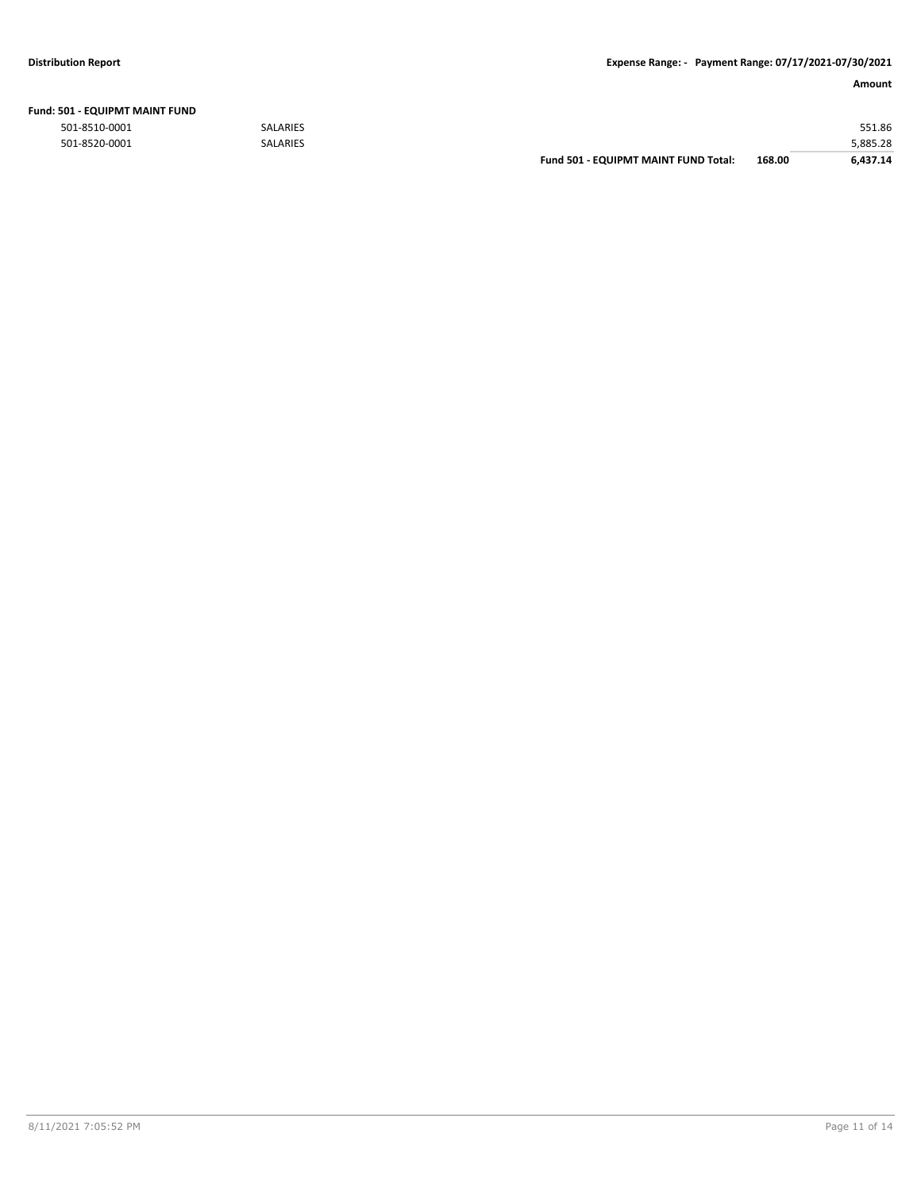| Fund: 501 - EQUIPMT MAINT FUND |  |
|--------------------------------|--|
|--------------------------------|--|

|               |                 | <b>Fund 501 - EQUIPMT MAINT FUND Total:</b> | 168.00 | 6.437.14 |
|---------------|-----------------|---------------------------------------------|--------|----------|
| 501-8520-0001 | <b>SALARIES</b> |                                             |        | 5,885.28 |
| 501-8510-0001 | <b>SALARIES</b> |                                             |        | 551.86   |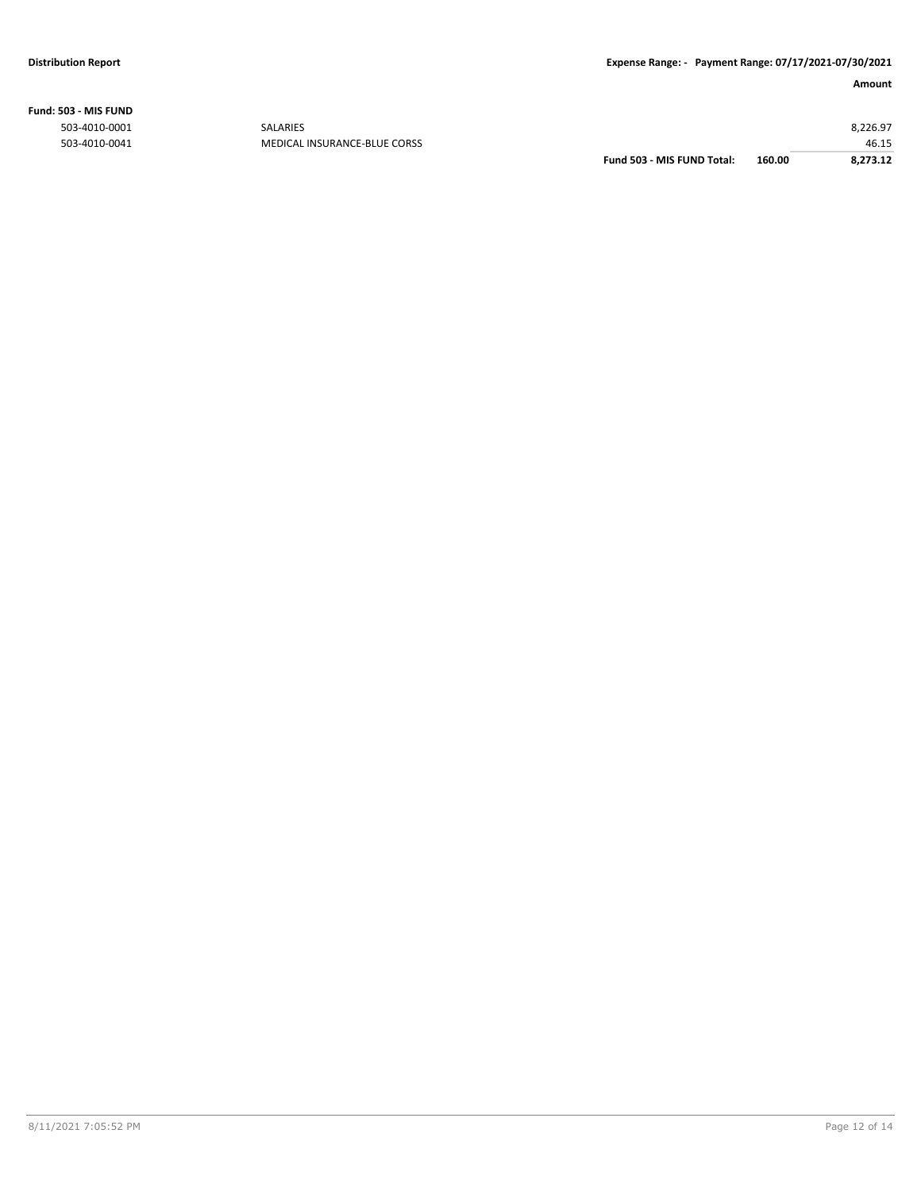**Fund: 503 - MIS FUND**

|               |                              | Fund 503 - MIS FUND Total: | 160.00 | 8.273.12 |
|---------------|------------------------------|----------------------------|--------|----------|
| 503-4010-0041 | MEDICAL INSURANCE-BLUE CORSS |                            |        | 46.15    |
| 503-4010-0001 | <b>SALARIES</b>              |                            |        | 8,226.97 |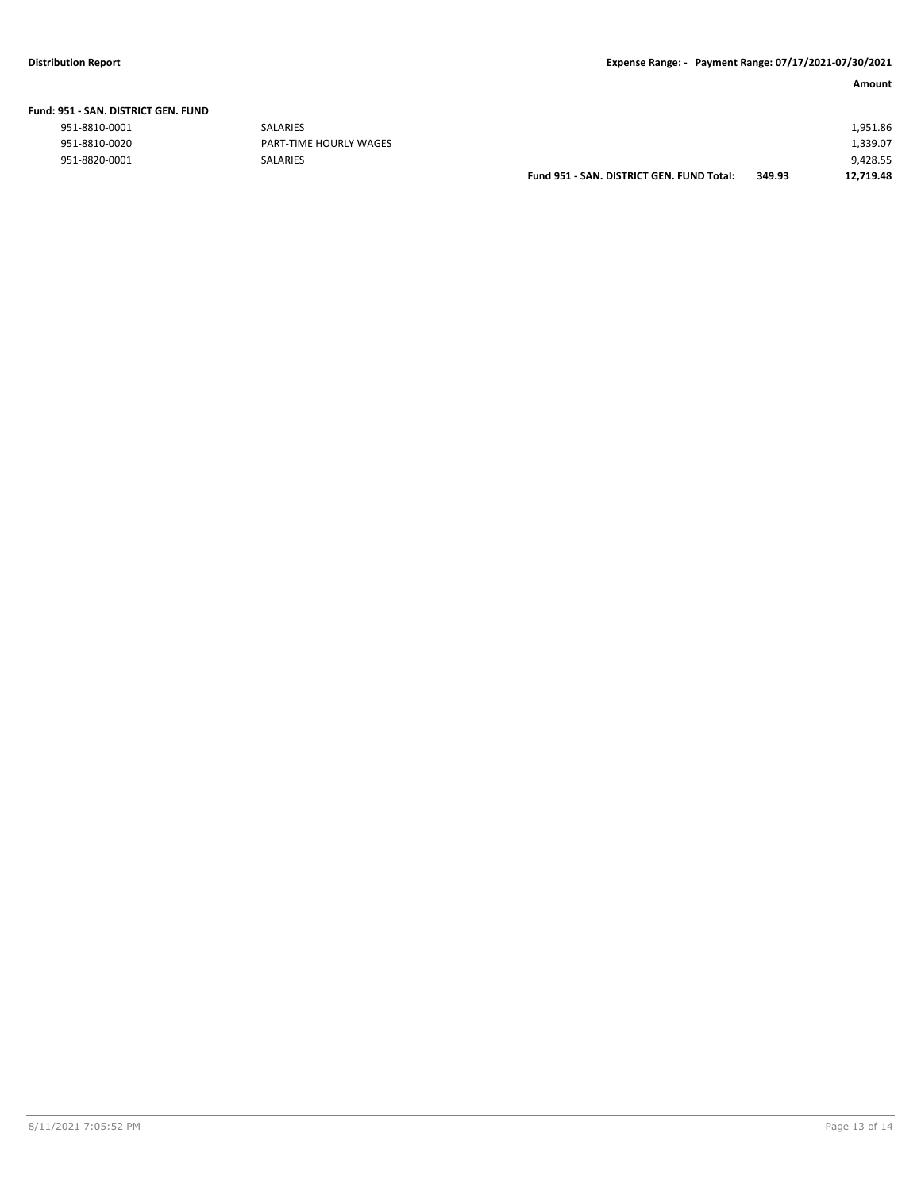| Fund: 951 - SAN. DISTRICT GEN. FUND |  |  |  |
|-------------------------------------|--|--|--|
|                                     |  |  |  |

| 951-8810-0001 | <b>SALARIES</b>        |                                           |        | 1,951.86  |
|---------------|------------------------|-------------------------------------------|--------|-----------|
| 951-8810-0020 | PART-TIME HOURLY WAGES |                                           |        | 1,339.07  |
| 951-8820-0001 | <b>SALARIES</b>        |                                           |        | 9,428.55  |
|               |                        | Fund 951 - SAN, DISTRICT GEN, FUND Total: | 349.93 | 12,719.48 |